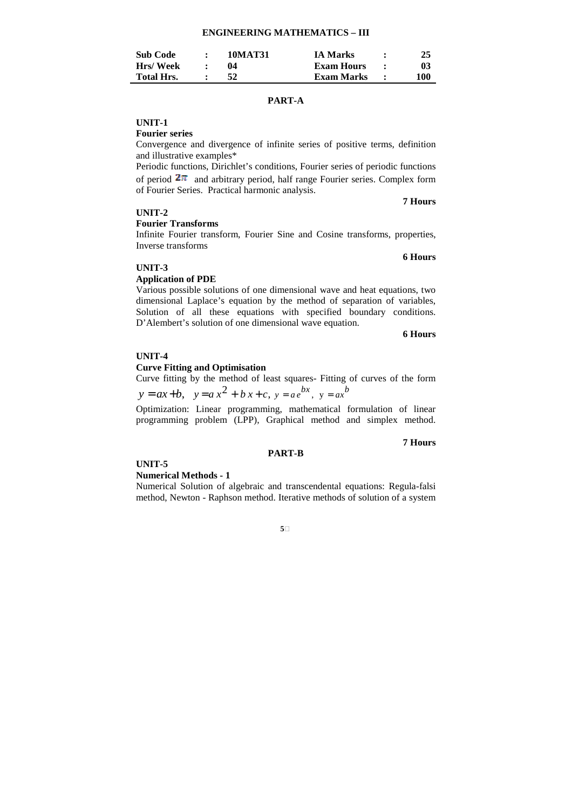| <b>Sub Code</b>   | 10MAT31 | <b>IA Marks</b> | 25  |
|-------------------|---------|-----------------|-----|
| Hrs/Week          |         | Exam Hours      | 03  |
| <b>Total Hrs.</b> | 52      | Exam Marks      | 100 |

# **PART-A**

# **UNIT-1**

**Fourier series**

Convergence and divergence of infinite series of positive terms, definition and illustrative examples\*

Periodic functions, Dirichlet's conditions, Fourier series of periodic functions of period  $2\pi$  and arbitrary period, half range Fourier series. Complex form of Fourier Series. Practical harmonic analysis.

#### **UNIT-2**

#### **Fourier Transforms**

Infinite Fourier transform, Fourier Sine and Cosine transforms, properties, Inverse transforms

## **UNIT-3**

#### **Application of PDE**

Various possible solutions of one dimensional wave and heat equations, two dimensional Laplace's equation by the method of separation of variables, Solution of all these equations with specified boundary conditions. D'Alembert's solution of one dimensional wave equation.

**6 Hours** 

**7 Hours**

**6 Hours**

## **UNIT-4**

## **Curve Fitting and Optimisation**

Curve fitting by the method of least squares- Fitting of curves of the form

 $y = ax + b$ ,  $y = a x<sup>2</sup> + b x + c$ ,  $y = a e<sup>bx</sup>$ ,  $y = a x<sup>b</sup>$ 

Optimization: Linear programming, mathematical formulation of linear programming problem (LPP), Graphical method and simplex method.

**PART-B** 

#### **7 Hours**

## **UNIT-5**

#### **Numerical Methods - 1**

Numerical Solution of algebraic and transcendental equations: Regula-falsi method, Newton - Raphson method. Iterative methods of solution of a system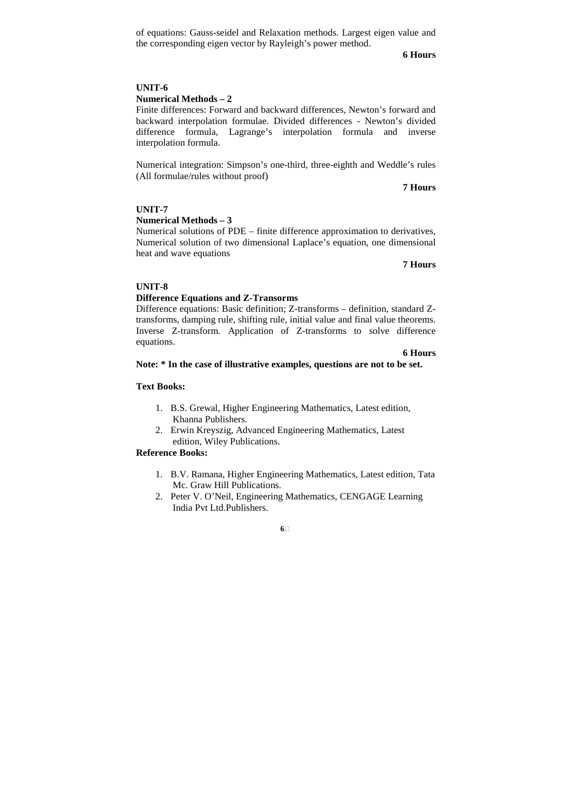of equations: Gauss-seidel and Relaxation methods. Largest eigen value and the corresponding eigen vector by Rayleigh's power method.

**6 Hours**

# **UNIT-6**

# **Numerical Methods – 2**

Finite differences: Forward and backward differences, Newton's forward and backward interpolation formulae. Divided differences - Newton's divided difference formula, Lagrange's interpolation formula and inverse interpolation formula.

Numerical integration: Simpson's one-third, three-eighth and Weddle's rules (All formulae/rules without proof)

**7 Hours** 

# **UNIT-7**

## **Numerical Methods – 3**

Numerical solutions of PDE – finite difference approximation to derivatives, Numerical solution of two dimensional Laplace's equation, one dimensional heat and wave equations

**7 Hours** 

## **UNIT-8**

## **Difference Equations and Z-Transorms**

Difference equations: Basic definition; Z-transforms – definition, standard Ztransforms, damping rule, shifting rule, initial value and final value theorems. Inverse Z-transform. Application of Z-transforms to solve difference equations.

## **6 Hours**

## **Note: \* In the case of illustrative examples, questions are not to be set.**

# **Text Books:**

- 1. B.S. Grewal, Higher Engineering Mathematics, Latest edition, Khanna Publishers.
- 2. Erwin Kreyszig, Advanced Engineering Mathematics, Latest edition, Wiley Publications.

## **Reference Books:**

- 1. B.V. Ramana, Higher Engineering Mathematics, Latest edition, Tata Mc. Graw Hill Publications.
- 2. Peter V. O'Neil, Engineering Mathematics, CENGAGE Learning India Pvt Ltd.Publishers.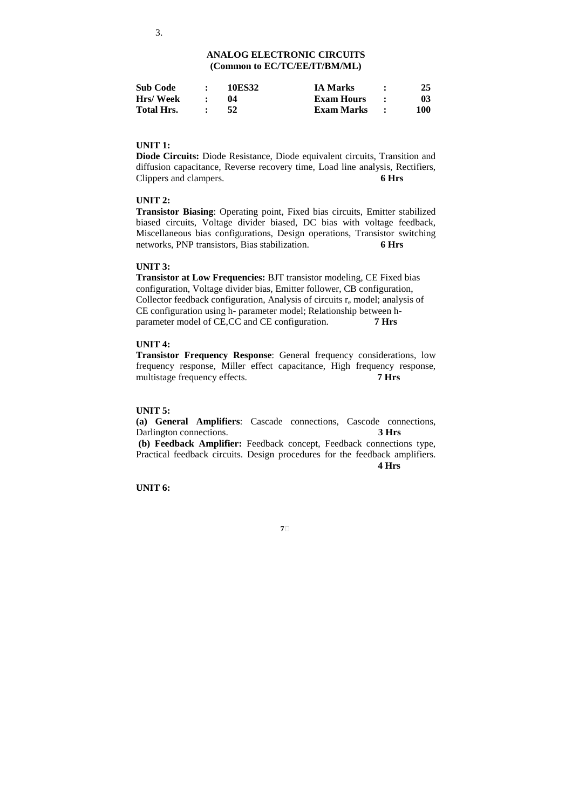| <b>Sub Code</b>   | <b>10ES32</b> | <b>IA Marks</b> | 25  |
|-------------------|---------------|-----------------|-----|
| Hrs/Week          |               | Exam Hours      | 03  |
| <b>Total Hrs.</b> | 52            | Exam Marks      | 100 |

## **UNIT 1:**

**Diode Circuits:** Diode Resistance, Diode equivalent circuits, Transition and diffusion capacitance, Reverse recovery time, Load line analysis, Rectifiers, Clippers and clampers. **6 Hrs** 

# **UNIT 2:**

**Transistor Biasing**: Operating point, Fixed bias circuits, Emitter stabilized biased circuits, Voltage divider biased, DC bias with voltage feedback, Miscellaneous bias configurations, Design operations, Transistor switching networks, PNP transistors, Bias stabilization. **6 Hrs** 

## **UNIT 3:**

**Transistor at Low Frequencies:** BJT transistor modeling, CE Fixed bias configuration, Voltage divider bias, Emitter follower, CB configuration, Collector feedback configuration, Analysis of circuits  $r_e$  model; analysis of CE configuration using h- parameter model; Relationship between hparameter model of CE,CC and CE configuration. **7 Hrs** 

# **UNIT 4:**

**Transistor Frequency Response**: General frequency considerations, low frequency response, Miller effect capacitance, High frequency response, multistage frequency effects. **7 Hrs** 

## **UNIT 5:**

**(a) General Amplifiers**: Cascade connections, Cascode connections, Darlington connections. **3 Hrs**

 **(b) Feedback Amplifier:** Feedback concept, Feedback connections type, Practical feedback circuits. Design procedures for the feedback amplifiers.  **4 Hrs** 

**7**

**UNIT 6:**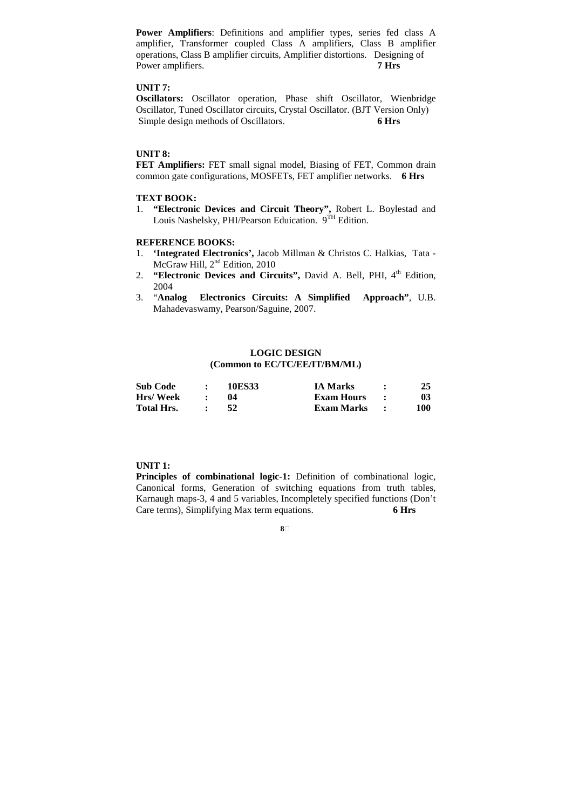**Power Amplifiers**: Definitions and amplifier types, series fed class A amplifier, Transformer coupled Class A amplifiers, Class B amplifier operations, Class B amplifier circuits, Amplifier distortions. Designing of Power amplifiers. **7 Hrs** 

# **UNIT 7:**

**Oscillators:** Oscillator operation, Phase shift Oscillator, Wienbridge Oscillator, Tuned Oscillator circuits, Crystal Oscillator. (BJT Version Only) Simple design methods of Oscillators. **6 Hrs**

# **UNIT 8:**

**FET Amplifiers:** FET small signal model, Biasing of FET, Common drain common gate configurations, MOSFETs, FET amplifier networks. **6 Hrs** 

# **TEXT BOOK:**

1. **"Electronic Devices and Circuit Theory",** Robert L. Boylestad and Louis Nashelsky, PHI/Pearson Eduication. 9<sup>TH</sup> Edition.

## **REFERENCE BOOKS:**

- 1. **'Integrated Electronics',** Jacob Millman & Christos C. Halkias, Tata McGraw Hill, 2<sup>nd</sup> Edition, 2010
- 2. **"Electronic Devices and Circuits", David A. Bell, PHI, 4<sup>th</sup> Edition,** 2004
- 3. "**Analog Electronics Circuits: A Simplified Approach"**, U.B. Mahadevaswamy, Pearson/Saguine, 2007.

# **LOGIC DESIGN (Common to EC/TC/EE/IT/BM/ML)**

| <b>Sub Code</b>   | 10ES33 | <b>IA Marks</b> |     |
|-------------------|--------|-----------------|-----|
| Hrs/Week          |        | Exam Hours      | 03  |
| <b>Total Hrs.</b> | 52     | Exam Marks      | 100 |

#### **UNIT 1:**

**Principles of combinational logic-1:** Definition of combinational logic, Canonical forms, Generation of switching equations from truth tables, Karnaugh maps-3, 4 and 5 variables, Incompletely specified functions (Don't Care terms), Simplifying Max term equations. **6 Hrs**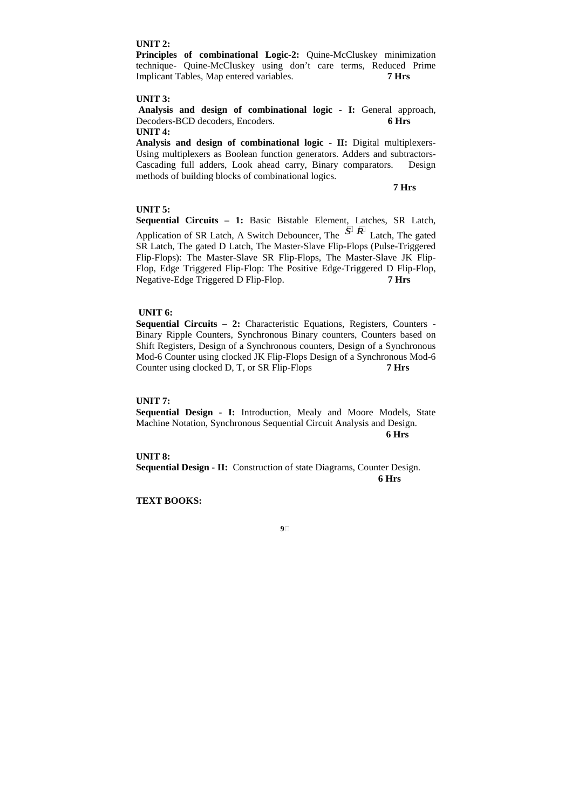## **UNIT 2:**

**Principles of combinational Logic-2:** Quine-McCluskey minimization technique- Quine-McCluskey using don't care terms, Reduced Prime Implicant Tables, Map entered variables. **7 Hrs** 

## **UNIT 3:**

Analysis and design of combinational logic - I: General approach, Decoders-BCD decoders, Encoders. **6 Hrs UNIT 4:** 

**Analysis and design of combinational logic - II:** Digital multiplexers-Using multiplexers as Boolean function generators. Adders and subtractors-Cascading full adders, Look ahead carry, Binary comparators. Design methods of building blocks of combinational logics.

**7 Hrs** 

## **UNIT 5:**

**Sequential Circuits – 1:** Basic Bistable Element, Latches, SR Latch, Application of SR Latch, A Switch Debouncer, The *S <sup>R</sup>* Latch, The gated SR Latch, The gated D Latch, The Master-Slave Flip-Flops (Pulse-Triggered Flip-Flops): The Master-Slave SR Flip-Flops, The Master-Slave JK Flip-Flop, Edge Triggered Flip-Flop: The Positive Edge-Triggered D Flip-Flop, Negative-Edge Triggered D Flip-Flop. **7 Hrs**

## **UNIT 6:**

**Sequential Circuits – 2:** Characteristic Equations, Registers, Counters - Binary Ripple Counters, Synchronous Binary counters, Counters based on Shift Registers, Design of a Synchronous counters, Design of a Synchronous Mod-6 Counter using clocked JK Flip-Flops Design of a Synchronous Mod-6 Counter using clocked D, T, or SR Flip-Flops **7 Hrs** 

## **UNIT 7:**

**Sequential Design - I:** Introduction, Mealy and Moore Models, State Machine Notation, Synchronous Sequential Circuit Analysis and Design. **6 Hrs** 

**UNIT 8:** 

**Sequential Design - II:** Construction of state Diagrams, Counter Design. **6 Hrs**

**9**

**TEXT BOOKS:**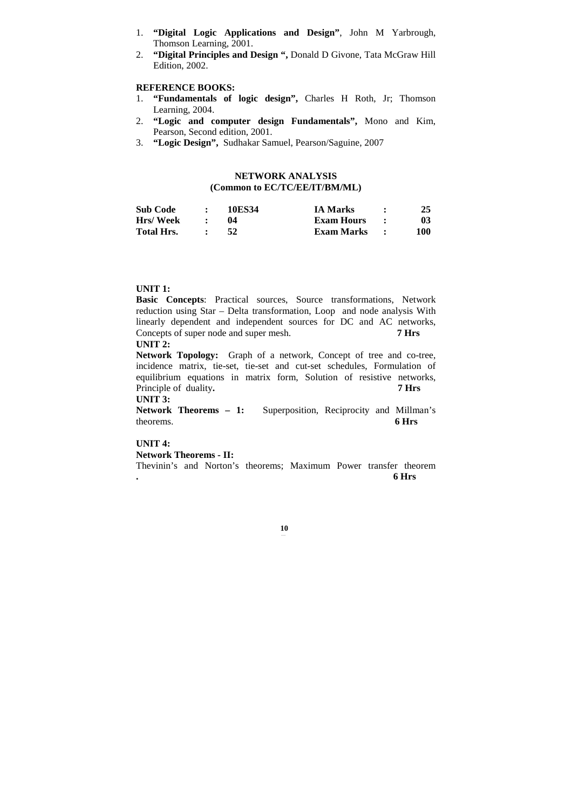- 1. **"Digital Logic Applications and Design"**, John M Yarbrough, Thomson Learning, 2001.
- 2. **"Digital Principles and Design ",** Donald D Givone, Tata McGraw Hill Edition, 2002.

## **REFERENCE BOOKS:**

- 1. **"Fundamentals of logic design",** Charles H Roth, Jr; Thomson Learning, 2004.
- 2. **"Logic and computer design Fundamentals",** Mono and Kim, Pearson, Second edition, 2001.
- 3. **"Logic Design",** Sudhakar Samuel, Pearson/Saguine, 2007

# **NETWORK ANALYSIS (Common to EC/TC/EE/IT/BM/ML)**

| <b>Sub Code</b>   | 10ES34 | <b>IA Marks</b>   | 25  |
|-------------------|--------|-------------------|-----|
| Hrs/Week          | 04     | <b>Exam Hours</b> | 03  |
| <b>Total Hrs.</b> | -52    | Exam Marks        | 100 |

# **UNIT 1:**

**Basic Concepts**: Practical sources, Source transformations, Network reduction using Star – Delta transformation, Loop and node analysis With linearly dependent and independent sources for DC and AC networks, Concepts of super node and super mesh. **7 Hrs** 

# **UNIT 2:**

**Network Topology:** Graph of a network, Concept of tree and co-tree, incidence matrix, tie-set, tie-set and cut-set schedules, Formulation of equilibrium equations in matrix form, Solution of resistive networks, Principle of duality. **7 Hrs** 

# **UNIT 3:**

Network Theorems - 1: Superposition, Reciprocity and Millman's theorems. **6 Hrs**

## **UNIT 4:**

**Network Theorems - II:** 

Thevinin's and Norton's theorems; Maximum Power transfer theorem **. 6 Hrs**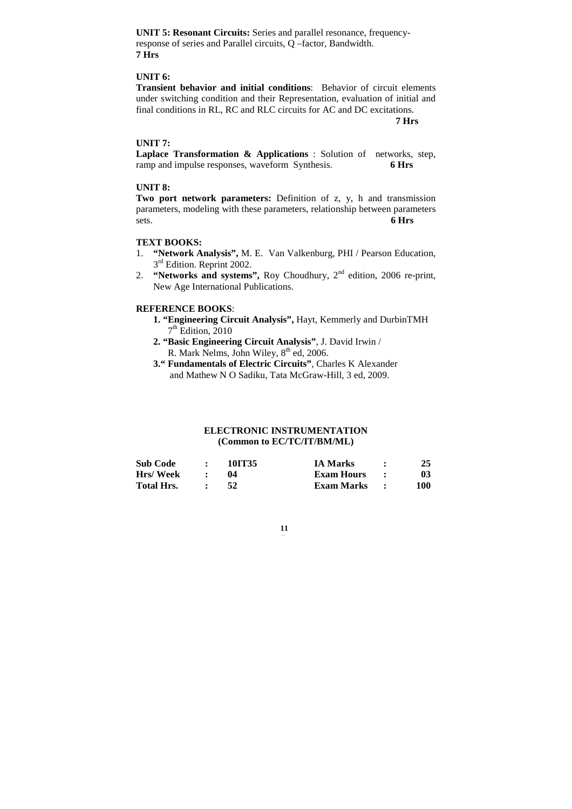**UNIT 5: Resonant Circuits:** Series and parallel resonance, frequencyresponse of series and Parallel circuits, Q –factor, Bandwidth. **7 Hrs** 

# **UNIT 6:**

**Transient behavior and initial conditions**: Behavior of circuit elements under switching condition and their Representation, evaluation of initial and final conditions in RL, RC and RLC circuits for AC and DC excitations.

 **7 Hrs** 

## **UNIT 7:**

**Laplace Transformation & Applications** : Solution of networks, step, ramp and impulse responses, waveform Synthesis. **6 Hrs** 

## **UNIT 8:**

**Two port network parameters:** Definition of z, y, h and transmission parameters, modeling with these parameters, relationship between parameters sets. **6 Hrs**

## **TEXT BOOKS:**

- 1. **"Network Analysis",** M. E. Van Valkenburg, PHI / Pearson Education, 3<sup>rd</sup> Edition. Reprint 2002.
- 2. **"Networks and systems",** Roy Choudhury, 2nd edition, 2006 re-print, New Age International Publications.

## **REFERENCE BOOKS**:

- **1. "Engineering Circuit Analysis",** Hayt, Kemmerly and DurbinTMH 7 th Edition, 2010
- **2. "Basic Engineering Circuit Analysis"**, J. David Irwin / R. Mark Nelms, John Wiley,  $8^{th}$  ed, 2006.
- **3." Fundamentals of Electric Circuits"**, Charles K Alexander and Mathew N O Sadiku, Tata McGraw-Hill, 3 ed, 2009.

# **ELECTRONIC INSTRUMENTATION (Common to EC/TC/IT/BM/ML)**

| <b>Sub Code</b>   | 10IT35 | <b>IA Marks</b> | 25  |
|-------------------|--------|-----------------|-----|
| <b>Hrs/Week</b>   | 04     | Exam Hours      | 03  |
| <b>Total Hrs.</b> |        | Exam Marks      | 100 |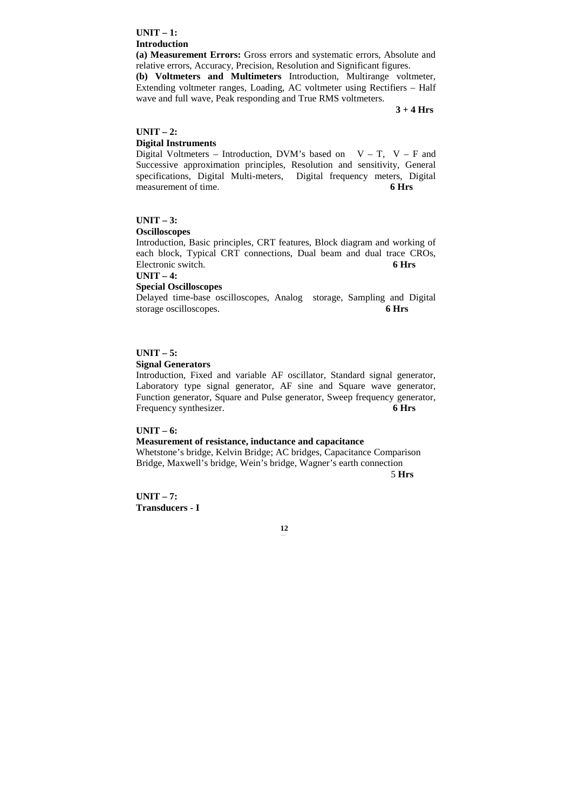## **UNIT – 1: Introduction**

**(a) Measurement Errors:** Gross errors and systematic errors, Absolute and relative errors, Accuracy, Precision, Resolution and Significant figures.

**(b) Voltmeters and Multimeters** Introduction, Multirange voltmeter, Extending voltmeter ranges, Loading, AC voltmeter using Rectifiers – Half wave and full wave, Peak responding and True RMS voltmeters.

**3 + 4 Hrs**

## **UNIT – 2: Digital Instruments**

Digital Voltmeters – Introduction, DVM's based on  $V - T$ ,  $V - F$  and Successive approximation principles, Resolution and sensitivity, General specifications, Digital Multi-meters, Digital frequency meters, Digital measurement of time. 6 Hrs

# **UNIT – 3:**

## **Oscilloscopes**

Introduction, Basic principles, CRT features, Block diagram and working of each block, Typical CRT connections, Dual beam and dual trace CROs, Electronic switch. 6 **Hrs** 

**UNIT – 4:** 

## **Special Oscilloscopes**

Delayed time-base oscilloscopes, Analog storage, Sampling and Digital storage oscilloscopes. **6 Hrs** 

# **UNIT – 5:**

## **Signal Generators**

Introduction, Fixed and variable AF oscillator, Standard signal generator, Laboratory type signal generator, AF sine and Square wave generator, Function generator, Square and Pulse generator, Sweep frequency generator, Frequency synthesizer. **6 Hrs**

## **UNIT – 6:**

#### **Measurement of resistance, inductance and capacitance**

Whetstone's bridge, Kelvin Bridge; AC bridges, Capacitance Comparison Bridge, Maxwell's bridge, Wein's bridge, Wagner's earth connection 5 **Hrs**

**UNIT – 7: Transducers - I**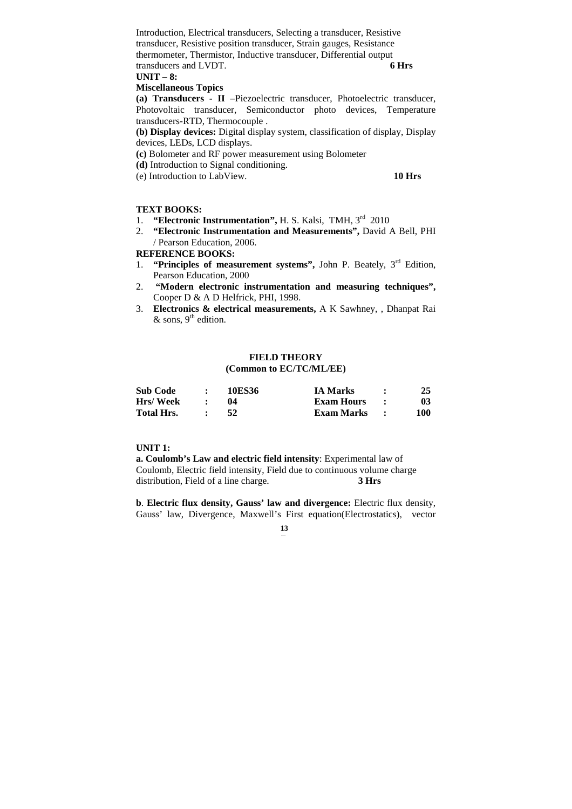Introduction, Electrical transducers, Selecting a transducer, Resistive transducer, Resistive position transducer, Strain gauges, Resistance thermometer, Thermistor, Inductive transducer, Differential output transducers and LVDT. **6 Hrs** 

**UNIT – 8:** 

## **Miscellaneous Topics**

**(a) Transducers - II** –Piezoelectric transducer, Photoelectric transducer, Photovoltaic transducer, Semiconductor photo devices, Temperature transducers-RTD, Thermocouple .

**(b) Display devices:** Digital display system, classification of display, Display devices, LEDs, LCD displays.

- **(c)** Bolometer and RF power measurement using Bolometer
- **(d)** Introduction to Signal conditioning.
- (e) Introduction to LabView. **10 Hrs**

# **TEXT BOOKS:**

- 1. **"Electronic Instrumentation",** H. S. Kalsi, TMH, 3rd 2010
- 2. **"Electronic Instrumentation and Measurements",** David A Bell, PHI / Pearson Education, 2006.

**REFERENCE BOOKS:** 

- 1. **"Principles of measurement systems",** John P. Beately, 3rd Edition, Pearson Education, 2000
- 2. **"Modern electronic instrumentation and measuring techniques",**  Cooper D & A D Helfrick, PHI, 1998.
- 3. **Electronics & electrical measurements,** A K Sawhney, , Dhanpat Rai & sons,  $9^{\text{th}}$  edition.

## **FIELD THEORY (Common to EC/TC/ML/EE)**

| <b>Sub Code</b>   | 10ES36 | <b>IA Marks</b> | 25  |
|-------------------|--------|-----------------|-----|
| <b>Hrs/Week</b>   |        | Exam Hours      | 03  |
| <b>Total Hrs.</b> | 52     | Exam Marks      | 100 |

## **UNIT 1:**

**a. Coulomb's Law and electric field intensity**: Experimental law of Coulomb, Electric field intensity, Field due to continuous volume charge distribution, Field of a line charge. **3 Hrs** 

**b**. **Electric flux density, Gauss' law and divergence:** Electric flux density, Gauss' law, Divergence, Maxwell's First equation(Electrostatics), vector

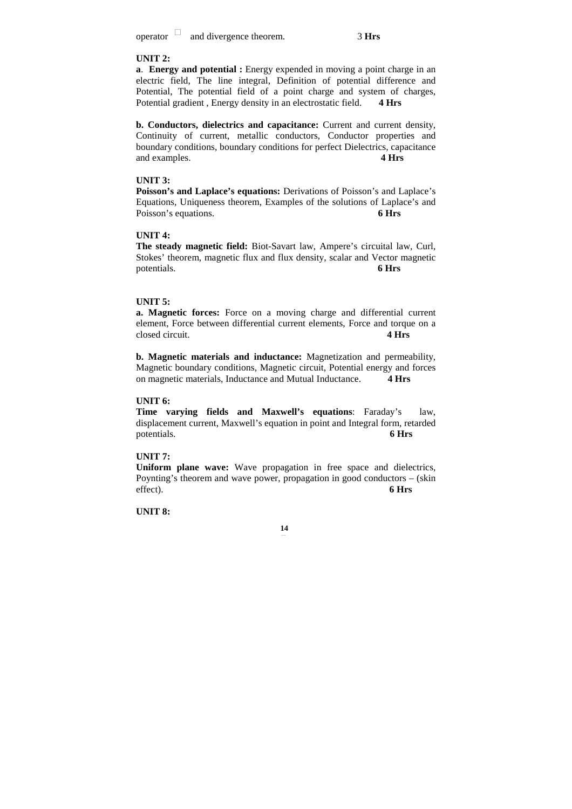operator and divergence theorem.<sup>3</sup>**Hrs** 

## **UNIT 2:**

**a**. **Energy and potential :** Energy expended in moving a point charge in an electric field, The line integral, Definition of potential difference and Potential, The potential field of a point charge and system of charges, Potential gradient , Energy density in an electrostatic field. **4 Hrs** 

**b. Conductors, dielectrics and capacitance:** Current and current density, Continuity of current, metallic conductors, Conductor properties and boundary conditions, boundary conditions for perfect Dielectrics, capacitance and examples. **4 Hrs** 

#### **UNIT 3:**

**Poisson's and Laplace's equations:** Derivations of Poisson's and Laplace's Equations, Uniqueness theorem, Examples of the solutions of Laplace's and Poisson's equations. 6 Hrs

# **UNIT 4:**

**The steady magnetic field:** Biot-Savart law, Ampere's circuital law, Curl, Stokes' theorem, magnetic flux and flux density, scalar and Vector magnetic potentials. **6 Hrs** 

#### **UNIT 5:**

**a. Magnetic forces:** Force on a moving charge and differential current element, Force between differential current elements, Force and torque on a closed circuit. **4 Hrs**

**b. Magnetic materials and inductance:** Magnetization and permeability, Magnetic boundary conditions, Magnetic circuit, Potential energy and forces on magnetic materials, Inductance and Mutual Inductance. **4 Hrs** 

## **UNIT 6:**

**Time varying fields and Maxwell's equations**: Faraday's law, displacement current, Maxwell's equation in point and Integral form, retarded potentials. **6 Hrs** 

## **UNIT 7:**

**Uniform plane wave:** Wave propagation in free space and dielectrics, Poynting's theorem and wave power, propagation in good conductors – (skin effect). **6 Hrs** 

**UNIT 8:**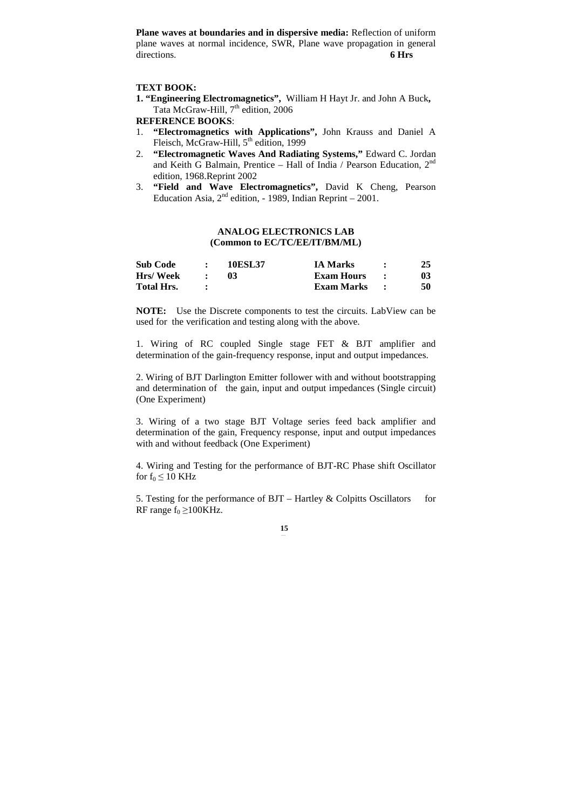**Plane waves at boundaries and in dispersive media:** Reflection of uniform plane waves at normal incidence, SWR, Plane wave propagation in general directions. **6 Hrs** 

## **TEXT BOOK:**

**1. "Engineering Electromagnetics",** William H Hayt Jr. and John A Buck**,**  Tata McGraw-Hill, 7<sup>th</sup> edition, 2006

## **REFERENCE BOOKS**:

- 1. **"Electromagnetics with Applications",** John Krauss and Daniel A Fleisch, McGraw-Hill,  $5<sup>th</sup>$  edition, 1999
- 2. **"Electromagnetic Waves And Radiating Systems,"** Edward C. Jordan and Keith G Balmain, Prentice - Hall of India / Pearson Education, 2<sup>nd</sup> edition, 1968.Reprint 2002
- 3. **"Field and Wave Electromagnetics",** David K Cheng, Pearson Education Asia,  $2<sup>nd</sup>$  edition, - 1989, Indian Reprint – 2001.

## **ANALOG ELECTRONICS LAB (Common to EC/TC/EE/IT/BM/ML)**

| <b>Sub Code</b>   | <b>10ESL37</b> | <b>IA Marks</b> | 25 |
|-------------------|----------------|-----------------|----|
| <b>Hrs/Week</b>   | 03             | Exam Hours      | 03 |
| <b>Total Hrs.</b> |                | Exam Marks      | 50 |

**NOTE:** Use the Discrete components to test the circuits. LabView can be used for the verification and testing along with the above.

1. Wiring of RC coupled Single stage FET & BJT amplifier and determination of the gain-frequency response, input and output impedances.

2. Wiring of BJT Darlington Emitter follower with and without bootstrapping and determination of the gain, input and output impedances (Single circuit) (One Experiment)

3. Wiring of a two stage BJT Voltage series feed back amplifier and determination of the gain, Frequency response, input and output impedances with and without feedback (One Experiment)

4. Wiring and Testing for the performance of BJT-RC Phase shift Oscillator for  $f_0 \leq 10$  KHz

5. Testing for the performance of BJT – Hartley & Colpitts Oscillators for RF range  $f_0 \ge 100$ KHz.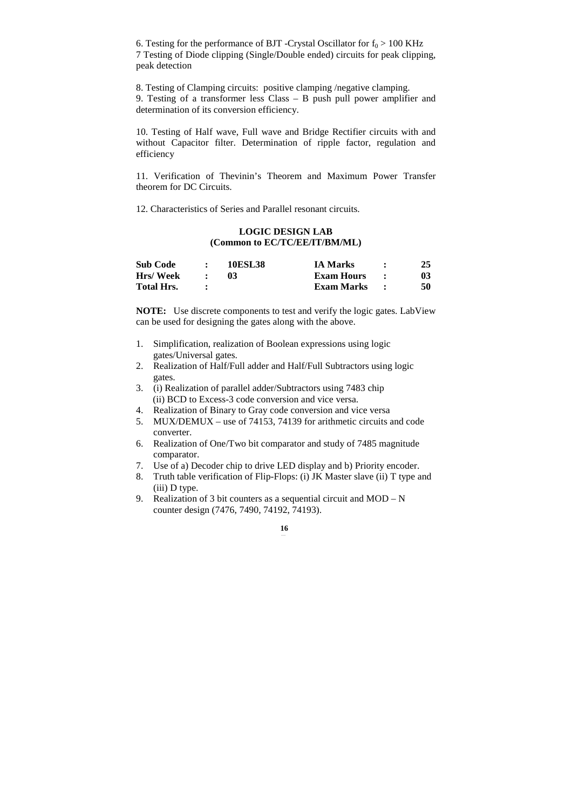6. Testing for the performance of BJT -Crystal Oscillator for  $f_0 > 100$  KHz 7 Testing of Diode clipping (Single/Double ended) circuits for peak clipping, peak detection

8. Testing of Clamping circuits: positive clamping /negative clamping. 9. Testing of a transformer less Class – B push pull power amplifier and determination of its conversion efficiency.

10. Testing of Half wave, Full wave and Bridge Rectifier circuits with and without Capacitor filter. Determination of ripple factor, regulation and efficiency

11. Verification of Thevinin's Theorem and Maximum Power Transfer theorem for DC Circuits.

12. Characteristics of Series and Parallel resonant circuits.

# **LOGIC DESIGN LAB (Common to EC/TC/EE/IT/BM/ML)**

| <b>Sub Code</b>   | <b>10ESL38</b> | <b>IA Marks</b>   | 25 |
|-------------------|----------------|-------------------|----|
| Hrs/Week          |                | <b>Exam Hours</b> | 03 |
| <b>Total Hrs.</b> |                | Exam Marks        | 50 |

**NOTE:** Use discrete components to test and verify the logic gates. LabView can be used for designing the gates along with the above.

- 1. Simplification, realization of Boolean expressions using logic gates/Universal gates.
- 2. Realization of Half/Full adder and Half/Full Subtractors using logic gates.
- 3. (i) Realization of parallel adder/Subtractors using 7483 chip (ii) BCD to Excess-3 code conversion and vice versa.
- 4. Realization of Binary to Gray code conversion and vice versa
- 5. MUX/DEMUX use of 74153, 74139 for arithmetic circuits and code converter.
- 6. Realization of One/Two bit comparator and study of 7485 magnitude comparator.
- 7. Use of a) Decoder chip to drive LED display and b) Priority encoder.
- 8. Truth table verification of Flip-Flops: (i) JK Master slave (ii) T type and (iii) D type.
- 9. Realization of 3 bit counters as a sequential circuit and MOD N counter design (7476, 7490, 74192, 74193).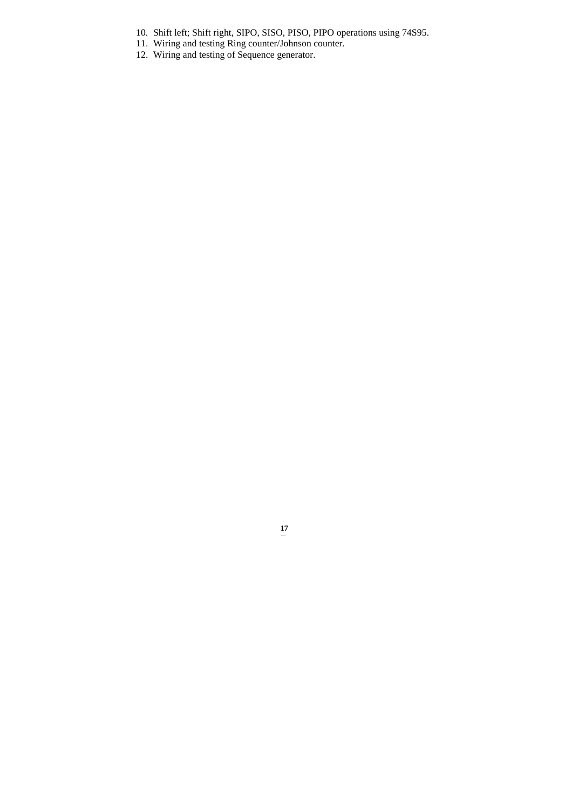- 10. Shift left; Shift right, SIPO, SISO, PISO, PIPO operations using 74S95.
- 11. Wiring and testing Ring counter/Johnson counter.
- 12. Wiring and testing of Sequence generator.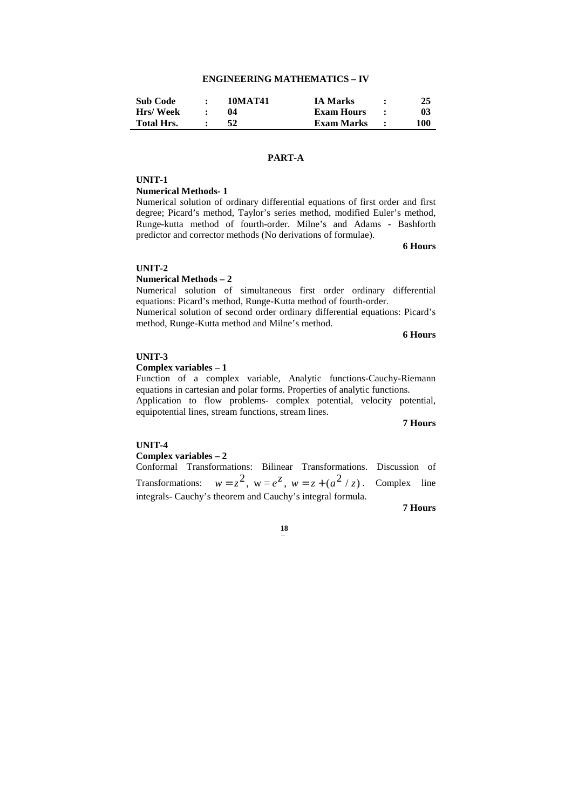# **ENGINEERING MATHEMATICS – IV**

| <b>Sub Code</b>   | 10MAT41 | <b>IA Marks</b> | 25  |
|-------------------|---------|-----------------|-----|
| Hrs/Week          |         | Exam Hours      |     |
| <b>Total Hrs.</b> |         | Exam Marks      | 100 |

# **PART-A**

#### **UNIT-1**

#### **Numerical Methods- 1**

Numerical solution of ordinary differential equations of first order and first degree; Picard's method, Taylor's series method, modified Euler's method, Runge-kutta method of fourth-order. Milne's and Adams - Bashforth predictor and corrector methods (No derivations of formulae).

**6 Hours** 

# **UNIT-2**

## **Numerical Methods – 2**

Numerical solution of simultaneous first order ordinary differential equations: Picard's method, Runge-Kutta method of fourth-order.

Numerical solution of second order ordinary differential equations: Picard's method, Runge-Kutta method and Milne's method.

**6 Hours** 

## **UNIT-3**

## **Complex variables – 1**

Function of a complex variable, Analytic functions-Cauchy-Riemann equations in cartesian and polar forms. Properties of analytic functions.

Application to flow problems- complex potential, velocity potential, equipotential lines, stream functions, stream lines.

**7 Hours** 

#### **UNIT-4**

## **Complex variables – 2**

Conformal Transformations: Bilinear Transformations. Discussion of Transformations:  $w = z^2$ ,  $w = e^z$ ,  $w = z + (a^2 / z)$ . Complex line integrals- Cauchy's theorem and Cauchy's integral formula.

**7 Hours**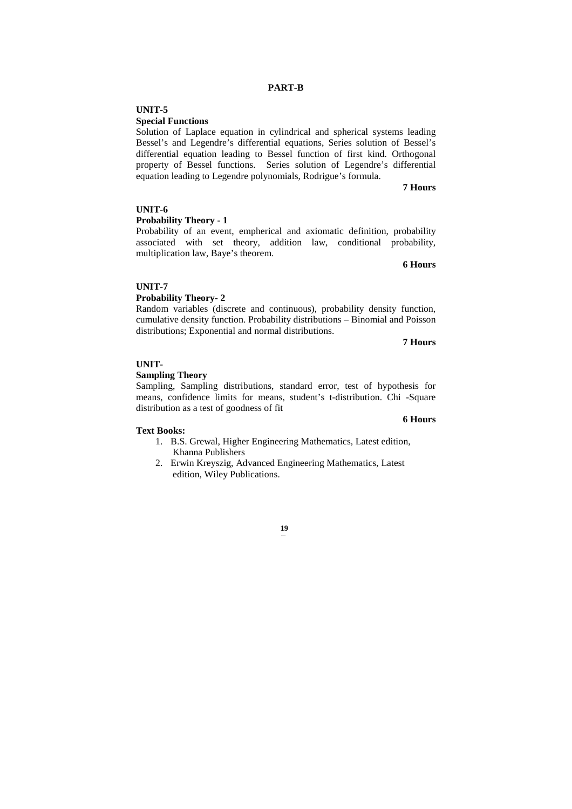# **UNIT-5**

## **Special Functions**

Solution of Laplace equation in cylindrical and spherical systems leading Bessel's and Legendre's differential equations, Series solution of Bessel's differential equation leading to Bessel function of first kind. Orthogonal property of Bessel functions. Series solution of Legendre's differential equation leading to Legendre polynomials, Rodrigue's formula.

#### **7 Hours**

# **UNIT-6**

# **Probability Theory - 1**

Probability of an event, empherical and axiomatic definition, probability associated with set theory, addition law, conditional probability, multiplication law, Baye's theorem.

**6 Hours** 

# **UNIT-7**

# **Probability Theory- 2**

Random variables (discrete and continuous), probability density function, cumulative density function. Probability distributions – Binomial and Poisson distributions; Exponential and normal distributions.

**7 Hours** 

**6 Hours**

## **UNIT-**

## **Sampling Theory**

Sampling, Sampling distributions, standard error, test of hypothesis for means, confidence limits for means, student's t-distribution. Chi -Square distribution as a test of goodness of fit

#### **Text Books:**

- 1. B.S. Grewal, Higher Engineering Mathematics, Latest edition, Khanna Publishers
- 2. Erwin Kreyszig, Advanced Engineering Mathematics, Latest edition, Wiley Publications.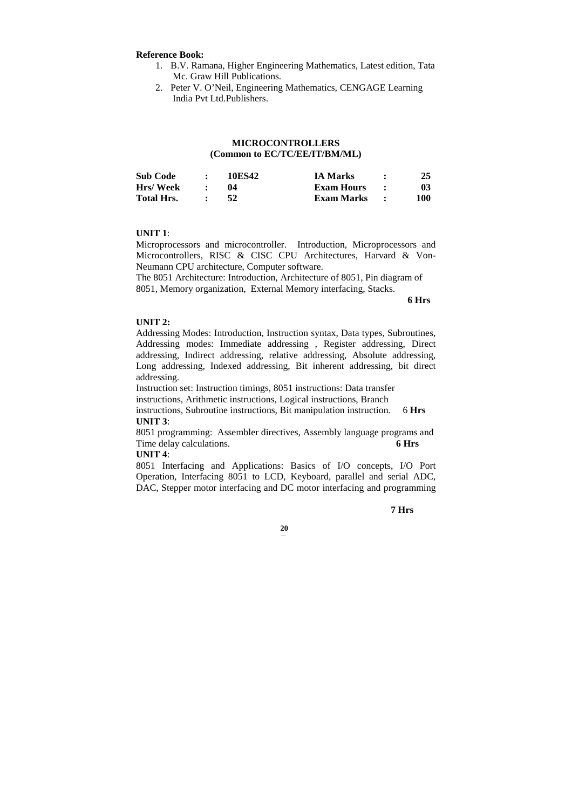#### **Reference Book:**

- 1. B.V. Ramana, Higher Engineering Mathematics, Latest edition, Tata Mc. Graw Hill Publications.
- 2. Peter V. O'Neil, Engineering Mathematics, CENGAGE Learning India Pvt Ltd.Publishers.

# **MICROCONTROLLERS (Common to EC/TC/EE/IT/BM/ML)**

| <b>Sub Code</b>   | 10ES42 | <b>IA Marks</b>   | 25  |
|-------------------|--------|-------------------|-----|
| Hrs/Week          | 04     | <b>Exam Hours</b> | 03  |
| <b>Total Hrs.</b> | 52     | Exam Marks        | 100 |

#### **UNIT 1**:

Microprocessors and microcontroller. Introduction, Microprocessors and Microcontrollers, RISC & CISC CPU Architectures, Harvard & Von-Neumann CPU architecture, Computer software.

The 8051 Architecture: Introduction, Architecture of 8051, Pin diagram of 8051, Memory organization, External Memory interfacing, Stacks.

**6 Hrs** 

# **UNIT 2:**

Addressing Modes: Introduction, Instruction syntax, Data types, Subroutines, Addressing modes: Immediate addressing , Register addressing, Direct addressing, Indirect addressing, relative addressing, Absolute addressing, Long addressing, Indexed addressing, Bit inherent addressing, bit direct addressing.

Instruction set: Instruction timings, 8051 instructions: Data transfer instructions, Arithmetic instructions, Logical instructions, Branch instructions, Subroutine instructions, Bit manipulation instruction. 6 **Hrs UNIT 3**:

8051 programming: Assembler directives, Assembly language programs and Time delay calculations. **6 Hrs** 

#### **UNIT 4**:

8051 Interfacing and Applications: Basics of I/O concepts, I/O Port Operation, Interfacing 8051 to LCD, Keyboard, parallel and serial ADC, DAC, Stepper motor interfacing and DC motor interfacing and programming

**7 Hrs**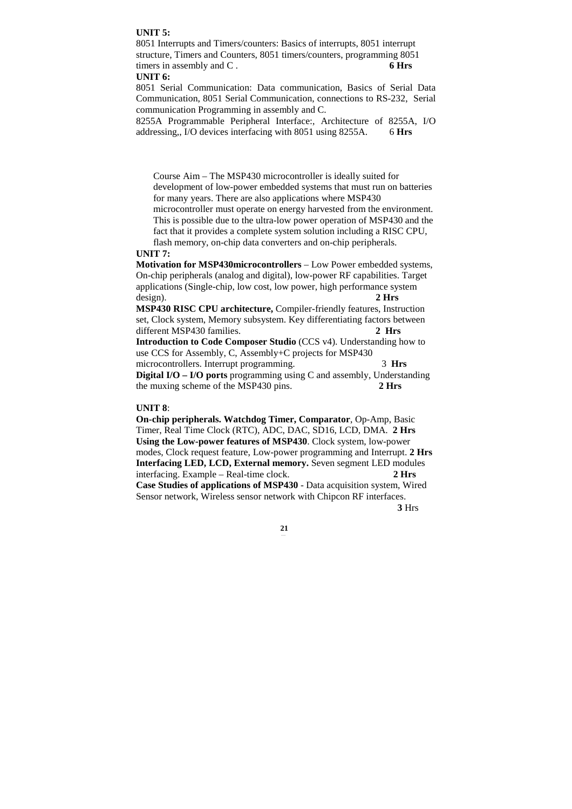# **UNIT 5:**

8051 Interrupts and Timers/counters: Basics of interrupts, 8051 interrupt structure, Timers and Counters, 8051 timers/counters, programming 8051 timers in assembly and C . **6 Hrs** 

# **UNIT 6:**

8051 Serial Communication: Data communication, Basics of Serial Data Communication, 8051 Serial Communication, connections to RS-232, Serial communication Programming in assembly and C.

8255A Programmable Peripheral Interface:, Architecture of 8255A, I/O addressing,, I/O devices interfacing with 8051 using 8255A. 6 **Hrs** 

Course Aim – The MSP430 microcontroller is ideally suited for development of low-power embedded systems that must run on batteries for many years. There are also applications where MSP430 microcontroller must operate on energy harvested from the environment. This is possible due to the ultra-low power operation of MSP430 and the fact that it provides a complete system solution including a RISC CPU, flash memory, on-chip data converters and on-chip peripherals.

#### **UNIT 7:**

**Motivation for MSP430microcontrollers** – Low Power embedded systems, On-chip peripherals (analog and digital), low-power RF capabilities. Target applications (Single-chip, low cost, low power, high performance system design). **2 Hrs** 

**MSP430 RISC CPU architecture,** Compiler-friendly features, Instruction set, Clock system, Memory subsystem. Key differentiating factors between different MSP430 families. **2 Hrs**

**Introduction to Code Composer Studio** (CCS v4). Understanding how to use CCS for Assembly, C, Assembly+C projects for MSP430 microcontrollers. Interrupt programming. 3 **Hrs** 

**Digital I/O – I/O ports** programming using C and assembly, Understanding the muxing scheme of the MSP430 pins. **2 Hrs**

#### **UNIT 8**:

**On-chip peripherals. Watchdog Timer, Comparator**, Op-Amp, Basic Timer, Real Time Clock (RTC), ADC, DAC, SD16, LCD, DMA. **2 Hrs Using the Low-power features of MSP430**. Clock system, low-power modes, Clock request feature, Low-power programming and Interrupt. **2 Hrs Interfacing LED, LCD, External memory.** Seven segment LED modules interfacing. Example – Real-time clock. **2 Hrs Case Studies of applications of MSP430** - Data acquisition system, Wired Sensor network, Wireless sensor network with Chipcon RF interfaces.  **3** Hrs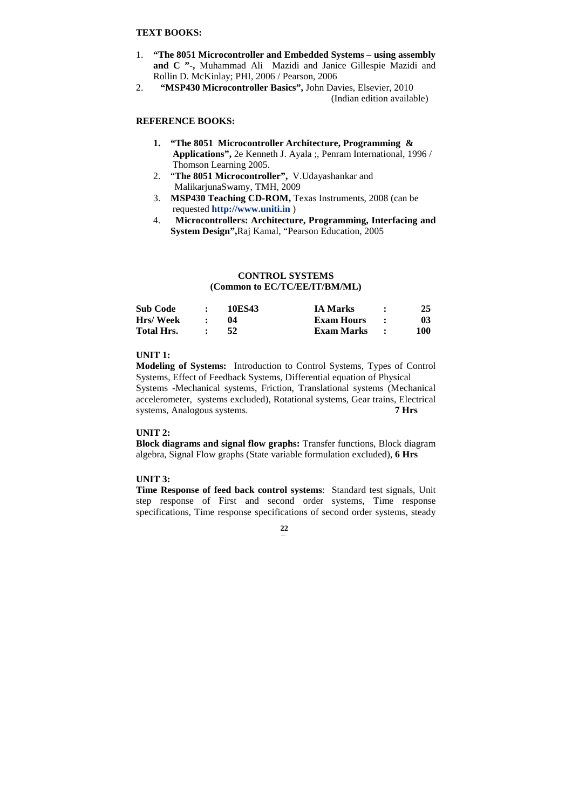# **TEXT BOOKS:**

- 1. **"The 8051 Microcontroller and Embedded Systems using assembly and C "-,** Muhammad Ali Mazidi and Janice Gillespie Mazidi and Rollin D. McKinlay; PHI, 2006 / Pearson, 2006
- 2. **"MSP430 Microcontroller Basics",** John Davies, Elsevier, 2010 (Indian edition available)

# **REFERENCE BOOKS:**

- **1. "The 8051 Microcontroller Architecture, Programming & Applications",** 2e Kenneth J. Ayala ;, Penram International, 1996 / Thomson Learning 2005.
- 2. "**The 8051 Microcontroller",** V.Udayashankar and MalikarjunaSwamy, TMH, 2009
- 3. **MSP430 Teaching CD-ROM,** Texas Instruments, 2008 (can be requested **http://www.uniti.in** )
- 4. **Microcontrollers: Architecture, Programming, Interfacing and System Design",**Raj Kamal, "Pearson Education, 2005

# **CONTROL SYSTEMS (Common to EC/TC/EE/IT/BM/ML)**

| <b>Sub Code</b>   | 10ES43 | <b>IA Marks</b>   | 25  |
|-------------------|--------|-------------------|-----|
| Hrs/Week          | 04     | <b>Exam Hours</b> | 03  |
| <b>Total Hrs.</b> | -52    | Exam Marks        | 100 |

# **UNIT 1:**

**Modeling of Systems:** Introduction to Control Systems, Types of Control Systems, Effect of Feedback Systems, Differential equation of Physical Systems -Mechanical systems, Friction, Translational systems (Mechanical accelerometer, systems excluded), Rotational systems, Gear trains, Electrical systems, Analogous systems. **7 Hrs** 

## **UNIT 2:**

**Block diagrams and signal flow graphs:** Transfer functions, Block diagram algebra, Signal Flow graphs (State variable formulation excluded), **6 Hrs** 

# **UNIT 3:**

**Time Response of feed back control systems**: Standard test signals, Unit step response of First and second order systems, Time response specifications, Time response specifications of second order systems, steady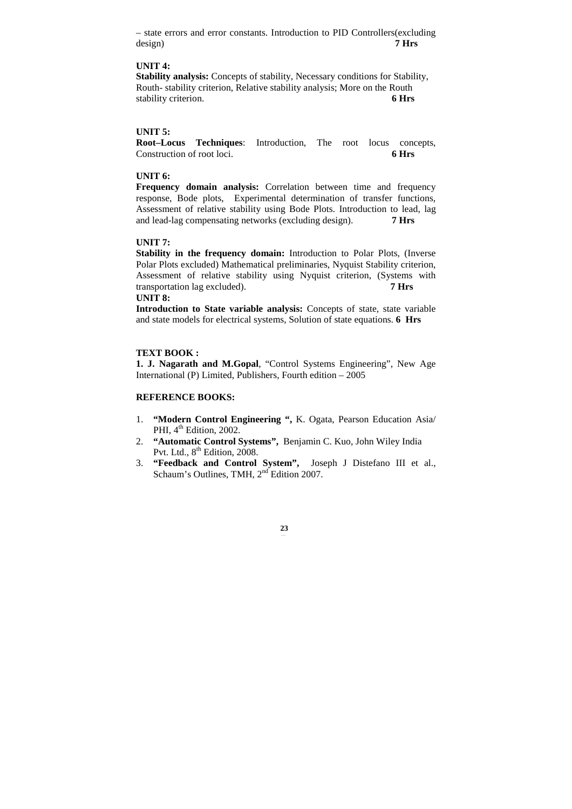– state errors and error constants. Introduction to PID Controllers(excluding design) **7 Hrs** 

# **UNIT 4:**

**Stability analysis:** Concepts of stability, Necessary conditions for Stability, Routh- stability criterion, Relative stability analysis; More on the Routh stability criterion. **6 Hrs** 

# **UNIT 5:**

**Root–Locus Techniques**: Introduction, The root locus concepts, Construction of root loci. **6 Hrs** 

# **UNIT 6:**

**Frequency domain analysis:** Correlation between time and frequency response, Bode plots, Experimental determination of transfer functions, Assessment of relative stability using Bode Plots. Introduction to lead, lag and lead-lag compensating networks (excluding design). **7 Hrs** 

## **UNIT 7:**

**Stability in the frequency domain:** Introduction to Polar Plots, (Inverse Polar Plots excluded) Mathematical preliminaries, Nyquist Stability criterion, Assessment of relative stability using Nyquist criterion, (Systems with transportation lag excluded). **7 Hrs** 

# **UNIT 8:**

**Introduction to State variable analysis:** Concepts of state, state variable and state models for electrical systems, Solution of state equations. **6 Hrs**

## **TEXT BOOK :**

**1. J. Nagarath and M.Gopal**, "Control Systems Engineering", New Age International (P) Limited, Publishers, Fourth edition – 2005

## **REFERENCE BOOKS:**

- 1. **"Modern Control Engineering ",** K. Ogata, Pearson Education Asia/ PHI, 4<sup>th</sup> Edition, 2002.
- 2. **"Automatic Control Systems",** Benjamin C. Kuo, John Wiley India Pvt. Ltd.,  $8^{th}$  Edition, 2008.
- 3. **"Feedback and Control System",** Joseph J Distefano III et al., Schaum's Outlines, TMH,  $2<sup>nd</sup>$  Edition 2007.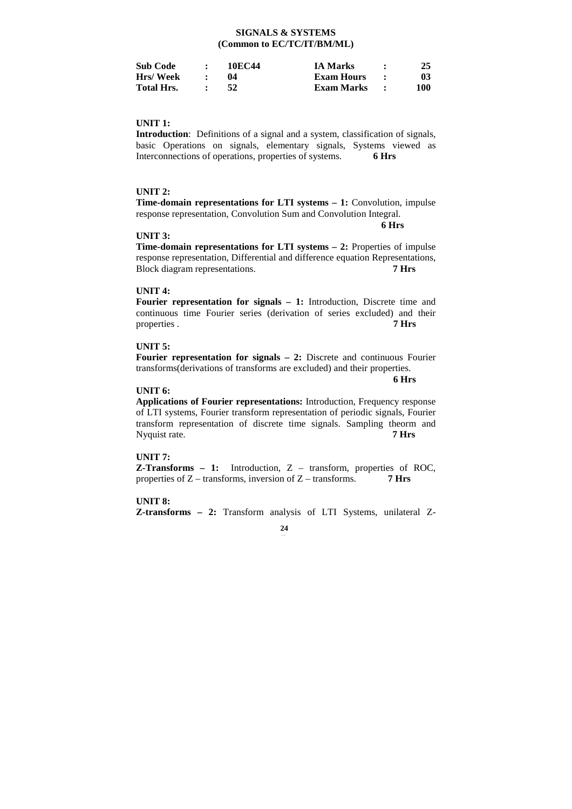# **SIGNALS & SYSTEMS (Common to EC/TC/IT/BM/ML)**

| <b>Sub Code</b>   | 10EC44 | <b>IA Marks</b>   | 25  |
|-------------------|--------|-------------------|-----|
| Hrs/Week          |        | <b>Exam Hours</b> | 03  |
| <b>Total Hrs.</b> | 52     | Exam Marks        | 100 |

# **UNIT 1:**

**Introduction**: Definitions of a signal and a system, classification of signals, basic Operations on signals, elementary signals, Systems viewed as Interconnections of operations, properties of systems. **6 Hrs** 

## **UNIT 2:**

**Time-domain representations for LTI systems – 1:** Convolution, impulse response representation, Convolution Sum and Convolution Integral.

## **6 Hrs**

## **UNIT 3:**

**Time-domain representations for LTI systems – 2:** Properties of impulse response representation, Differential and difference equation Representations, Block diagram representations. **7 Hrs** 

# **UNIT 4:**

**Fourier representation for signals – 1:** Introduction, Discrete time and continuous time Fourier series (derivation of series excluded) and their properties . **7 Hrs**

## **UNIT 5:**

**Fourier representation for signals – 2:** Discrete and continuous Fourier transforms(derivations of transforms are excluded) and their properties.

 **6 Hrs** 

## **UNIT 6:**

**Applications of Fourier representations:** Introduction, Frequency response of LTI systems, Fourier transform representation of periodic signals, Fourier transform representation of discrete time signals. Sampling theorm and Nyquist rate. **7 Hrs** 

# **UNIT 7:**

**Z-Transforms – 1:** Introduction, Z – transform, properties of ROC, properties of Z – transforms, inversion of Z – transforms. **7 Hrs** 

**UNIT 8: Z-transforms – 2:** Transform analysis of LTI Systems, unilateral Z-

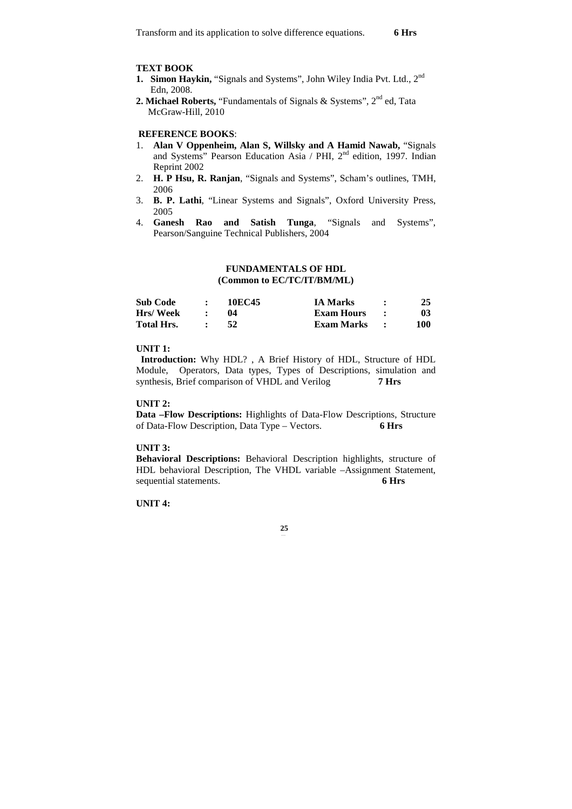## **TEXT BOOK**

- 1. Simon Haykin, "Signals and Systems", John Wiley India Pvt. Ltd., 2<sup>nd</sup> Edn, 2008.
- 2. Michael Roberts, "Fundamentals of Signals & Systems", 2<sup>nd</sup> ed, Tata McGraw-Hill, 2010

# **REFERENCE BOOKS**:

- 1. **Alan V Oppenheim, Alan S, Willsky and A Hamid Nawab,** "Signals and Systems" Pearson Education Asia / PHI, 2<sup>nd</sup> edition, 1997. Indian Reprint 2002
- 2. **H. P Hsu, R. Ranjan**, "Signals and Systems", Scham's outlines, TMH, 2006
- 3. **B. P. Lathi**, "Linear Systems and Signals", Oxford University Press, 2005
- 4. **Ganesh Rao and Satish Tunga**, "Signals and Systems", Pearson/Sanguine Technical Publishers, 2004

## **FUNDAMENTALS OF HDL (Common to EC/TC/IT/BM/ML)**

| <b>Sub Code</b>   | 10EC45 | <b>IA Marks</b>   | 25  |
|-------------------|--------|-------------------|-----|
| Hrs/Week          | 04     | <b>Exam Hours</b> | 03  |
| <b>Total Hrs.</b> |        | Exam Marks        | 100 |

## **UNIT 1:**

 **Introduction:** Why HDL? , A Brief History of HDL, Structure of HDL Module, Operators, Data types, Types of Descriptions, simulation and synthesis, Brief comparison of VHDL and Verilog **7 Hrs**

## **UNIT 2:**

**Data –Flow Descriptions:** Highlights of Data-Flow Descriptions, Structure of Data-Flow Description, Data Type – Vectors. **6 Hrs** 

## **UNIT 3:**

**Behavioral Descriptions:** Behavioral Description highlights, structure of HDL behavioral Description, The VHDL variable –Assignment Statement, sequential statements. **6 Hrs** 

**UNIT 4:**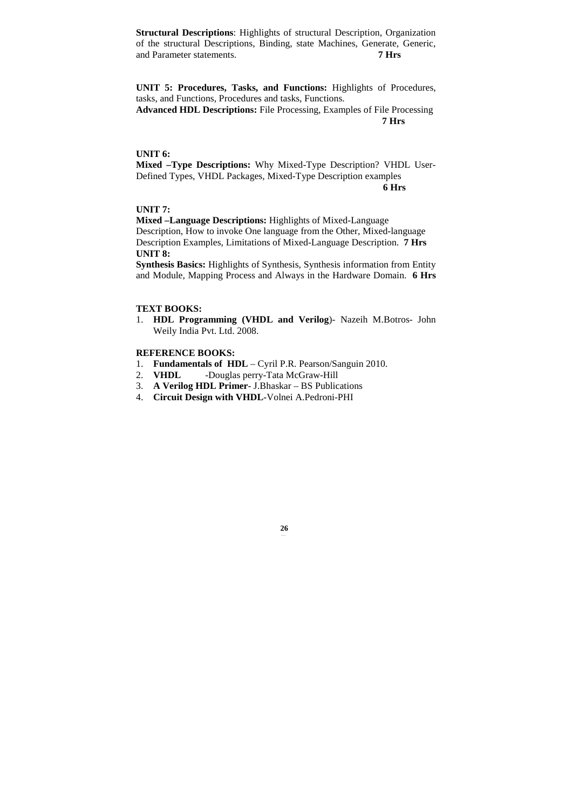**Structural Descriptions**: Highlights of structural Description, Organization of the structural Descriptions, Binding, state Machines, Generate, Generic, and Parameter statements. **7 Hrs**

**UNIT 5: Procedures, Tasks, and Functions:** Highlights of Procedures, tasks, and Functions, Procedures and tasks, Functions.

**Advanced HDL Descriptions:** File Processing, Examples of File Processing **7 Hrs** 

# **UNIT 6:**

**Mixed –Type Descriptions:** Why Mixed-Type Description? VHDL User-Defined Types, VHDL Packages, Mixed-Type Description examples **6 Hrs**

# **UNIT 7:**

**Mixed –Language Descriptions:** Highlights of Mixed-Language Description, How to invoke One language from the Other, Mixed-language Description Examples, Limitations of Mixed-Language Description. **7 Hrs UNIT 8:** 

**Synthesis Basics:** Highlights of Synthesis, Synthesis information from Entity and Module, Mapping Process and Always in the Hardware Domain. **6 Hrs**

## **TEXT BOOKS:**

1. **HDL Programming (VHDL and Verilog**)- Nazeih M.Botros- John Weily India Pvt. Ltd. 2008.

**26**

# **REFERENCE BOOKS:**

- 1. **Fundamentals of HDL** Cyril P.R. Pearson/Sanguin 2010.
- 2. **VHDL** -Douglas perry-Tata McGraw-Hill
- 3. **A Verilog HDL Primer** J.Bhaskar BS Publications
- 4. **Circuit Design with VHDL**-Volnei A.Pedroni-PHI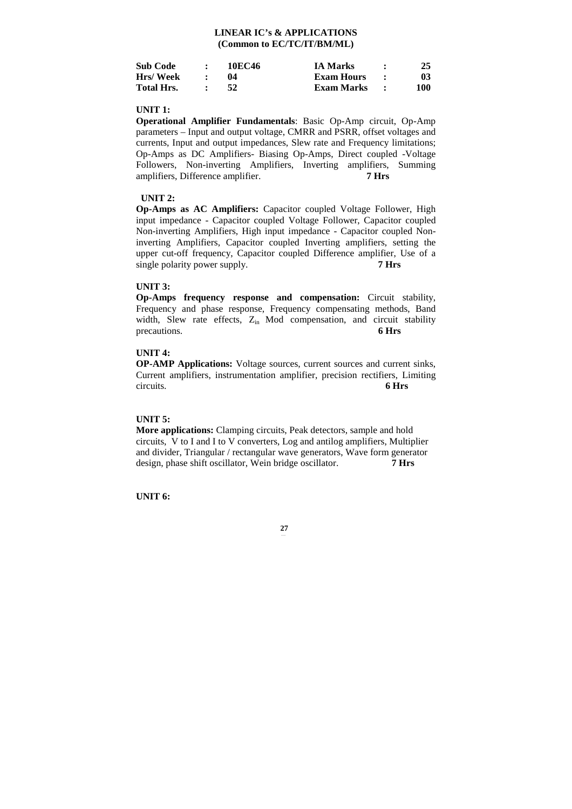# **LINEAR IC's & APPLICATIONS (Common to EC/TC/IT/BM/ML)**

| Sub Code   | 10EC46 | IA Marks   | 25  |
|------------|--------|------------|-----|
| Hrs/Week   | 04     | Exam Hours | 03  |
| Total Hrs. | 52     | Exam Marks | 100 |

## **UNIT 1:**

**Operational Amplifier Fundamentals**: Basic Op-Amp circuit, Op-Amp parameters – Input and output voltage, CMRR and PSRR, offset voltages and currents, Input and output impedances, Slew rate and Frequency limitations; Op-Amps as DC Amplifiers- Biasing Op-Amps, Direct coupled -Voltage Followers, Non-inverting Amplifiers, Inverting amplifiers, Summing amplifiers, Difference amplifier. **7 Hrs** 

## **UNIT 2:**

**Op-Amps as AC Amplifiers:** Capacitor coupled Voltage Follower, High input impedance - Capacitor coupled Voltage Follower, Capacitor coupled Non-inverting Amplifiers, High input impedance - Capacitor coupled Noninverting Amplifiers, Capacitor coupled Inverting amplifiers, setting the upper cut-off frequency, Capacitor coupled Difference amplifier, Use of a single polarity power supply. **7 Hrs** 

## **UNIT 3:**

**Op-Amps frequency response and compensation:** Circuit stability, Frequency and phase response, Frequency compensating methods, Band width, Slew rate effects,  $Z_{in}$  Mod compensation, and circuit stability precautions. 6 Hrs precautions.

# **UNIT 4:**

**OP-AMP Applications:** Voltage sources, current sources and current sinks, Current amplifiers, instrumentation amplifier, precision rectifiers, Limiting circuits. **6 Hrs** 

## **UNIT 5:**

**More applications:** Clamping circuits, Peak detectors, sample and hold circuits, V to I and I to V converters, Log and antilog amplifiers, Multiplier and divider, Triangular / rectangular wave generators, Wave form generator design, phase shift oscillator, Wein bridge oscillator. **7 Hrs** 

**UNIT 6:**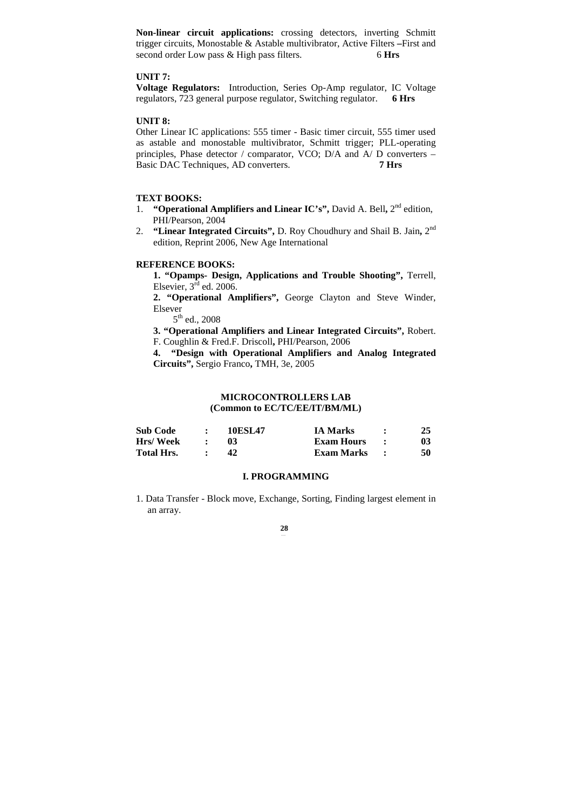**Non-linear circuit applications:** crossing detectors, inverting Schmitt trigger circuits, Monostable & Astable multivibrator, Active Filters **–**First and second order Low pass & High pass filters. 6 Hrs

# **UNIT 7:**

**Voltage Regulators:** Introduction, Series Op-Amp regulator, IC Voltage regulators, 723 general purpose regulator, Switching regulator. **6 Hrs**

# **UNIT 8:**

Other Linear IC applications: 555 timer - Basic timer circuit, 555 timer used as astable and monostable multivibrator, Schmitt trigger; PLL-operating principles, Phase detector / comparator, VCO; D/A and A/ D converters – Basic DAC Techniques, AD converters. **7 Hrs** 

# **TEXT BOOKS:**

- 1. **"Operational Amplifiers and Linear IC's", David A. Bell, 2<sup>nd</sup> edition,** PHI/Pearson, 2004
- 2. **"Linear Integrated Circuits", D. Roy Choudhury and Shail B. Jain, 2<sup>nd</sup>** edition, Reprint 2006, New Age International

#### **REFERENCE BOOKS:**

**1. "Opamps- Design, Applications and Trouble Shooting",** Terrell, Elsevier,  $3<sup>rd</sup>$  ed. 2006.

**2. "Operational Amplifiers",** George Clayton and Steve Winder, Elsever

 $5^{th}$  ed., 2008

**3. "Operational Amplifiers and Linear Integrated Circuits",** Robert. F. Coughlin & Fred.F. Driscoll**,** PHI/Pearson, 2006

**4. "Design with Operational Amplifiers and Analog Integrated Circuits",** Sergio Franco**,** TMH, 3e, 2005

# **MICROCONTROLLERS LAB (Common to EC/TC/EE/IT/BM/ML)**

| <b>Sub Code</b>   | <b>10ESL47</b> | <b>IA Marks</b> | 25 |
|-------------------|----------------|-----------------|----|
| Hrs/Week          |                | Exam Hours      | 03 |
| <b>Total Hrs.</b> | 42             | Exam Marks      | 50 |

#### **I. PROGRAMMING**

1. Data Transfer - Block move, Exchange, Sorting, Finding largest element in an array.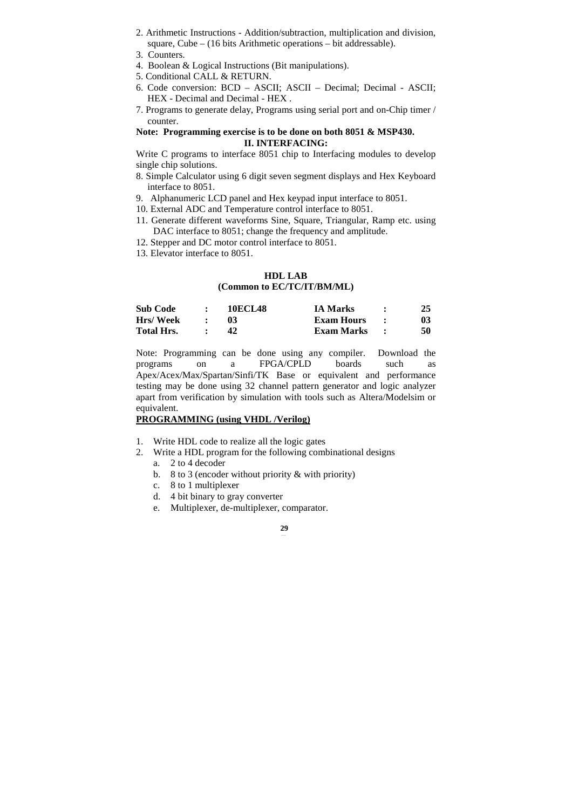- 2. Arithmetic Instructions Addition/subtraction, multiplication and division, square, Cube – (16 bits Arithmetic operations – bit addressable).
- 3. Counters.
- 4. Boolean & Logical Instructions (Bit manipulations).
- 5. Conditional CALL & RETURN.
- 6. Code conversion: BCD ASCII; ASCII Decimal; Decimal ASCII; HEX - Decimal and Decimal - HEX .
- 7. Programs to generate delay, Programs using serial port and on-Chip timer / counter.

# **Note: Programming exercise is to be done on both 8051 & MSP430. II. INTERFACING:**

Write C programs to interface 8051 chip to Interfacing modules to develop single chip solutions.

- 8. Simple Calculator using 6 digit seven segment displays and Hex Keyboard interface to 8051.
- 9. Alphanumeric LCD panel and Hex keypad input interface to 8051.
- 10. External ADC and Temperature control interface to 8051.
- 11. Generate different waveforms Sine, Square, Triangular, Ramp etc. using DAC interface to 8051; change the frequency and amplitude.
- 12. Stepper and DC motor control interface to 8051.
- 13. Elevator interface to 8051.

# **HDL LAB**

## **(Common to EC/TC/IT/BM/ML)**

| <b>Sub Code</b>   | <b>10ECL48</b> | <b>IA Marks</b>   | 25 |
|-------------------|----------------|-------------------|----|
| Hrs/Week          |                | <b>Exam Hours</b> | 03 |
| <b>Total Hrs.</b> |                | Exam Marks        | 50 |

Note: Programming can be done using any compiler. Download the programs on a FPGA/CPLD boards such as Apex/Acex/Max/Spartan/Sinfi/TK Base or equivalent and performance testing may be done using 32 channel pattern generator and logic analyzer apart from verification by simulation with tools such as Altera/Modelsim or equivalent.

# **PROGRAMMING (using VHDL /Verilog)**

- 1. Write HDL code to realize all the logic gates
- 2. Write a HDL program for the following combinational designs
	- a. 2 to 4 decoder
	- b. 8 to 3 (encoder without priority & with priority)
	- c. 8 to 1 multiplexer
	- d. 4 bit binary to gray converter
	- e. Multiplexer, de-multiplexer, comparator.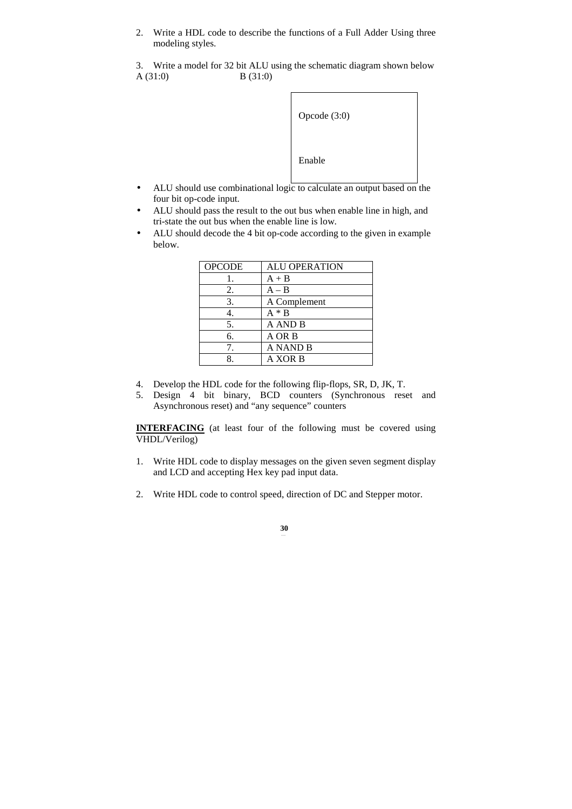2. Write a HDL code to describe the functions of a Full Adder Using three modeling styles.

3. Write a model for 32 bit ALU using the schematic diagram shown below  $A(31:0)$  B (31:0)



- ALU should use combinational logic to calculate an output based on the four bit op-code input.
- ALU should pass the result to the out bus when enable line in high, and tri-state the out bus when the enable line is low.
- ALU should decode the 4 bit op-code according to the given in example below.

| <b>ALU OPERATION</b> |
|----------------------|
| $A + B$              |
| $A - B$              |
| A Complement         |
| $A * B$              |
| A AND B              |
| A OR B               |
| <b>A NAND B</b>      |
| A XOR B              |
|                      |

- 4. Develop the HDL code for the following flip-flops, SR, D, JK, T.
- 5. Design 4 bit binary, BCD counters (Synchronous reset and Asynchronous reset) and "any sequence" counters

**INTERFACING** (at least four of the following must be covered using VHDL/Verilog)

- 1. Write HDL code to display messages on the given seven segment display and LCD and accepting Hex key pad input data.
- 2. Write HDL code to control speed, direction of DC and Stepper motor.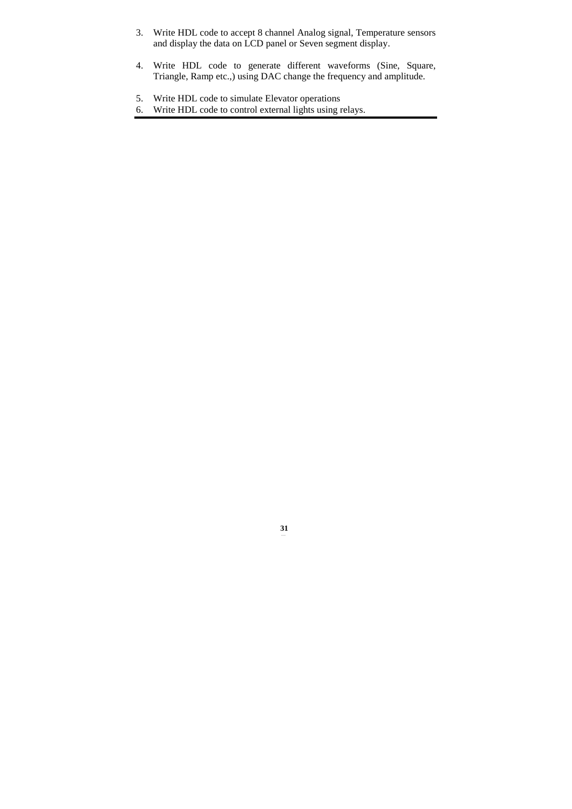- 3. Write HDL code to accept 8 channel Analog signal, Temperature sensors and display the data on LCD panel or Seven segment display.
- 4. Write HDL code to generate different waveforms (Sine, Square, Triangle, Ramp etc.,) using DAC change the frequency and amplitude.

- 5. Write HDL code to simulate Elevator operations
- 6. Write HDL code to control external lights using relays.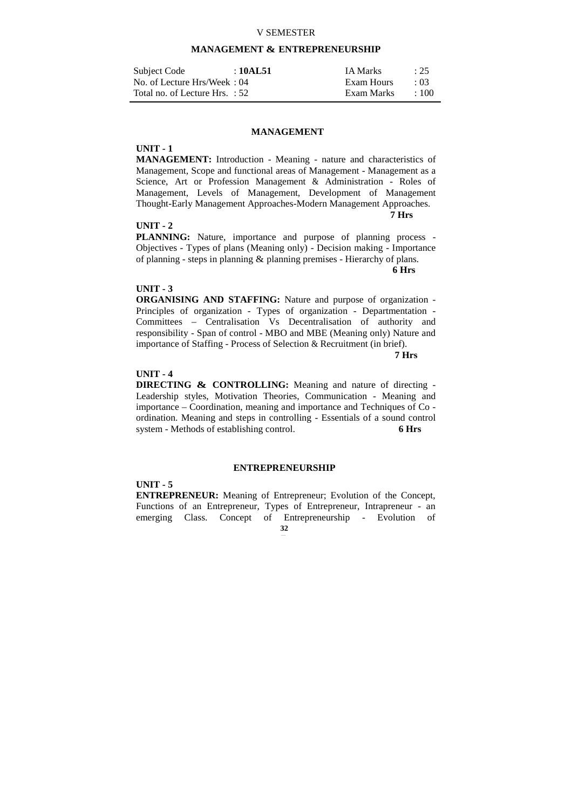## V SEMESTER

# **MANAGEMENT & ENTREPRENEURSHIP**

| Subject Code                   | :10AL51 | <b>IA Marks</b> | : 25        |
|--------------------------------|---------|-----------------|-------------|
| No. of Lecture Hrs/Week: 04    |         | Exam Hours      | $\cdot$ 03  |
| Total no. of Lecture Hrs. : 52 |         | Exam Marks      | $\cdot$ 100 |

# **MANAGEMENT**

# **UNIT - 1**

**MANAGEMENT:** Introduction - Meaning - nature and characteristics of Management, Scope and functional areas of Management - Management as a Science, Art or Profession Management & Administration - Roles of Management, Levels of Management, Development of Management Thought-Early Management Approaches-Modern Management Approaches.  **7 Hrs** 

# **UNIT - 2**

**PLANNING:** Nature, importance and purpose of planning process - Objectives - Types of plans (Meaning only) - Decision making - Importance of planning - steps in planning & planning premises - Hierarchy of plans.

 **6 Hrs** 

## **UNIT - 3**

**ORGANISING AND STAFFING:** Nature and purpose of organization - Principles of organization - Types of organization - Departmentation - Committees – Centralisation Vs Decentralisation of authority and responsibility - Span of control - MBO and MBE (Meaning only) Nature and importance of Staffing - Process of Selection & Recruitment (in brief).

 **7 Hrs** 

# **UNIT - 4**

**DIRECTING & CONTROLLING:** Meaning and nature of directing - Leadership styles, Motivation Theories, Communication - Meaning and importance – Coordination, meaning and importance and Techniques of Co ordination. Meaning and steps in controlling - Essentials of a sound control system - Methods of establishing control. **6 Hrs** 

## **ENTREPRENEURSHIP**

**UNIT - 5** 

**32 ENTREPRENEUR:** Meaning of Entrepreneur; Evolution of the Concept, Functions of an Entrepreneur, Types of Entrepreneur, Intrapreneur - an emerging Class. Concept of Entrepreneurship - Evolution of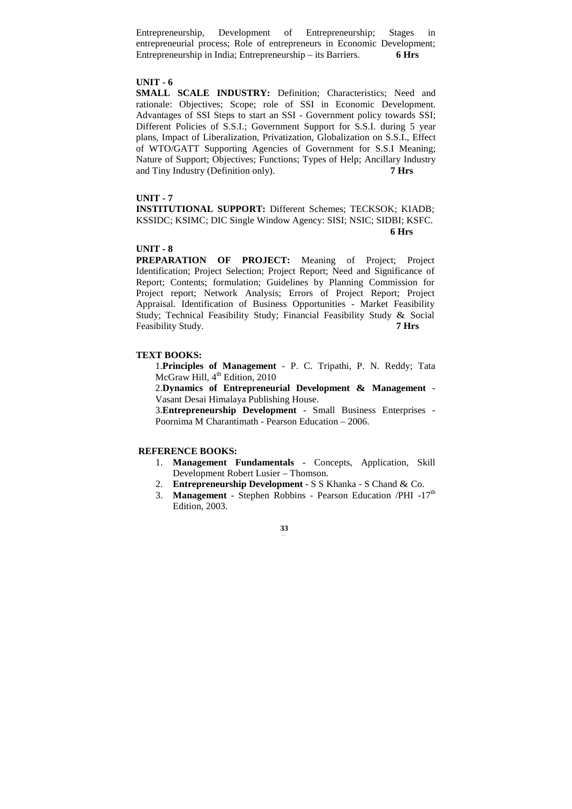Entrepreneurship, Development of Entrepreneurship; Stages in entrepreneurial process; Role of entrepreneurs in Economic Development; Entrepreneurship in India; Entrepreneurship – its Barriers. **6 Hrs** 

## **UNIT - 6**

**SMALL SCALE INDUSTRY:** Definition; Characteristics; Need and rationale: Objectives; Scope; role of SSI in Economic Development. Advantages of SSI Steps to start an SSI - Government policy towards SSI; Different Policies of S.S.I.; Government Support for S.S.I. during 5 year plans, Impact of Liberalization, Privatization, Globalization on S.S.I., Effect of WTO/GATT Supporting Agencies of Government for S.S.I Meaning; Nature of Support; Objectives; Functions; Types of Help; Ancillary Industry and Tiny Industry (Definition only). **7 Hrs** 

#### **UNIT - 7**

**INSTITUTIONAL SUPPORT:** Different Schemes; TECKSOK; KIADB; KSSIDC; KSIMC; DIC Single Window Agency: SISI; NSIC; SIDBI; KSFC.  **6 Hrs** 

## **UNIT - 8**

**PREPARATION OF PROJECT:** Meaning of Project; Project Identification; Project Selection; Project Report; Need and Significance of Report; Contents; formulation; Guidelines by Planning Commission for Project report; Network Analysis; Errors of Project Report; Project Appraisal. Identification of Business Opportunities - Market Feasibility Study; Technical Feasibility Study; Financial Feasibility Study & Social Feasibility Study. **7 Hrs** 

## **TEXT BOOKS:**

1.**Principles of Management** - P. C. Tripathi, P. N. Reddy; Tata McGraw Hill, 4<sup>th</sup> Edition, 2010

2.**Dynamics of Entrepreneurial Development & Management** - Vasant Desai Himalaya Publishing House.

3.**Entrepreneurship Development** - Small Business Enterprises - Poornima M Charantimath - Pearson Education – 2006.

# **REFERENCE BOOKS:**

- 1. **Management Fundamentals** Concepts, Application, Skill Development Robert Lusier – Thomson.
- 2. **Entrepreneurship Development** S S Khanka S Chand & Co.
- 3. **Management** Stephen Robbins Pearson Education /PHI -17<sup>th</sup> Edition, 2003.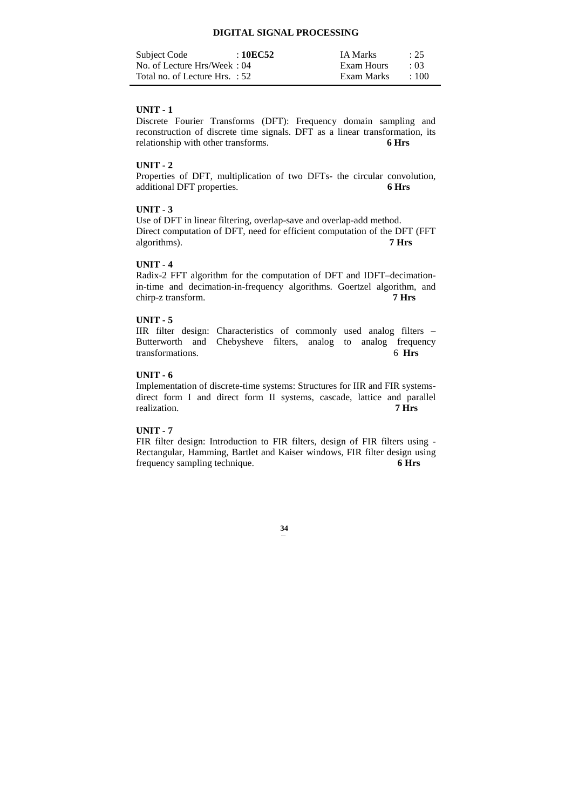# **DIGITAL SIGNAL PROCESSING**

| Subject Code                   | : 10EC52 | <b>IA Marks</b> | : 25        |
|--------------------------------|----------|-----------------|-------------|
| No. of Lecture Hrs/Week: 04    |          | Exam Hours      | $\cdot$ 03  |
| Total no. of Lecture Hrs. : 52 |          | Exam Marks      | $\cdot$ 100 |

# **UNIT - 1**

Discrete Fourier Transforms (DFT): Frequency domain sampling and reconstruction of discrete time signals. DFT as a linear transformation, its relationship with other transforms. **6 Hrs** 

## **UNIT - 2**

Properties of DFT, multiplication of two DFTs- the circular convolution, additional DFT properties. **6 Hrs** 

# **UNIT - 3**

Use of DFT in linear filtering, overlap-save and overlap-add method. Direct computation of DFT, need for efficient computation of the DFT (FFT algorithms). **7 Hrs** 

## **UNIT - 4**

Radix-2 FFT algorithm for the computation of DFT and IDFT–decimationin-time and decimation-in-frequency algorithms. Goertzel algorithm, and chirp-z transform. **7 Hrs** 

## **UNIT - 5**

IIR filter design: Characteristics of commonly used analog filters – Butterworth and Chebysheve filters, analog to analog frequency transformations. 6 **Hrs** 

# **UNIT - 6**

Implementation of discrete-time systems: Structures for IIR and FIR systemsdirect form I and direct form II systems, cascade, lattice and parallel realization. **7 Hrs** 

## **UNIT - 7**

FIR filter design: Introduction to FIR filters, design of FIR filters using - Rectangular, Hamming, Bartlet and Kaiser windows, FIR filter design using frequency sampling technique. **6 Hrs**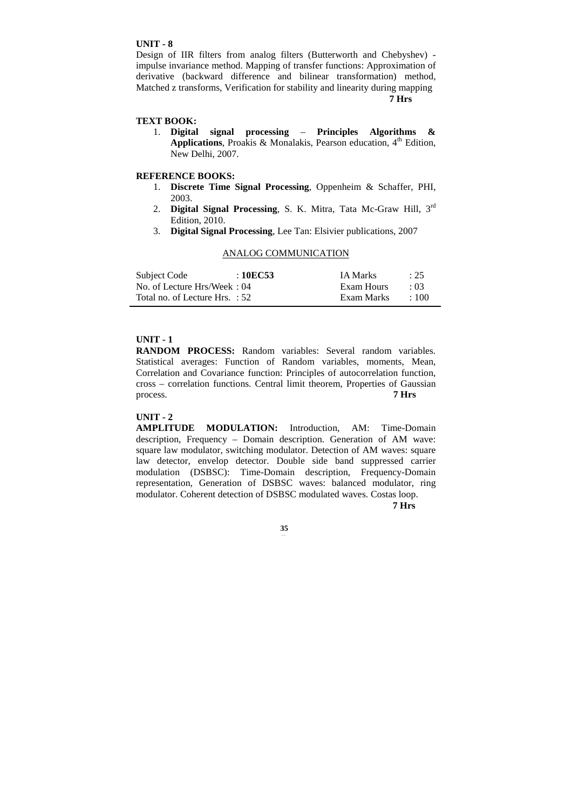## **UNIT - 8**

Design of IIR filters from analog filters (Butterworth and Chebyshev) impulse invariance method. Mapping of transfer functions: Approximation of derivative (backward difference and bilinear transformation) method, Matched z transforms, Verification for stability and linearity during mapping **7 Hrs** 

# **TEXT BOOK:**

1. **Digital signal processing** – **Principles Algorithms & Applications**, Proakis & Monalakis, Pearson education,  $4<sup>th</sup>$  Edition, New Delhi, 2007.

## **REFERENCE BOOKS:**

- 1. **Discrete Time Signal Processing**, Oppenheim & Schaffer, PHI, 2003.
- 2. **Digital Signal Processing**, S. K. Mitra, Tata Mc-Graw Hill, 3rd Edition, 2010.
- 3. **Digital Signal Processing**, Lee Tan: Elsivier publications, 2007

## ANALOG COMMUNICATION

| Subject Code                   | :10EC53 | <b>IA Marks</b> | $\therefore$ 25 |
|--------------------------------|---------|-----------------|-----------------|
| No. of Lecture Hrs/Week: 04    |         | Exam Hours      | $\cdot$ 03      |
| Total no. of Lecture Hrs. : 52 |         | Exam Marks      | $+100$          |

## **UNIT - 1**

**RANDOM PROCESS:** Random variables: Several random variables. Statistical averages: Function of Random variables, moments, Mean, Correlation and Covariance function: Principles of autocorrelation function, cross – correlation functions. Central limit theorem, Properties of Gaussian process.

#### **UNIT - 2**

**AMPLITUDE MODULATION:** Introduction, AM: Time-Domain description, Frequency – Domain description. Generation of AM wave: square law modulator, switching modulator. Detection of AM waves: square law detector, envelop detector. Double side band suppressed carrier modulation (DSBSC): Time-Domain description, Frequency-Domain representation, Generation of DSBSC waves: balanced modulator, ring modulator. Coherent detection of DSBSC modulated waves. Costas loop.  **7 Hrs**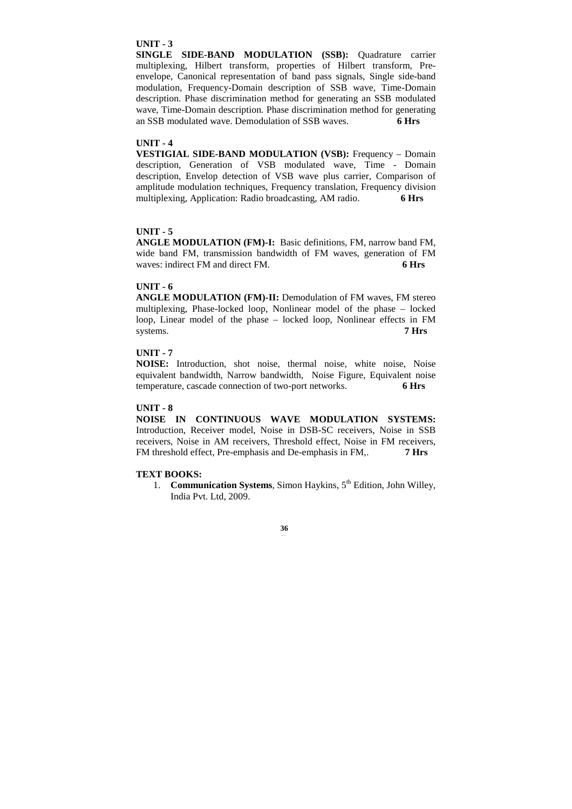## **UNIT - 3**

**SINGLE SIDE-BAND MODULATION (SSB):** Quadrature carrier multiplexing, Hilbert transform, properties of Hilbert transform, Preenvelope, Canonical representation of band pass signals, Single side-band modulation, Frequency-Domain description of SSB wave, Time-Domain description. Phase discrimination method for generating an SSB modulated wave, Time-Domain description. Phase discrimination method for generating an SSB modulated wave. Demodulation of SSB waves. **6 Hrs** 

## **UNIT - 4**

**VESTIGIAL SIDE-BAND MODULATION (VSB):** Frequency – Domain description, Generation of VSB modulated wave, Time - Domain description, Envelop detection of VSB wave plus carrier, Comparison of amplitude modulation techniques, Frequency translation, Frequency division multiplexing, Application: Radio broadcasting, AM radio. **6 Hrs** 

## **UNIT - 5**

**ANGLE MODULATION (FM)-I:** Basic definitions, FM, narrow band FM, wide band FM, transmission bandwidth of FM waves, generation of FM waves: indirect FM and direct FM. **6 Hrs** 

#### **UNIT - 6**

**ANGLE MODULATION (FM)-II:** Demodulation of FM waves, FM stereo multiplexing, Phase-locked loop, Nonlinear model of the phase – locked loop, Linear model of the phase – locked loop, Nonlinear effects in FM systems. **7 Hrs** 

# **UNIT - 7**

**NOISE:** Introduction, shot noise, thermal noise, white noise, Noise equivalent bandwidth, Narrow bandwidth, Noise Figure, Equivalent noise temperature, cascade connection of two-port networks. **6 Hrs** 

# **UNIT - 8**

**NOISE IN CONTINUOUS WAVE MODULATION SYSTEMS:**  Introduction, Receiver model, Noise in DSB-SC receivers, Noise in SSB receivers, Noise in AM receivers, Threshold effect, Noise in FM receivers, FM threshold effect, Pre-emphasis and De-emphasis in FM,. **7 Hrs** 

## **TEXT BOOKS:**

1. **Communication Systems**, Simon Haykins, 5th Edition, John Willey, India Pvt. Ltd, 2009.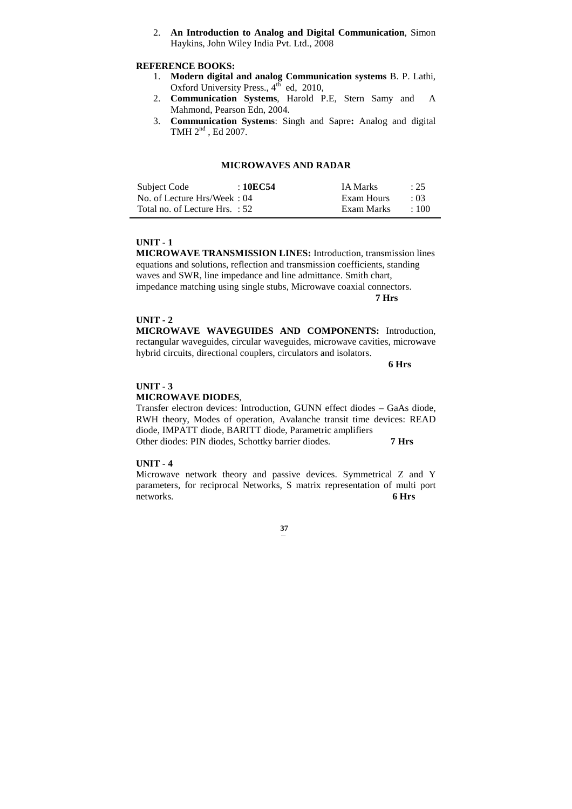2. **An Introduction to Analog and Digital Communication**, Simon Haykins, John Wiley India Pvt. Ltd., 2008

# **REFERENCE BOOKS:**

- 1. **Modern digital and analog Communication systems** B. P. Lathi, Oxford University Press., 4<sup>th</sup> ed, 2010,
- 2. **Communication Systems**, Harold P.E, Stern Samy and A Mahmond, Pearson Edn, 2004.
- 3. **Communication Systems**: Singh and Sapre**:** Analog and digital TMH 2<sup>nd</sup>, Ed 2007.

# **MICROWAVES AND RADAR**

| Subject Code                   | : 10EC54 | <b>IA Marks</b> | : 25       |
|--------------------------------|----------|-----------------|------------|
| No. of Lecture Hrs/Week: 04    |          | Exam Hours      | $\cdot$ 03 |
| Total no. of Lecture Hrs. : 52 |          | Exam Marks      | $\pm 100$  |

## **UNIT - 1**

**MICROWAVE TRANSMISSION LINES:** Introduction, transmission lines equations and solutions, reflection and transmission coefficients, standing waves and SWR, line impedance and line admittance. Smith chart, impedance matching using single stubs, Microwave coaxial connectors. **7 Hrs**

## **UNIT - 2**

**MICROWAVE WAVEGUIDES AND COMPONENTS:** Introduction, rectangular waveguides, circular waveguides, microwave cavities, microwave hybrid circuits, directional couplers, circulators and isolators.

 **6 Hrs** 

## **UNIT - 3**

## **MICROWAVE DIODES**,

Transfer electron devices: Introduction, GUNN effect diodes – GaAs diode, RWH theory, Modes of operation, Avalanche transit time devices: READ diode, IMPATT diode, BARITT diode, Parametric amplifiers Other diodes: PIN diodes, Schottky barrier diodes. **7 Hrs** 

#### **UNIT - 4**

Microwave network theory and passive devices. Symmetrical Z and Y parameters, for reciprocal Networks, S matrix representation of multi port networks. **6 Hrs**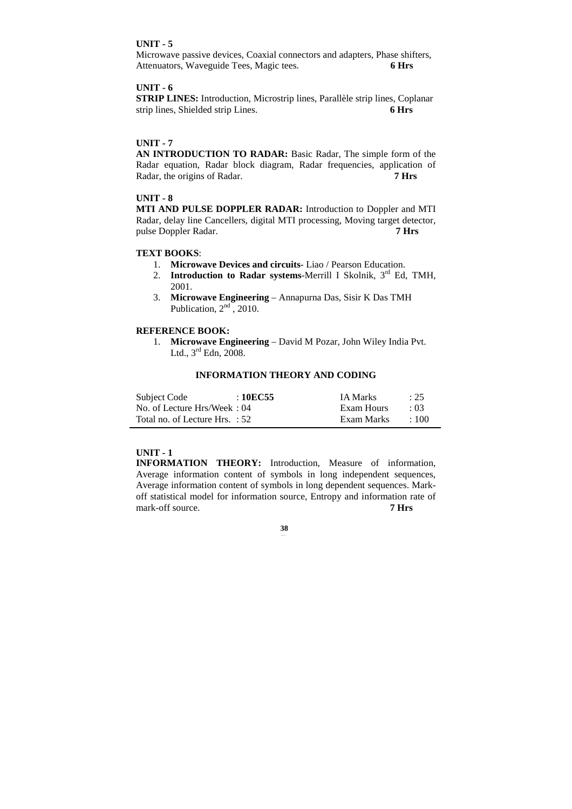# **UNIT - 5**

Microwave passive devices, Coaxial connectors and adapters, Phase shifters, Attenuators, Waveguide Tees, Magic tees. **6 Hrs** 

## **UNIT - 6**

**STRIP LINES:** Introduction, Microstrip lines, Parallèle strip lines, Coplanar strip lines, Shielded strip Lines. **6 Hrs** 

## **UNIT - 7**

**AN INTRODUCTION TO RADAR:** Basic Radar, The simple form of the Radar equation, Radar block diagram, Radar frequencies, application of Radar, the origins of Radar. **7 Hrs** 

# **UNIT - 8**

**MTI AND PULSE DOPPLER RADAR:** Introduction to Doppler and MTI Radar, delay line Cancellers, digital MTI processing, Moving target detector, pulse Doppler Radar. **7 Hrs** 

# **TEXT BOOKS**:

- 1. **Microwave Devices and circuits** Liao / Pearson Education.
- 2. **Introduction to Radar systems**-Merrill I Skolnik, 3rd Ed, TMH, 2001.
- 3. **Microwave Engineering** Annapurna Das, Sisir K Das TMH Publication,  $2<sup>nd</sup>$ , 2010.

## **REFERENCE BOOK:**

1. **Microwave Engineering** – David M Pozar, John Wiley India Pvt. Ltd.,  $3^{\text{rd}}$  Edn,  $2008$ .

# **INFORMATION THEORY AND CODING**

| Subject Code                   | : 10EC55 | <b>IA Marks</b> | : 25       |
|--------------------------------|----------|-----------------|------------|
| No. of Lecture Hrs/Week: 04    |          | Exam Hours      | $\cdot$ 03 |
| Total no. of Lecture Hrs. : 52 |          | Exam Marks      | $\pm 100$  |

# **UNIT - 1**

**INFORMATION THEORY:** Introduction, Measure of information, Average information content of symbols in long independent sequences, Average information content of symbols in long dependent sequences. Markoff statistical model for information source, Entropy and information rate of mark-off source. **7 Hrs**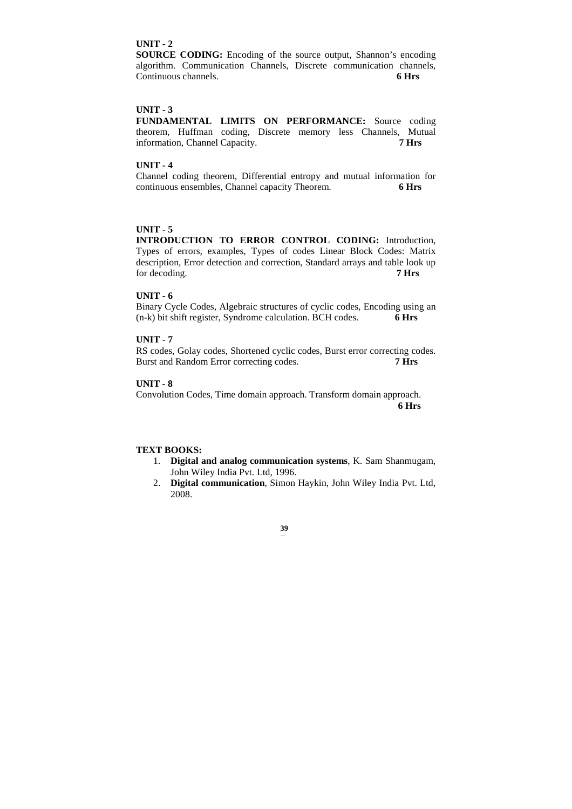## **UNIT - 2**

**SOURCE CODING:** Encoding of the source output, Shannon's encoding algorithm. Communication Channels, Discrete communication channels, Continuous channels. **6 Hrs** 

## **UNIT - 3**

**FUNDAMENTAL LIMITS ON PERFORMANCE:** Source coding theorem, Huffman coding, Discrete memory less Channels, Mutual information, Channel Capacity. **7 Hrs** 

## **UNIT - 4**

Channel coding theorem, Differential entropy and mutual information for continuous ensembles, Channel capacity Theorem. **6 Hrs** 

# **UNIT - 5**

**INTRODUCTION TO ERROR CONTROL CODING:** Introduction, Types of errors, examples, Types of codes Linear Block Codes: Matrix description, Error detection and correction, Standard arrays and table look up for decoding. **7 Hrs** 

## **UNIT - 6**

Binary Cycle Codes, Algebraic structures of cyclic codes, Encoding using an (n-k) bit shift register, Syndrome calculation. BCH codes. **6 Hrs** 

## **UNIT - 7**

RS codes, Golay codes, Shortened cyclic codes, Burst error correcting codes. Burst and Random Error correcting codes. **7 Hrs** 

# **UNIT - 8**

Convolution Codes, Time domain approach. Transform domain approach.

**6 Hrs**

#### **TEXT BOOKS:**

- 1. **Digital and analog communication systems**, K. Sam Shanmugam, John Wiley India Pvt. Ltd, 1996.
- 2. **Digital communication**, Simon Haykin, John Wiley India Pvt. Ltd, 2008.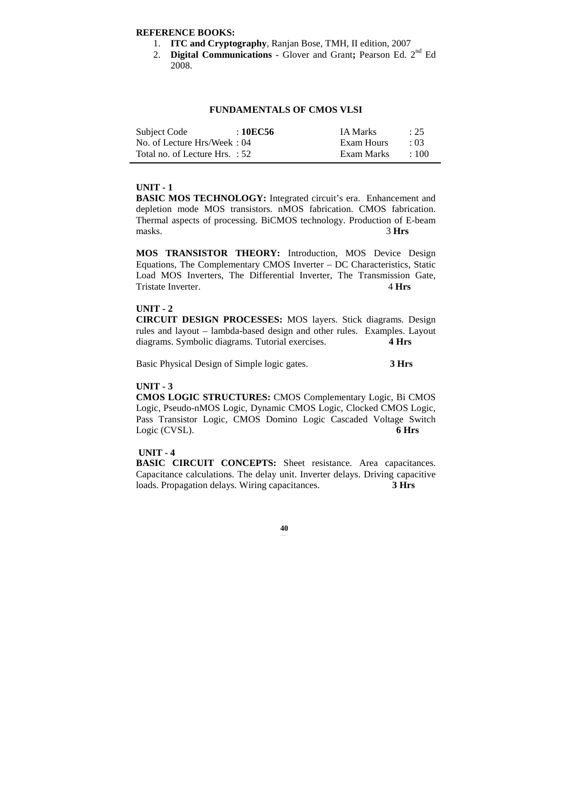# **REFERENCE BOOKS:**

- 1. **ITC and Cryptography**, Ranjan Bose, TMH, II edition, 2007
- 2. **Digital Communications** Glover and Grant**;** Pearson Ed. 2nd Ed 2008.

## **FUNDAMENTALS OF CMOS VLSI**

| Subject Code                   | :10EC56 | <b>IA Marks</b> | $\therefore$ 25 |
|--------------------------------|---------|-----------------|-----------------|
| No. of Lecture Hrs/Week: 04    |         | Exam Hours      | $\cdot$ 03      |
| Total no. of Lecture Hrs. : 52 |         | Exam Marks      | $\div 100$      |

# **UNIT - 1**

**BASIC MOS TECHNOLOGY:** Integrated circuit's era. Enhancement and depletion mode MOS transistors. nMOS fabrication. CMOS fabrication. Thermal aspects of processing. BiCMOS technology. Production of E-beam masks. 3 **Hrs** 

**MOS TRANSISTOR THEORY:** Introduction, MOS Device Design Equations, The Complementary CMOS Inverter – DC Characteristics, Static Load MOS Inverters, The Differential Inverter, The Transmission Gate, Tristate Inverter. 4 Hrs

## **UNIT - 2**

**CIRCUIT DESIGN PROCESSES:** MOS layers. Stick diagrams. Design rules and layout – lambda-based design and other rules. Examples. Layout diagrams. Symbolic diagrams. Tutorial exercises. **4 Hrs** 

Basic Physical Design of Simple logic gates. **3 Hrs**

## **UNIT - 3**

**CMOS LOGIC STRUCTURES:** CMOS Complementary Logic, Bi CMOS Logic, Pseudo-nMOS Logic, Dynamic CMOS Logic, Clocked CMOS Logic, Pass Transistor Logic, CMOS Domino Logic Cascaded Voltage Switch Logic (CVSL). **6 Hrs** 

#### **UNIT - 4**

**BASIC CIRCUIT CONCEPTS:** Sheet resistance. Area capacitances. Capacitance calculations. The delay unit. Inverter delays. Driving capacitive loads. Propagation delays. Wiring capacitances. **3 Hrs**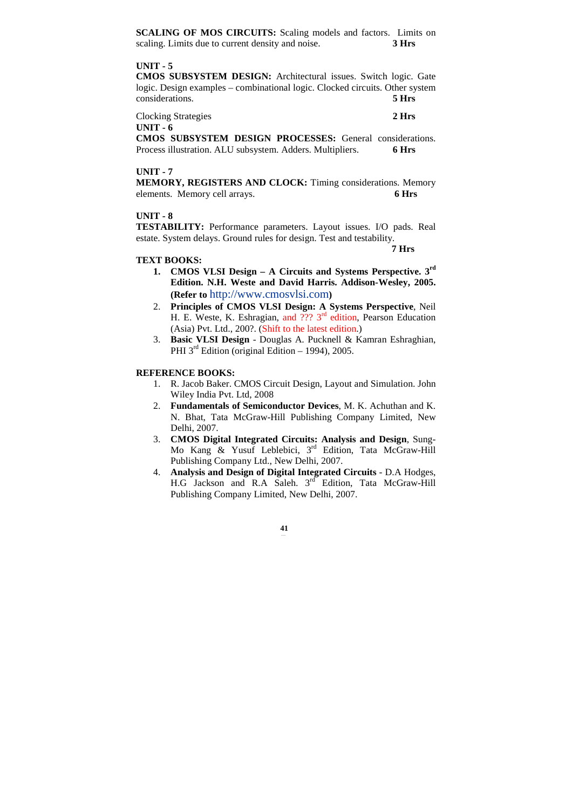**SCALING OF MOS CIRCUITS:** Scaling models and factors.Limits on scaling. Limits due to current density and noise. **3 Hrs** 

#### **UNIT - 5**

**CMOS SUBSYSTEM DESIGN:** Architectural issues. Switch logic. Gate logic. Design examples – combinational logic. Clocked circuits. Other system considerations. **5 Hrs** 

Clocking Strategies **2 Hrs** 

**UNIT - 6** 

**CMOS SUBSYSTEM DESIGN PROCESSES:** General considerations. Process illustration. ALU subsystem. Adders. Multipliers. **6 Hrs** 

### **UNIT - 7**

**MEMORY, REGISTERS AND CLOCK:** Timing considerations. Memory elements. Memory cell arrays. **6 Hrs** 

### **UNIT - 8**

**TESTABILITY:** Performance parameters. Layout issues. I/O pads. Real estate. System delays. Ground rules for design. Test and testability.

 **7 Hrs** 

### **TEXT BOOKS:**

- **1. CMOS VLSI Design A Circuits and Systems Perspective. 3rd Edition. N.H. Weste and David Harris. Addison-Wesley, 2005. (Refer to** http://www.cmosvlsi.com**)**
- 2. **Principles of CMOS VLSI Design: A Systems Perspective**, Neil H. E. Weste, K. Eshragian, and ??? 3<sup>rd</sup> edition, Pearson Education (Asia) Pvt. Ltd., 200?. (Shift to the latest edition.)
- 3. **Basic VLSI Design** Douglas A. Pucknell & Kamran Eshraghian, PHI  $3<sup>rd</sup>$  Edition (original Edition – 1994), 2005.

### **REFERENCE BOOKS:**

- 1. R. Jacob Baker. CMOS Circuit Design, Layout and Simulation. John Wiley India Pvt. Ltd, 2008
- 2. **Fundamentals of Semiconductor Devices**, M. K. Achuthan and K. N. Bhat, Tata McGraw-Hill Publishing Company Limited, New Delhi, 2007.
- 3. **CMOS Digital Integrated Circuits: Analysis and Design**, Sung-Mo Kang & Yusuf Leblebici, 3<sup>rd</sup> Edition, Tata McGraw-Hill Publishing Company Ltd., New Delhi, 2007.
- 4. **Analysis and Design of Digital Integrated Circuits**  D.A Hodges, H.G Jackson and R.A Saleh. 3<sup>rd</sup> Edition, Tata McGraw-Hill Publishing Company Limited, New Delhi, 2007.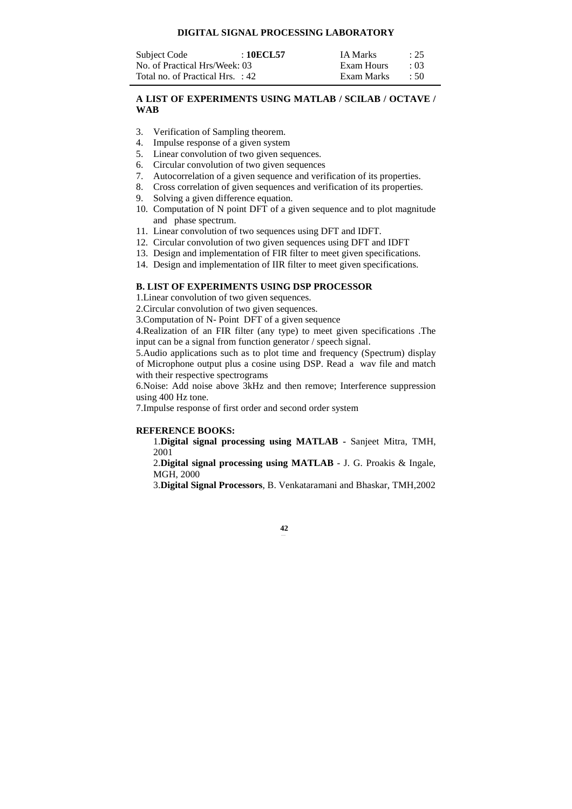# **DIGITAL SIGNAL PROCESSING LABORATORY**

| Subject Code                     | : 10ECL57 | IA Marks   | : 25       |
|----------------------------------|-----------|------------|------------|
| No. of Practical Hrs/Week: 03    |           | Exam Hours | $\cdot$ 03 |
| Total no. of Practical Hrs. : 42 |           | Exam Marks | .50        |

# **A LIST OF EXPERIMENTS USING MATLAB / SCILAB / OCTAVE / WAB**

- 3. Verification of Sampling theorem.
- 4. Impulse response of a given system
- 5. Linear convolution of two given sequences.
- 6. Circular convolution of two given sequences
- 7. Autocorrelation of a given sequence and verification of its properties.
- 8. Cross correlation of given sequences and verification of its properties.
- 9. Solving a given difference equation.
- 10. Computation of N point DFT of a given sequence and to plot magnitude and phase spectrum.
- 11. Linear convolution of two sequences using DFT and IDFT.
- 12. Circular convolution of two given sequences using DFT and IDFT
- 13. Design and implementation of FIR filter to meet given specifications.
- 14. Design and implementation of IIR filter to meet given specifications.

# **B. LIST OF EXPERIMENTS USING DSP PROCESSOR**

### 1.Linear convolution of two given sequences.

2.Circular convolution of two given sequences.

3.Computation of N- Point DFT of a given sequence

4.Realization of an FIR filter (any type) to meet given specifications .The input can be a signal from function generator / speech signal.

5.Audio applications such as to plot time and frequency (Spectrum) display of Microphone output plus a cosine using DSP. Read a wav file and match with their respective spectrograms

6.Noise: Add noise above 3kHz and then remove; Interference suppression using 400 Hz tone.

7.Impulse response of first order and second order system

#### **REFERENCE BOOKS:**

1.**Digital signal processing using MATLAB -** Sanjeet Mitra, TMH, 2001

2.**Digital signal processing using MATLAB** - J. G. Proakis & Ingale, MGH, 2000

3.**Digital Signal Processors**, B. Venkataramani and Bhaskar, TMH,2002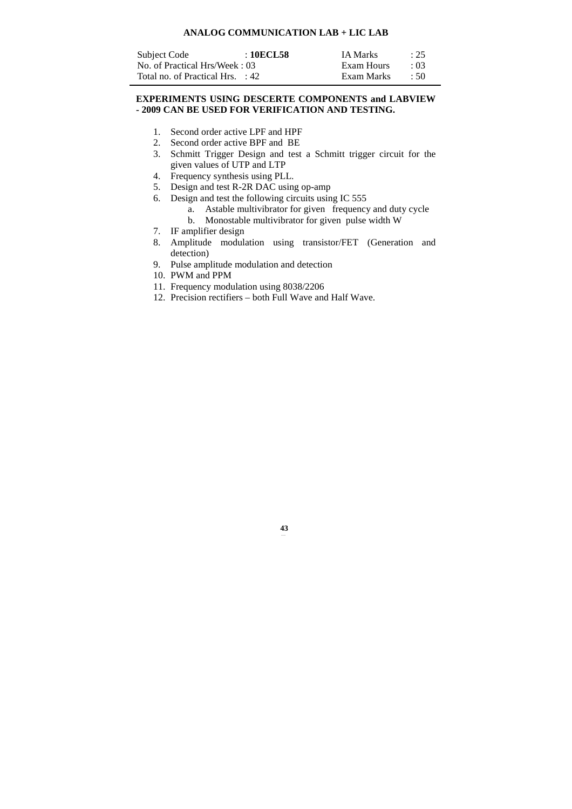# **ANALOG COMMUNICATION LAB + LIC LAB**

| Subject Code                     | : 10ECL58 | <b>IA Marks</b> | : 25       |
|----------------------------------|-----------|-----------------|------------|
| No. of Practical Hrs/Week: 03    |           | Exam Hours      | $\cdot$ 03 |
| Total no. of Practical Hrs. : 42 |           | Exam Marks      | $\div$ 50  |

# **EXPERIMENTS USING DESCERTE COMPONENTS and LABVIEW - 2009 CAN BE USED FOR VERIFICATION AND TESTING.**

- 1. Second order active LPF and HPF
- 2. Second order active BPF and BE
- 3. Schmitt Trigger Design and test a Schmitt trigger circuit for the given values of UTP and LTP
- 4. Frequency synthesis using PLL.
- 5. Design and test R-2R DAC using op-amp
- 6. Design and test the following circuits using IC 555
	- a. Astable multivibrator for given frequency and duty cycle
	- b. Monostable multivibrator for given pulse width W
- 7. IF amplifier design
- 8. Amplitude modulation using transistor/FET (Generation and detection)
- 9. Pulse amplitude modulation and detection
- 10. PWM and PPM
- 11. Frequency modulation using 8038/2206
- 12. Precision rectifiers both Full Wave and Half Wave.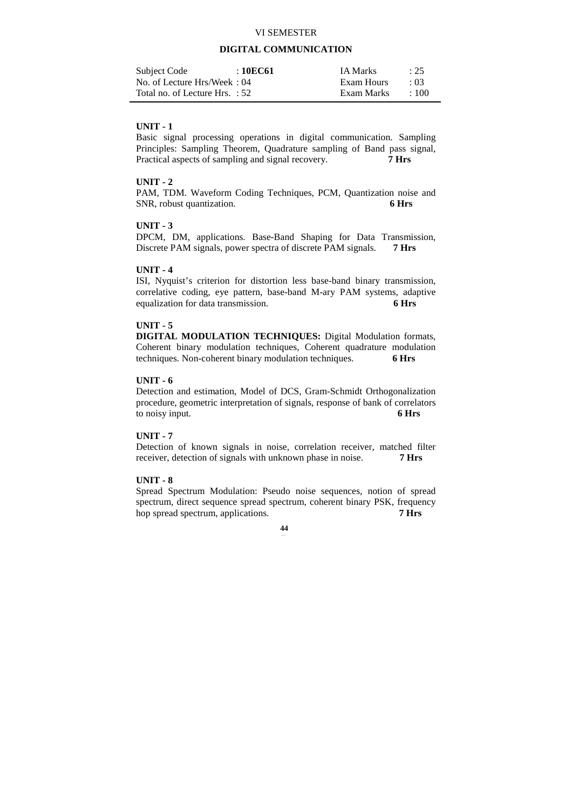# VI SEMESTER

# **DIGITAL COMMUNICATION**

| Subject Code                   | : 10EC61 | <b>IA Marks</b> | $\therefore$ 25 |
|--------------------------------|----------|-----------------|-----------------|
| No. of Lecture Hrs/Week: 04    |          | Exam Hours      | $\cdot$ 03      |
| Total no. of Lecture Hrs. : 52 |          | Exam Marks      | :100            |

### **UNIT - 1**

Basic signal processing operations in digital communication. Sampling Principles: Sampling Theorem, Quadrature sampling of Band pass signal, Practical aspects of sampling and signal recovery. **7 Hrs** 

### **UNIT - 2**

PAM, TDM. Waveform Coding Techniques, PCM, Quantization noise and SNR, robust quantization. **6 Hrs** 

# **UNIT - 3**

DPCM, DM, applications. Base-Band Shaping for Data Transmission, Discrete PAM signals, power spectra of discrete PAM signals. **7 Hrs** 

# **UNIT - 4**

ISI, Nyquist's criterion for distortion less base-band binary transmission, correlative coding, eye pattern, base-band M-ary PAM systems, adaptive equalization for data transmission. **6 Hrs** 

### **UNIT - 5**

**DIGITAL MODULATION TECHNIQUES:** Digital Modulation formats, Coherent binary modulation techniques, Coherent quadrature modulation techniques. Non-coherent binary modulation techniques. **6 Hrs** 

### **UNIT - 6**

Detection and estimation, Model of DCS, Gram-Schmidt Orthogonalization procedure, geometric interpretation of signals, response of bank of correlators to noisy input. **6 Hrs** 

# **UNIT - 7**

Detection of known signals in noise, correlation receiver, matched filter receiver, detection of signals with unknown phase in noise. **7 Hrs** 

# **UNIT - 8**

Spread Spectrum Modulation: Pseudo noise sequences, notion of spread spectrum, direct sequence spread spectrum, coherent binary PSK, frequency hop spread spectrum, applications. **7 Hrs**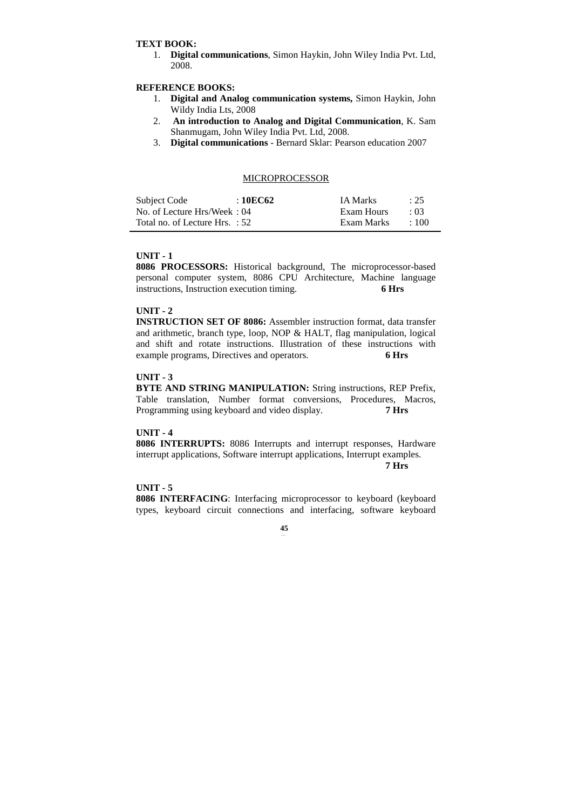### **TEXT BOOK:**

1. **Digital communications**, Simon Haykin, John Wiley India Pvt. Ltd, 2008.

# **REFERENCE BOOKS:**

- 1. **Digital and Analog communication systems,** Simon Haykin, John Wildy India Lts, 2008
- 2. **An introduction to Analog and Digital Communication**, K. Sam Shanmugam, John Wiley India Pvt. Ltd, 2008.
- 3. **Digital communications** Bernard Sklar: Pearson education 2007

### MICROPROCESSOR

| Subject Code                   | : 10EC62 | IA Marks   | : 25       |
|--------------------------------|----------|------------|------------|
| No. of Lecture Hrs/Week: 04    |          | Exam Hours | $\cdot$ 03 |
| Total no. of Lecture Hrs. : 52 |          | Exam Marks | $+100$     |

### **UNIT - 1**

**8086 PROCESSORS:** Historical background, The microprocessor-based personal computer system, 8086 CPU Architecture, Machine language instructions, Instruction execution timing. **6 Hrs** 

# **UNIT - 2**

**INSTRUCTION SET OF 8086:** Assembler instruction format, data transfer and arithmetic, branch type, loop, NOP & HALT, flag manipulation, logical and shift and rotate instructions. Illustration of these instructions with example programs, Directives and operators. **6 Hrs** 

### **UNIT - 3**

**BYTE AND STRING MANIPULATION:** String instructions, REP Prefix, Table translation, Number format conversions, Procedures, Macros, Programming using keyboard and video display. **7 Hrs** 

#### **UNIT - 4**

**8086 INTERRUPTS:** 8086 Interrupts and interrupt responses, Hardware interrupt applications, Software interrupt applications, Interrupt examples.  **7 Hrs** 

# **UNIT - 5**

**8086 INTERFACING**: Interfacing microprocessor to keyboard (keyboard types, keyboard circuit connections and interfacing, software keyboard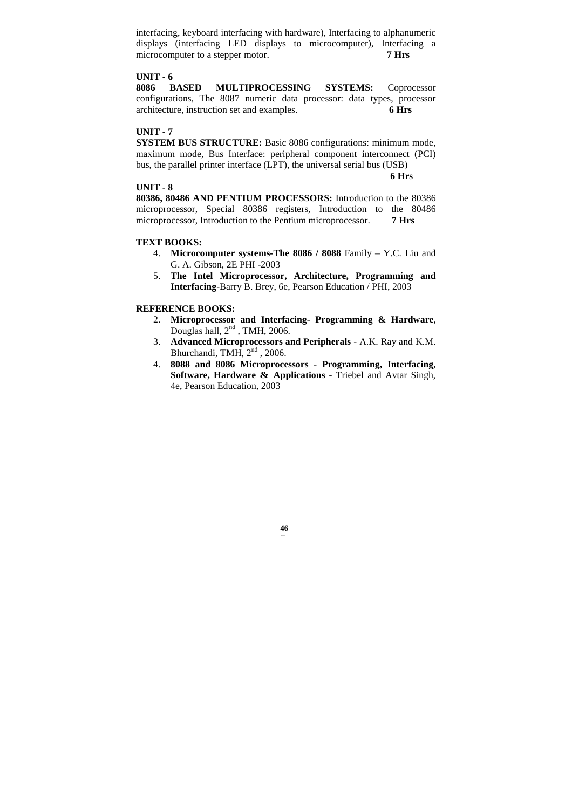interfacing, keyboard interfacing with hardware), Interfacing to alphanumeric displays (interfacing LED displays to microcomputer), Interfacing a microcomputer to a stepper motor. **7 Hrs** 

# **UNIT - 6**

**8086 BASED MULTIPROCESSING SYSTEMS:** Coprocessor configurations, The 8087 numeric data processor: data types, processor architecture, instruction set and examples. **6 Hrs** 

### **UNIT - 7**

**SYSTEM BUS STRUCTURE:** Basic 8086 configurations: minimum mode, maximum mode, Bus Interface: peripheral component interconnect (PCI) bus, the parallel printer interface (LPT), the universal serial bus (USB)

**6 Hrs**

#### **UNIT - 8**

**80386, 80486 AND PENTIUM PROCESSORS:** Introduction to the 80386 microprocessor, Special 80386 registers, Introduction to the 80486 microprocessor, Introduction to the Pentium microprocessor. **7 Hrs** 

#### **TEXT BOOKS:**

- 4. **Microcomputer systems-The 8086 / 8088** Family Y.C. Liu and G. A. Gibson, 2E PHI -2003
- 5. **The Intel Microprocessor, Architecture, Programming and Interfacing**-Barry B. Brey, 6e, Pearson Education / PHI, 2003

### **REFERENCE BOOKS:**

- 2. **Microprocessor and Interfacing- Programming & Hardware**, Douglas hall,  $2<sup>nd</sup>$ , TMH, 2006.
- 3. **Advanced Microprocessors and Peripherals** A.K. Ray and K.M. Bhurchandi, TMH, 2<sup>nd</sup>, 2006.
- 4. **8088 and 8086 Microprocessors Programming, Interfacing, Software, Hardware & Applications** - Triebel and Avtar Singh, 4e, Pearson Education, 2003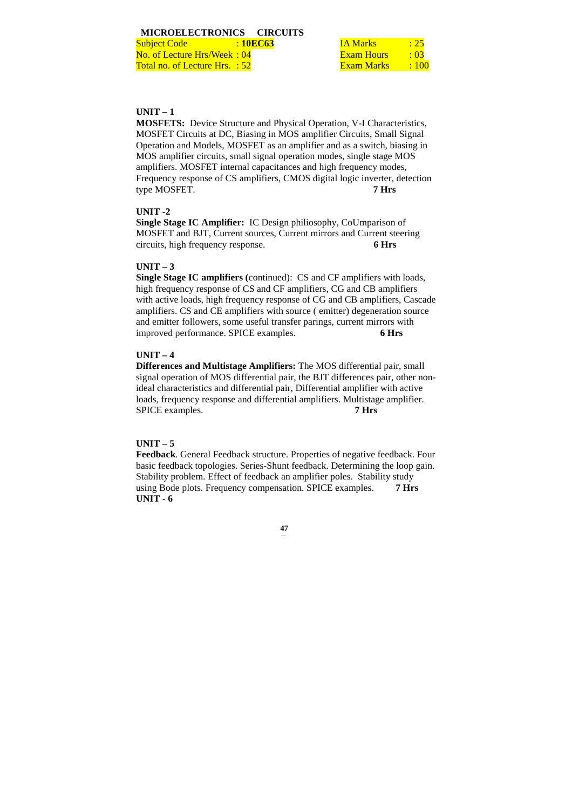**Subject Code** : **10EC63** No. of Lecture Hrs/Week: 04 Total no. of Lecture Hrs. : 52

| IA Marks   | : 25 |
|------------|------|
| Exam Hours | : 03 |
| Exam Marks | :100 |

# **UNIT – 1**

**MOSFETS:** Device Structure and Physical Operation, V-I Characteristics, MOSFET Circuits at DC, Biasing in MOS amplifier Circuits, Small Signal Operation and Models, MOSFET as an amplifier and as a switch, biasing in MOS amplifier circuits, small signal operation modes, single stage MOS amplifiers. MOSFET internal capacitances and high frequency modes, Frequency response of CS amplifiers, CMOS digital logic inverter, detection type MOSFET. **7 Hrs**

### **UNIT -2**

**Single Stage IC Amplifier:** IC Design philiosophy, CoUmparison of MOSFET and BJT, Current sources, Current mirrors and Current steering circuits, high frequency response. **6 Hrs**

# **UNIT – 3**

**Single Stage IC amplifiers (**continued): CS and CF amplifiers with loads, high frequency response of CS and CF amplifiers, CG and CB amplifiers with active loads, high frequency response of CG and CB amplifiers, Cascade amplifiers. CS and CE amplifiers with source ( emitter) degeneration source and emitter followers, some useful transfer parings, current mirrors with improved performance. SPICE examples. **6 Hrs** 

# **UNIT – 4**

**Differences and Multistage Amplifiers:** The MOS differential pair, small signal operation of MOS differential pair, the BJT differences pair, other nonideal characteristics and differential pair, Differential amplifier with active loads, frequency response and differential amplifiers. Multistage amplifier. SPICE examples. **7 Hrs** 

# **UNIT – 5**

**Feedback**. General Feedback structure. Properties of negative feedback. Four basic feedback topologies. Series-Shunt feedback. Determining the loop gain. Stability problem. Effect of feedback an amplifier poles. Stability study using Bode plots. Frequency compensation. SPICE examples. **7 Hrs UNIT - 6**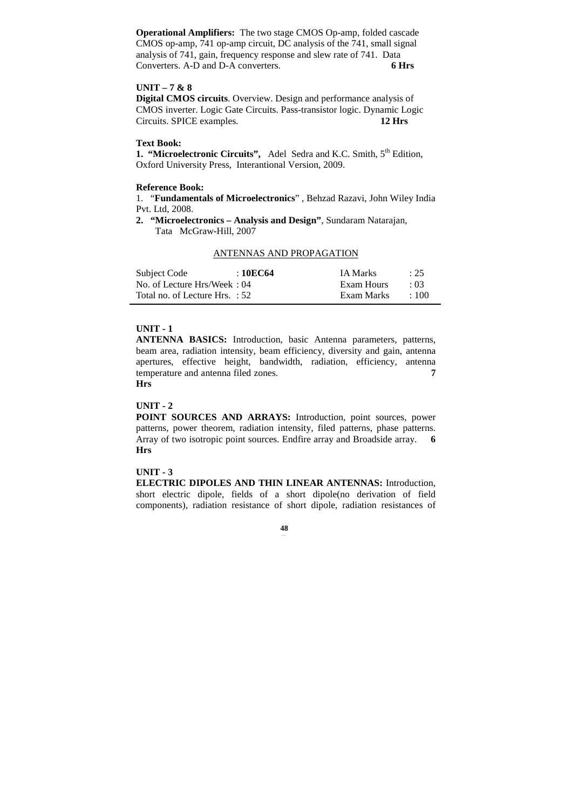**Operational Amplifiers:** The two stage CMOS Op-amp, folded cascade CMOS op-amp, 741 op-amp circuit, DC analysis of the 741, small signal analysis of 741, gain, frequency response and slew rate of 741. Data Converters. A-D and D-A converters. **6 Hrs** 

### **UNIT – 7 & 8**

**Digital CMOS circuits**. Overview. Design and performance analysis of CMOS inverter. Logic Gate Circuits. Pass-transistor logic. Dynamic Logic Circuits. SPICE examples. **12 Hrs** 

# **Text Book:**

1. "Microelectronic Circuits", Adel Sedra and K.C. Smith, 5<sup>th</sup> Edition, Oxford University Press, Interantional Version, 2009.

### **Reference Book:**

1. "**Fundamentals of Microelectronics**" , Behzad Razavi, John Wiley India Pvt. Ltd, 2008.

**2. "Microelectronics – Analysis and Design"**, Sundaram Natarajan, Tata McGraw-Hill, 2007

# ANTENNAS AND PROPAGATION

| Subject Code                     | :10EC64 | <b>IA Marks</b> | $\therefore$ 25 |
|----------------------------------|---------|-----------------|-----------------|
| No. of Lecture Hrs/Week: 04      |         | Exam Hours      | $\cdot$ 03      |
| Total no. of Lecture Hrs. $: 52$ |         | Exam Marks      | $+100$          |

### **UNIT - 1**

**ANTENNA BASICS:** Introduction, basic Antenna parameters, patterns, beam area, radiation intensity, beam efficiency, diversity and gain, antenna apertures, effective height, bandwidth, radiation, efficiency, antenna temperature and antenna filed zones. **7** 

# **Hrs**

# **UNIT - 2**

**POINT SOURCES AND ARRAYS:** Introduction, point sources, power patterns, power theorem, radiation intensity, filed patterns, phase patterns. Array of two isotropic point sources. Endfire array and Broadside array. **6 Hrs**

### **UNIT - 3**

**ELECTRIC DIPOLES AND THIN LINEAR ANTENNAS:** Introduction, short electric dipole, fields of a short dipole(no derivation of field components), radiation resistance of short dipole, radiation resistances of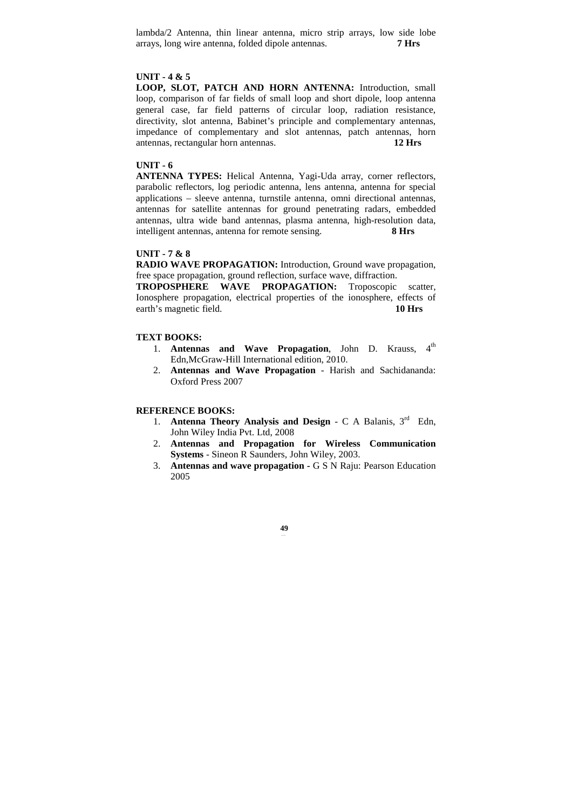lambda/2 Antenna, thin linear antenna, micro strip arrays, low side lobe arrays, long wire antenna, folded dipole antennas. **7 Hrs** 

### **UNIT - 4 & 5**

**LOOP, SLOT, PATCH AND HORN ANTENNA:** Introduction, small loop, comparison of far fields of small loop and short dipole, loop antenna general case, far field patterns of circular loop, radiation resistance, directivity, slot antenna, Babinet's principle and complementary antennas, impedance of complementary and slot antennas, patch antennas, horn antennas, rectangular horn antennas. **12 Hrs** 

# **UNIT - 6**

**ANTENNA TYPES:** Helical Antenna, Yagi-Uda array, corner reflectors, parabolic reflectors, log periodic antenna, lens antenna, antenna for special applications – sleeve antenna, turnstile antenna, omni directional antennas, antennas for satellite antennas for ground penetrating radars, embedded antennas, ultra wide band antennas, plasma antenna, high-resolution data, intelligent antennas, antenna for remote sensing. **8 Hrs** 

#### **UNIT - 7 & 8**

**RADIO WAVE PROPAGATION:** Introduction, Ground wave propagation, free space propagation, ground reflection, surface wave, diffraction.

**TROPOSPHERE WAVE PROPAGATION:** Troposcopic scatter, Ionosphere propagation, electrical properties of the ionosphere, effects of earth's magnetic field. **10 Hrs** 

# **TEXT BOOKS:**

- 1. **Antennas and Wave Propagation**, John D. Krauss, 4<sup>th</sup> Edn,McGraw-Hill International edition, 2010.
- 2. **Antennas and Wave Propagation** Harish and Sachidananda: Oxford Press 2007

# **REFERENCE BOOKS:**

- 1. **Antenna Theory Analysis and Design** C A Balanis. 3<sup>rd</sup> Edn. John Wiley India Pvt. Ltd, 2008
- 2. **Antennas and Propagation for Wireless Communication Systems** - Sineon R Saunders, John Wiley, 2003.
- 3. **Antennas and wave propagation** G S N Raju: Pearson Education 2005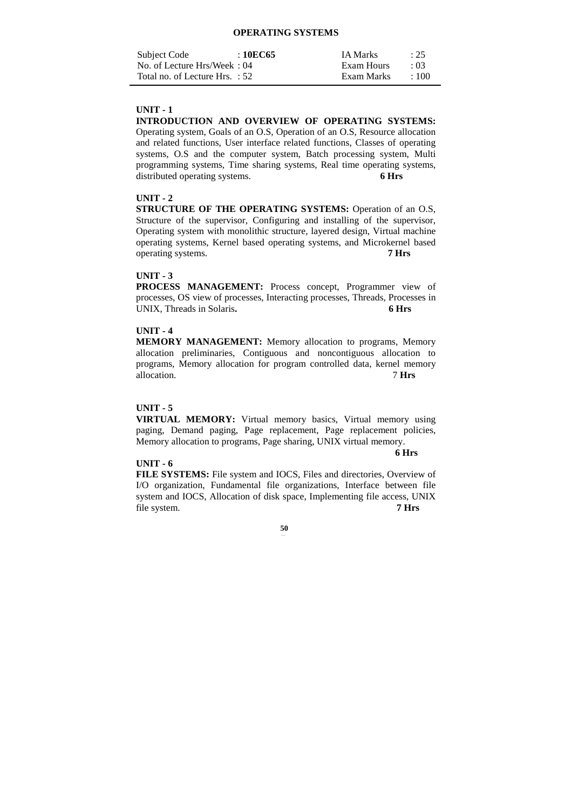### **OPERATING SYSTEMS**

| Subject Code                   | :10EC65 | <b>IA Marks</b> | : 25       |
|--------------------------------|---------|-----------------|------------|
| No. of Lecture Hrs/Week: 04    |         | Exam Hours      | $\cdot$ 03 |
| Total no. of Lecture Hrs. : 52 |         | Exam Marks      | $\pm 100$  |

# **UNIT - 1**

**INTRODUCTION AND OVERVIEW OF OPERATING SYSTEMS:** Operating system, Goals of an O.S, Operation of an O.S, Resource allocation and related functions, User interface related functions, Classes of operating systems, O.S and the computer system, Batch processing system, Multi programming systems, Time sharing systems, Real time operating systems, distributed operating systems. **6 Hrs** 

# **UNIT - 2**

**STRUCTURE OF THE OPERATING SYSTEMS:** Operation of an O.S, Structure of the supervisor, Configuring and installing of the supervisor, Operating system with monolithic structure, layered design, Virtual machine operating systems, Kernel based operating systems, and Microkernel based operating systems. **7 Hrs** 

### **UNIT - 3**

**PROCESS MANAGEMENT:** Process concept, Programmer view of processes, OS view of processes, Interacting processes, Threads, Processes in UNIX, Threads in Solaris. 6 Hrs

### **UNIT - 4**

**MEMORY MANAGEMENT:** Memory allocation to programs, Memory allocation preliminaries, Contiguous and noncontiguous allocation to programs, Memory allocation for program controlled data, kernel memory allocation. 7 **Hrs** 

### **UNIT - 5**

**VIRTUAL MEMORY:** Virtual memory basics, Virtual memory using paging, Demand paging, Page replacement, Page replacement policies, Memory allocation to programs, Page sharing, UNIX virtual memory.

### **UNIT - 6**

 **6 Hrs** 

**FILE SYSTEMS:** File system and IOCS, Files and directories, Overview of I/O organization, Fundamental file organizations, Interface between file system and IOCS, Allocation of disk space, Implementing file access, UNIX file system. **7 Hrs**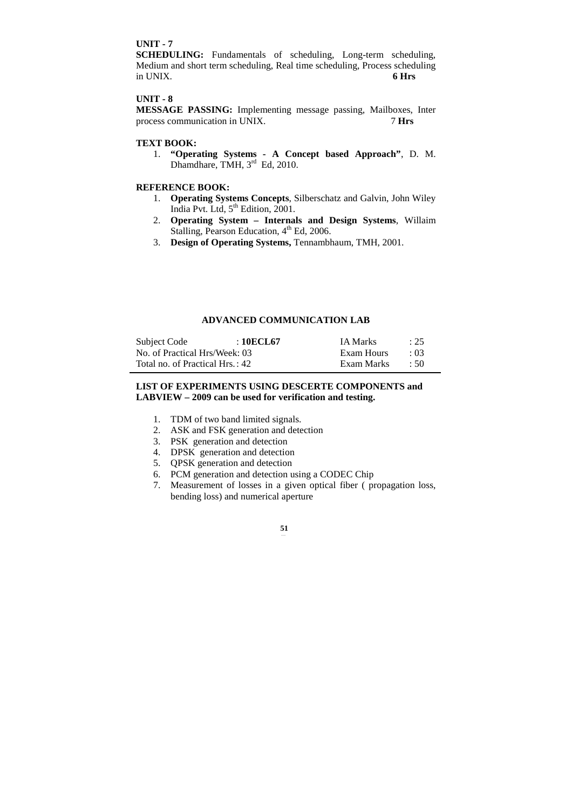# **UNIT - 7**

**SCHEDULING:** Fundamentals of scheduling, Long-term scheduling, Medium and short term scheduling, Real time scheduling, Process scheduling in UNIX. **6 Hrs** 

# **UNIT - 8**

**MESSAGE PASSING:** Implementing message passing, Mailboxes, Inter process communication in UNIX. **7 Hrs** 

# **TEXT BOOK:**

1. **"Operating Systems - A Concept based Approach"**, D. M. Dhamdhare, TMH, 3<sup>rd</sup> Ed, 2010.

# **REFERENCE BOOK:**

- 1. **Operating Systems Concepts**, Silberschatz and Galvin, John Wiley India Pvt. Ltd,  $5^{th}$  Edition, 2001.
- 2. **Operating System Internals and Design Systems**, Willaim Stalling, Pearson Education, 4<sup>th</sup> Ed, 2006.
- 3. **Design of Operating Systems,** Tennambhaum, TMH, 2001.

# **ADVANCED COMMUNICATION LAB**

| Subject Code                    | : 10ECL67 | <b>IA Marks</b> | : 25       |
|---------------------------------|-----------|-----------------|------------|
| No. of Practical Hrs/Week: 03   |           | Exam Hours      | $\cdot$ 03 |
| Total no. of Practical Hrs.: 42 |           | Exam Marks      | $\div$ 50  |

# **LIST OF EXPERIMENTS USING DESCERTE COMPONENTS and LABVIEW – 2009 can be used for verification and testing.**

- 1. TDM of two band limited signals.
- 2. ASK and FSK generation and detection
- 3. PSK generation and detection
- 4. DPSK generation and detection
- 5. QPSK generation and detection
- 6. PCM generation and detection using a CODEC Chip
- 7. Measurement of losses in a given optical fiber ( propagation loss, bending loss) and numerical aperture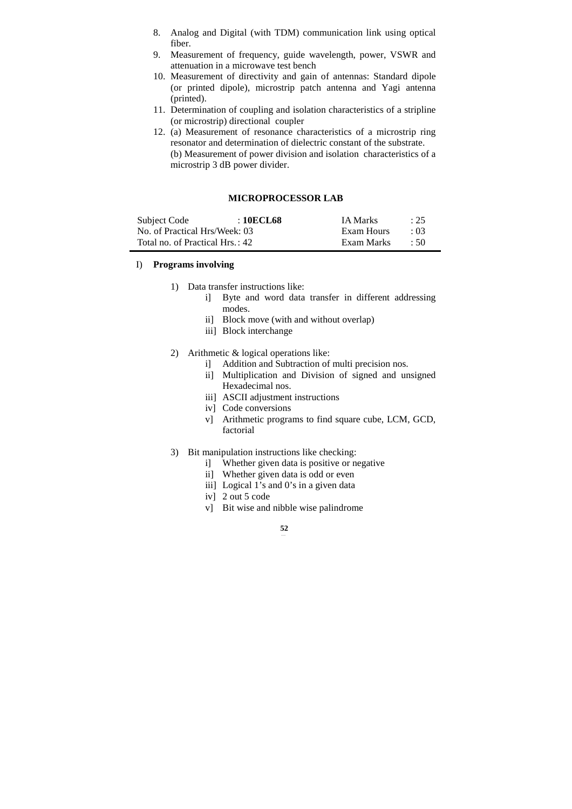- 8. Analog and Digital (with TDM) communication link using optical fiber.
- 9. Measurement of frequency, guide wavelength, power, VSWR and attenuation in a microwave test bench
- 10. Measurement of directivity and gain of antennas: Standard dipole (or printed dipole), microstrip patch antenna and Yagi antenna (printed).
- 11. Determination of coupling and isolation characteristics of a stripline (or microstrip) directional coupler
- 12. (a) Measurement of resonance characteristics of a microstrip ring resonator and determination of dielectric constant of the substrate. (b) Measurement of power division and isolation characteristics of a microstrip 3 dB power divider.

# **MICROPROCESSOR LAB**

| Subject Code                    | : 10ECL68 | <b>IA Marks</b> | : 25       |
|---------------------------------|-----------|-----------------|------------|
| No. of Practical Hrs/Week: 03   |           | Exam Hours      | $\cdot$ 03 |
| Total no. of Practical Hrs.: 42 |           | Exam Marks      | .50        |

### I) **Programs involving**

- 1) Data transfer instructions like:
	- i] Byte and word data transfer in different addressing modes.
	- ii] Block move (with and without overlap)
	- iii] Block interchange
- 2) Arithmetic & logical operations like:
	- i] Addition and Subtraction of multi precision nos.
	- ii] Multiplication and Division of signed and unsigned Hexadecimal nos.
	- iii] ASCII adjustment instructions
	- iv] Code conversions
	- v] Arithmetic programs to find square cube, LCM, GCD, factorial
- 3) Bit manipulation instructions like checking:
	- i] Whether given data is positive or negative
	- ii] Whether given data is odd or even
	- iii] Logical 1's and 0's in a given data
	- iv] 2 out 5 code
	- v] Bit wise and nibble wise palindrome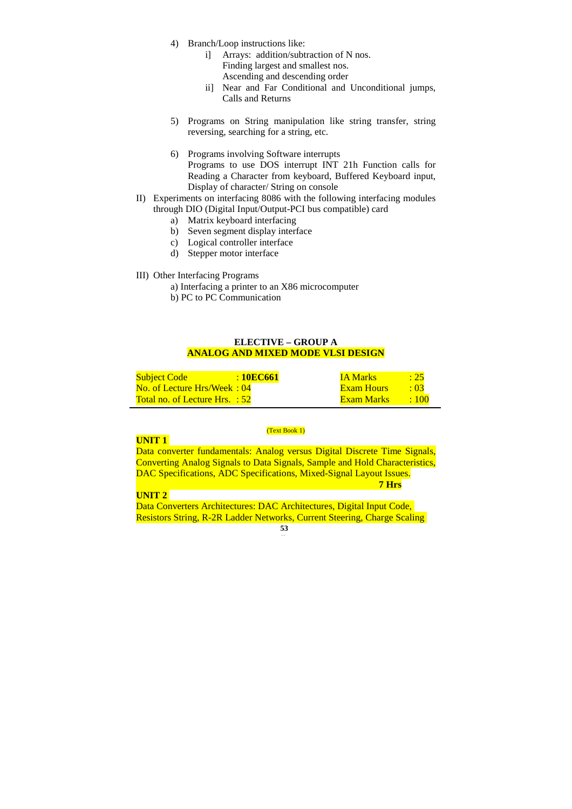- 4) Branch/Loop instructions like:
	- i] Arrays: addition/subtraction of N nos. Finding largest and smallest nos. Ascending and descending order
	- ii] Near and Far Conditional and Unconditional jumps, Calls and Returns
- 5) Programs on String manipulation like string transfer, string reversing, searching for a string, etc.
- 6) Programs involving Software interrupts Programs to use DOS interrupt INT 21h Function calls for Reading a Character from keyboard, Buffered Keyboard input, Display of character/ String on console
- II) Experiments on interfacing 8086 with the following interfacing modules through DIO (Digital Input/Output-PCI bus compatible) card
	- a) Matrix keyboard interfacing
	- b) Seven segment display interface
	- c) Logical controller interface
	- d) Stepper motor interface
- III) Other Interfacing Programs
	- a) Interfacing a printer to an X86 microcomputer
	- b) PC to PC Communication

# **ELECTIVE – GROUP A ANALOG AND MIXED MODE VLSI DESIGN**

| <b>Subject Code</b>                   | $\pm 10$ EC661 | <b>IA Marks</b>   | : 25        |
|---------------------------------------|----------------|-------------------|-------------|
| No. of Lecture Hrs/Week: 04           |                | <b>Exam Hours</b> | $\cdot$ 03  |
| <b>Total no. of Lecture Hrs. : 52</b> |                | Exam Marks        | $\cdot$ 100 |

### (Text Book 1)

# **UNIT 1**

Data converter fundamentals: Analog versus Digital Discrete Time Signals, Converting Analog Signals to Data Signals, Sample and Hold Characteristics, DAC Specifications, ADC Specifications, Mixed-Signal Layout Issues.  **7 Hrs** 

# **UNIT 2**

**53** Data Converters Architectures: DAC Architectures, Digital Input Code, Resistors String, R-2R Ladder Networks, Current Steering, Charge Scaling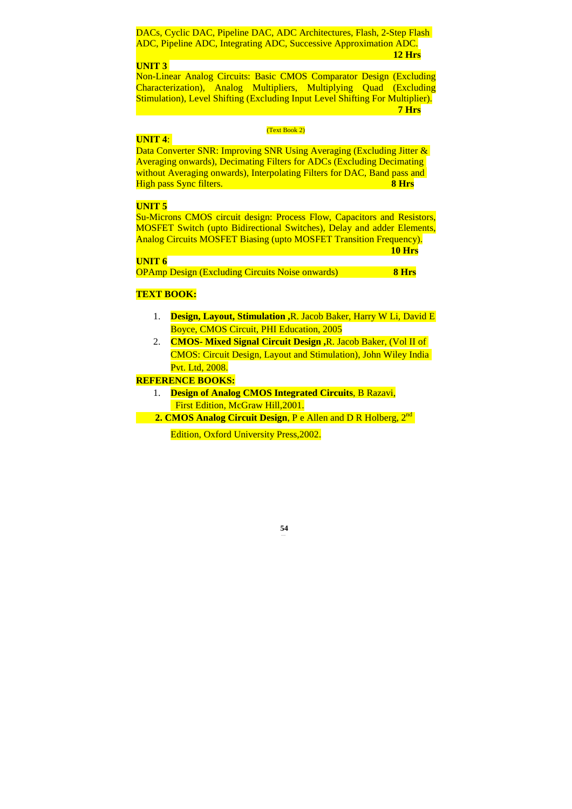DACs, Cyclic DAC, Pipeline DAC, ADC Architectures, Flash, 2-Step Flash ADC, Pipeline ADC, Integrating ADC, Successive Approximation ADC.  **12 Hrs** 

# **UNIT 3**

Non-Linear Analog Circuits: Basic CMOS Comparator Design (Excluding Characterization), Analog Multipliers, Multiplying Quad (Excluding Stimulation), Level Shifting (Excluding Input Level Shifting For Multiplier).  **7 Hrs** 

### (Text Book 2)

### **UNIT 4**:

Data Converter SNR: Improving SNR Using Averaging (Excluding Jitter & Averaging onwards), Decimating Filters for ADCs (Excluding Decimating without Averaging onwards), Interpolating Filters for DAC, Band pass and High pass Sync filters. **8 Hrs** 

# **UNIT 5**

Su-Microns CMOS circuit design: Process Flow, Capacitors and Resistors, MOSFET Switch (upto Bidirectional Switches), Delay and adder Elements, Analog Circuits MOSFET Biasing (upto MOSFET Transition Frequency).

**10 Hrs** 

| $\mathcal{L}(\mathcal{L}(\mathcal{L}))$ and $\mathcal{L}(\mathcal{L}(\mathcal{L}))$ and $\mathcal{L}(\mathcal{L}(\mathcal{L}))$ and $\mathcal{L}(\mathcal{L}(\mathcal{L}))$ |                                                                                                                | and the state of the state of the state of the state of the state of the state of the state of the state of th                                                                                                                   |   |
|-----------------------------------------------------------------------------------------------------------------------------------------------------------------------------|----------------------------------------------------------------------------------------------------------------|----------------------------------------------------------------------------------------------------------------------------------------------------------------------------------------------------------------------------------|---|
|                                                                                                                                                                             | and the state of the state of the state of the state of the state of the state of the state of the state of th | and the state of the state of the state of the state of the state of the state of the state of the state of th<br>and the state of the state of the state of the state of the state of the state of the state of the state of th | ٠ |

OPAmp Design (Excluding Circuits Noise onwards) **8 Hrs** 

### **TEXT BOOK:**

- 1. **Design, Layout, Stimulation ,**R. Jacob Baker, Harry W Li, David E Boyce, CMOS Circuit, PHI Education, 2005
- 2. **CMOS- Mixed Signal Circuit Design ,**R. Jacob Baker, (Vol II of CMOS: Circuit Design, Layout and Stimulation), John Wiley India Pvt. Ltd, 2008.

# **REFERENCE BOOKS:**

- 1. **Design of Analog CMOS Integrated Circuits**, B Razavi, First Edition, McGraw Hill,2001.
- **2. CMOS Analog Circuit Design, P e Allen and D R Holberg, 2<sup>nd</sup>**

Edition, Oxford University Press,2002.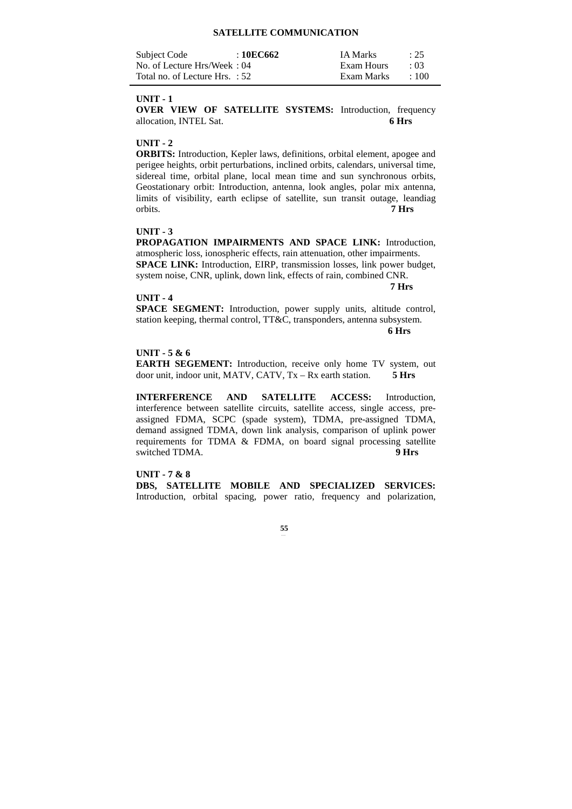# **SATELLITE COMMUNICATION**

| Subject Code                   | : 10EC662 | <b>IA Marks</b> | : 25       |
|--------------------------------|-----------|-----------------|------------|
| No. of Lecture Hrs/Week: 04    |           | Exam Hours      | $\cdot$ 03 |
| Total no. of Lecture Hrs. : 52 |           | Exam Marks      | $\pm 100$  |

#### **UNIT - 1**

**OVER VIEW OF SATELLITE SYSTEMS:** Introduction, frequency allocation, INTEL Sat. **6 Hrs** 

### **UNIT - 2**

**ORBITS:** Introduction, Kepler laws, definitions, orbital element, apogee and perigee heights, orbit perturbations, inclined orbits, calendars, universal time, sidereal time, orbital plane, local mean time and sun synchronous orbits, Geostationary orbit: Introduction, antenna, look angles, polar mix antenna, limits of visibility, earth eclipse of satellite, sun transit outage, leandiag orbits. **7 Hrs** 

# **UNIT - 3**

**PROPAGATION IMPAIRMENTS AND SPACE LINK:** Introduction, atmospheric loss, ionospheric effects, rain attenuation, other impairments. **SPACE LINK:** Introduction, EIRP, transmission losses, link power budget, system noise, CNR, uplink, down link, effects of rain, combined CNR.

 **7 Hrs** 

#### **UNIT - 4**

**SPACE SEGMENT:** Introduction, power supply units, altitude control, station keeping, thermal control, TT&C, transponders, antenna subsystem.

 **6 Hrs** 

# **UNIT - 5 & 6**

**EARTH SEGEMENT:** Introduction, receive only home TV system, out door unit, indoor unit, MATV, CATV, Tx – Rx earth station. **5 Hrs** 

**INTERFERENCE AND SATELLITE ACCESS:** Introduction, interference between satellite circuits, satellite access, single access, preassigned FDMA, SCPC (spade system), TDMA, pre-assigned TDMA, demand assigned TDMA, down link analysis, comparison of uplink power requirements for TDMA & FDMA, on board signal processing satellite switched TDMA. **9 Hrs** 

#### **UNIT - 7 & 8**

**DBS, SATELLITE MOBILE AND SPECIALIZED SERVICES:** Introduction, orbital spacing, power ratio, frequency and polarization,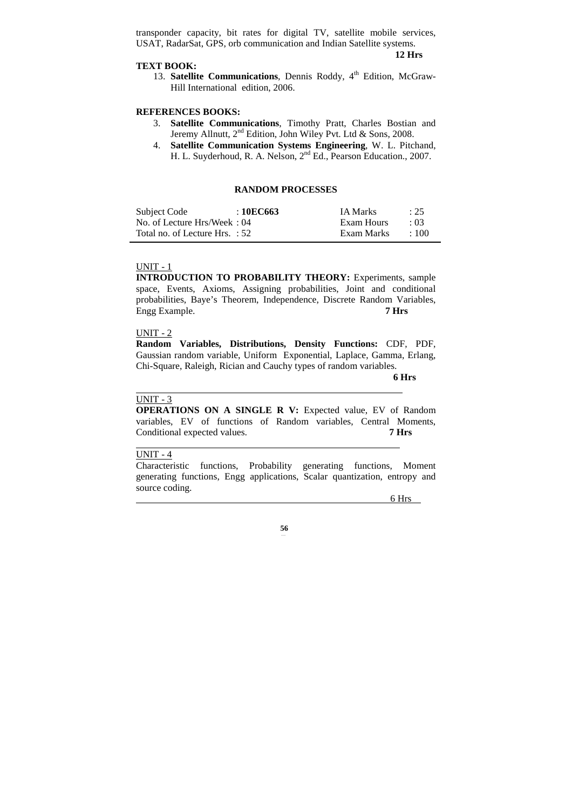transponder capacity, bit rates for digital TV, satellite mobile services, USAT, RadarSat, GPS, orb communication and Indian Satellite systems.

 **12 Hrs** 

#### **TEXT BOOK:**

13. **Satellite Communications**, Dennis Roddy, 4<sup>th</sup> Edition, McGraw-Hill International edition, 2006.

# **REFERENCES BOOKS:**

- 3. **Satellite Communications**, Timothy Pratt, Charles Bostian and Jeremy Allnutt, 2<sup>nd</sup> Edition, John Wiley Pvt. Ltd & Sons, 2008.
- 4. **Satellite Communication Systems Engineering**, W. L. Pitchand, H. L. Suyderhoud, R. A. Nelson, 2<sup>nd</sup> Ed., Pearson Education., 2007.

### **RANDOM PROCESSES**

| Subject Code                   | :10EC663 | <b>IA Marks</b> | : 25       |
|--------------------------------|----------|-----------------|------------|
| No. of Lecture Hrs/Week: 04    |          | Exam Hours      | $\cdot$ 03 |
| Total no. of Lecture Hrs. : 52 |          | Exam Marks      | $\pm 100$  |

# UNIT - 1

**INTRODUCTION TO PROBABILITY THEORY:** Experiments, sample space, Events, Axioms, Assigning probabilities, Joint and conditional probabilities, Baye's Theorem, Independence, Discrete Random Variables, Engg Example. **7 Hrs**

### UNIT - 2

**Random Variables, Distributions, Density Functions:** CDF, PDF, Gaussian random variable, Uniform Exponential, Laplace, Gamma, Erlang, Chi-Square, Raleigh, Rician and Cauchy types of random variables.

**6 Hrs** 

# UNIT - 3

l

**OPERATIONS ON A SINGLE R V:** Expected value, EV of Random variables, EV of functions of Random variables, Central Moments, Conditional expected values. **7 Hrs** 

### UNIT - 4

Characteristic functions, Probability generating functions, Moment generating functions, Engg applications, Scalar quantization, entropy and source coding.

6 Hrs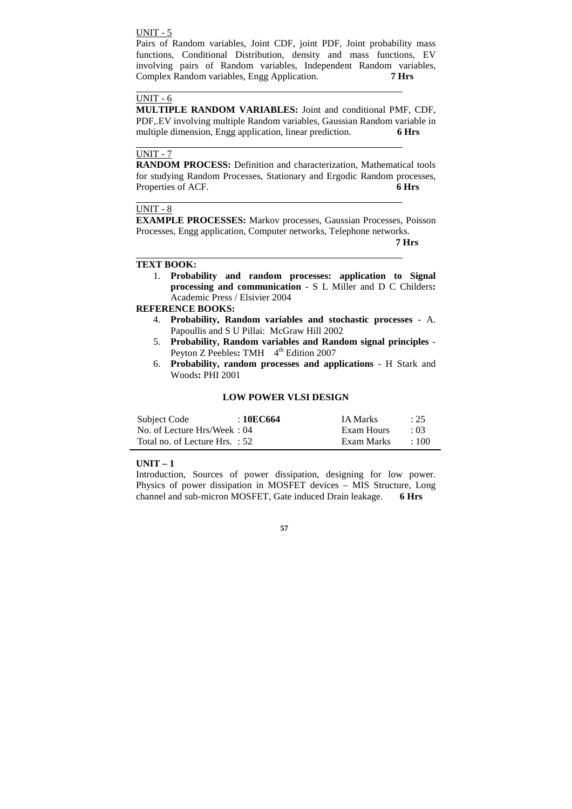# UNIT - 5

Pairs of Random variables, Joint CDF, joint PDF, Joint probability mass functions, Conditional Distribution, density and mass functions, EV involving pairs of Random variables, Independent Random variables, Complex Random variables, Engg Application. **7 Hrs** 

# $UNIT - 6$

 $\ddot{\phantom{a}}$ 

 $\ddot{\phantom{a}}$ 

 $\ddot{\phantom{a}}$ 

l

**MULTIPLE RANDOM VARIABLES:** Joint and conditional PMF, CDF, PDF,.EV involving multiple Random variables, Gaussian Random variable in multiple dimension, Engg application, linear prediction. **6 Hrs** 

# UNIT - 7

**RANDOM PROCESS:** Definition and characterization, Mathematical tools for studying Random Processes, Stationary and Ergodic Random processes, Properties of ACF. **6 Hrs** 

### UNIT - 8

**EXAMPLE PROCESSES:** Markov processes, Gaussian Processes, Poisson Processes, Engg application, Computer networks, Telephone networks.

**7 Hrs** 

### **TEXT BOOK:**

1. **Probability and random processes: application to Signal processing and communication** - S L Miller and D C Childers**:**  Academic Press / Elsivier 2004

# **REFERENCE BOOKS:**

- 4. **Probability, Random variables and stochastic processes** A. Papoullis and S U Pillai: McGraw Hill 2002
- 5. **Probability, Random variables and Random signal principles** Peyton Z Peebles: TMH  $4<sup>th</sup>$  Edition 2007
- 6. **Probability, random processes and applications** H Stark and Woods**:** PHI 2001

# **LOW POWER VLSI DESIGN**

| Subject Code                   | : 10EC664 | <b>IA Marks</b> | $\therefore$ 25 |
|--------------------------------|-----------|-----------------|-----------------|
| No. of Lecture Hrs/Week: 04    |           | Exam Hours      | $\cdot$ 03      |
| Total no. of Lecture Hrs. : 52 |           | Exam Marks      | $+100$          |

#### **UNIT – 1**

Introduction, Sources of power dissipation, designing for low power. Physics of power dissipation in MOSFET devices – MIS Structure, Long channel and sub-micron MOSFET, Gate induced Drain leakage. **6 Hrs**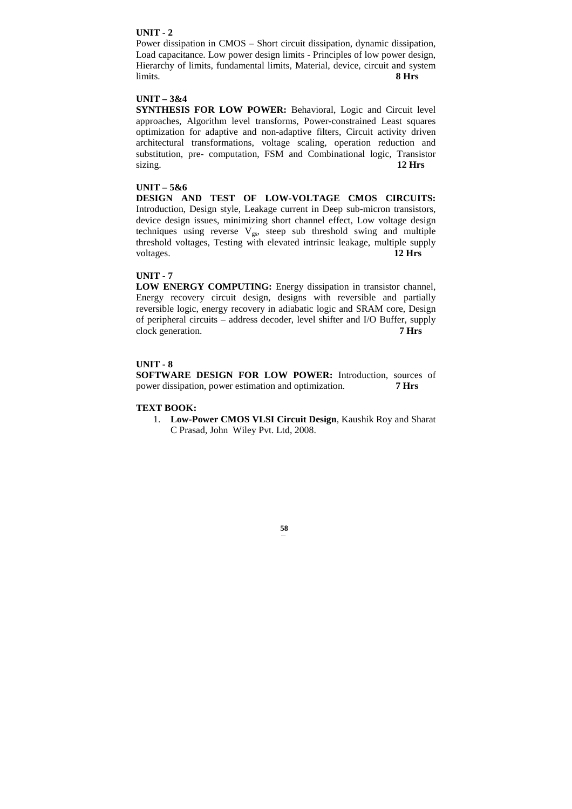# **UNIT - 2**

Power dissipation in CMOS – Short circuit dissipation, dynamic dissipation, Load capacitance. Low power design limits - Principles of low power design, Hierarchy of limits, fundamental limits, Material, device, circuit and system limits. **8 Hrs** 

# **UNIT – 3&4**

**SYNTHESIS FOR LOW POWER:** Behavioral, Logic and Circuit level approaches, Algorithm level transforms, Power-constrained Least squares optimization for adaptive and non-adaptive filters, Circuit activity driven architectural transformations, voltage scaling, operation reduction and substitution, pre- computation, FSM and Combinational logic, Transistor sizing. **12 Hrs** 

# **UNIT – 5&6**

**DESIGN AND TEST OF LOW-VOLTAGE CMOS CIRCUITS:** Introduction, Design style, Leakage current in Deep sub-micron transistors, device design issues, minimizing short channel effect, Low voltage design techniques using reverse  $V_{gs}$ , steep sub threshold swing and multiple threshold voltages, Testing with elevated intrinsic leakage, multiple supply voltages. **12 Hrs** 

# **UNIT - 7**

**LOW ENERGY COMPUTING:** Energy dissipation in transistor channel, Energy recovery circuit design, designs with reversible and partially reversible logic, energy recovery in adiabatic logic and SRAM core, Design of peripheral circuits – address decoder, level shifter and I/O Buffer, supply clock generation. **7 Hrs** 

# **UNIT - 8**

**SOFTWARE DESIGN FOR LOW POWER:** Introduction, sources of power dissipation, power estimation and optimization. **7 Hrs** 

### **TEXT BOOK:**

1. **Low-Power CMOS VLSI Circuit Design**, Kaushik Roy and Sharat C Prasad, John Wiley Pvt. Ltd, 2008.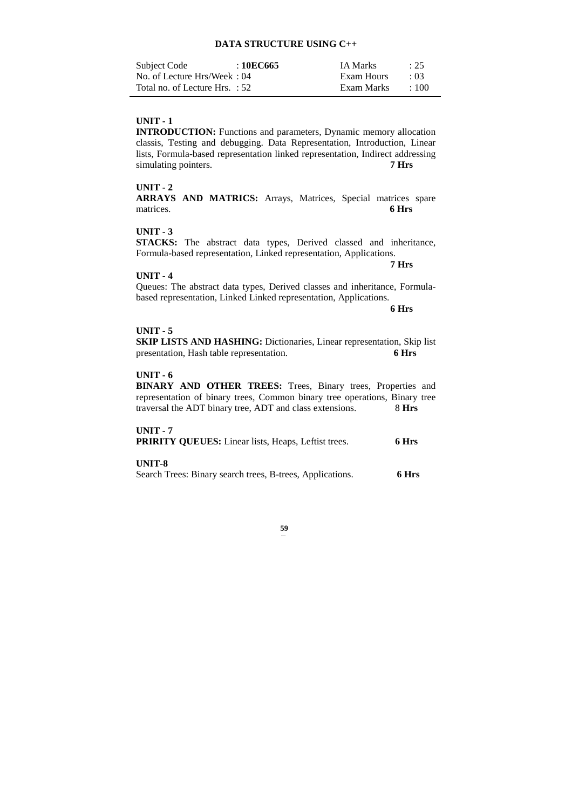# **DATA STRUCTURE USING C++**

| Subject Code                   | : 10EC665 | <b>IA Marks</b> | : 25        |
|--------------------------------|-----------|-----------------|-------------|
| No. of Lecture Hrs/Week: 04    |           | Exam Hours      | $\cdot$ 03  |
| Total no. of Lecture Hrs. : 52 |           | Exam Marks      | $\cdot$ 100 |

# **UNIT - 1**

**INTRODUCTION:** Functions and parameters, Dynamic memory allocation classis, Testing and debugging. Data Representation, Introduction, Linear lists, Formula-based representation linked representation, Indirect addressing simulating pointers. **7 Hrs** 

# **UNIT - 2**

**ARRAYS AND MATRICS:** Arrays, Matrices, Special matrices spare matrices. **6 Hrs** 

# **UNIT - 3**

**STACKS:** The abstract data types, Derived classed and inheritance, Formula-based representation, Linked representation, Applications.

# **UNIT - 4**

 **7 Hrs** 

Queues: The abstract data types, Derived classes and inheritance, Formulabased representation, Linked Linked representation, Applications.

 **6 Hrs** 

#### **UNIT - 5**

**SKIP LISTS AND HASHING:** Dictionaries, Linear representation, Skip list presentation, Hash table representation. **6 Hrs** 

### **UNIT - 6**

**BINARY AND OTHER TREES:** Trees, Binary trees, Properties and representation of binary trees, Common binary tree operations, Binary tree traversal the ADT binary tree, ADT and class extensions. 8 **Hrs** 

### **UNIT - 7**

| <b>PRIRITY QUEUES:</b> Linear lists, Heaps, Leftist trees. | 6 Hrs |
|------------------------------------------------------------|-------|
| UNIT-8                                                     |       |
| Search Trees: Binary search trees, B-trees, Applications.  | 6 Hrs |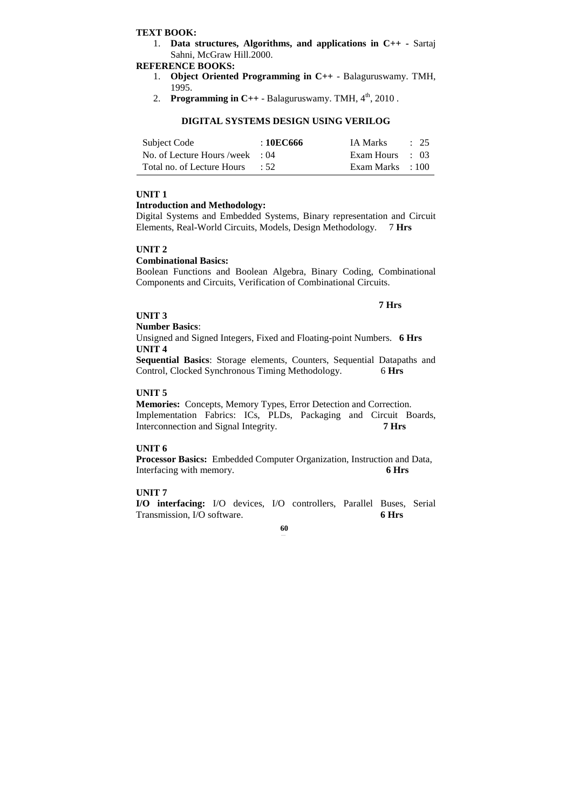# **TEXT BOOK:**

1. **Data structures, Algorithms, and applications in C++ -** Sartaj Sahni, McGraw Hill.2000.

# **REFERENCE BOOKS:**

- 1. **Object Oriented Programming in C++** Balaguruswamy. TMH, 1995.
- 2. **Programming in C++** Balagurus wamy. TMH,  $4<sup>th</sup>$ , 2010.

# **DIGITAL SYSTEMS DESIGN USING VERILOG**

| Subject Code                      | :10EC666 | IA Marks         | $\therefore$ 25 |
|-----------------------------------|----------|------------------|-----------------|
| No. of Lecture Hours /week $: 04$ |          | Exam Hours : 03  |                 |
| Total no. of Lecture Hours : 52   |          | Exam Marks : 100 |                 |

# **UNIT 1**

# **Introduction and Methodology:**

Digital Systems and Embedded Systems, Binary representation and Circuit Elements, Real-World Circuits, Models, Design Methodology. 7 **Hrs** 

# **UNIT 2**

### **Combinational Basics:**

Boolean Functions and Boolean Algebra, Binary Coding, Combinational Components and Circuits, Verification of Combinational Circuits.

### **UNIT 3**

## **Number Basics**:

Unsigned and Signed Integers, Fixed and Floating-point Numbers. **6 Hrs UNIT 4** 

**7 Hrs** 

**Sequential Basics**: Storage elements, Counters, Sequential Datapaths and Control, Clocked Synchronous Timing Methodology. 6 **Hrs** 

# **UNIT 5**

**Memories:** Concepts, Memory Types, Error Detection and Correction. Implementation Fabrics: ICs, PLDs, Packaging and Circuit Boards, Interconnection and Signal Integrity. **7 Hrs** 

# **UNIT 6**

**Processor Basics:** Embedded Computer Organization, Instruction and Data, Interfacing with memory. **6 Hrs** 

# **UNIT 7**

**I/O interfacing:** I/O devices, I/O controllers, Parallel Buses, Serial Transmission, I/O software. **6 Hrs**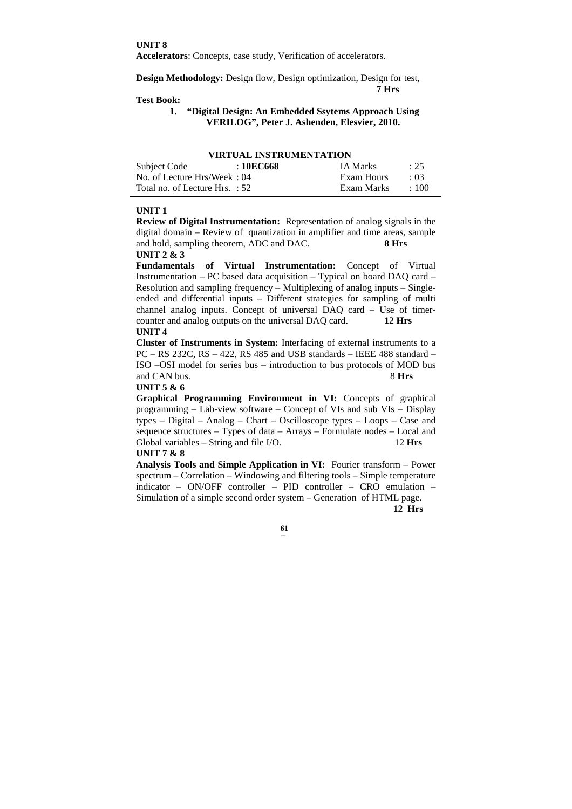**UNIT 8** 

**Accelerators**: Concepts, case study, Verification of accelerators.

**Design Methodology:** Design flow, Design optimization, Design for test, **7 Hrs** 

# **Test Book:**

# **1. "Digital Design: An Embedded Ssytems Approach Using VERILOG", Peter J. Ashenden, Elesvier, 2010.**

| Subject Code                   | <u>TINI VALI INVITRVIMENTATIVN</u><br>: 10EC668 | <b>IA Marks</b> | $\therefore$ 25 |
|--------------------------------|-------------------------------------------------|-----------------|-----------------|
| No. of Lecture Hrs/Week: 04    |                                                 | Exam Hours      | .03             |
| Total no. of Lecture Hrs. : 52 |                                                 | Exam Marks      | $\div$ 100      |

# **VIRTUAL INSTRUMENTATION**

#### **UNIT 1**

**Review of Digital Instrumentation:** Representation of analog signals in the digital domain – Review of quantization in amplifier and time areas, sample and hold, sampling theorem, ADC and DAC. **8 Hrs UNIT 2 & 3** 

**Fundamentals of Virtual Instrumentation:** Concept of Virtual Instrumentation – PC based data acquisition – Typical on board DAQ card – Resolution and sampling frequency – Multiplexing of analog inputs – Singleended and differential inputs – Different strategies for sampling of multi channel analog inputs. Concept of universal DAQ card – Use of timercounter and analog outputs on the universal DAQ card. **12 Hrs UNIT 4** 

**Cluster of Instruments in System:** Interfacing of external instruments to a PC – RS 232C, RS – 422, RS 485 and USB standards – IEEE 488 standard – ISO –OSI model for series bus – introduction to bus protocols of MOD bus and CAN bus. 8 Hrs

### **UNIT 5 & 6**

**Graphical Programming Environment in VI:** Concepts of graphical programming – Lab-view software – Concept of VIs and sub VIs – Display types – Digital – Analog – Chart – Oscilloscope types – Loops – Case and sequence structures – Types of data – Arrays – Formulate nodes – Local and Global variables – String and file I/O. 12 Hrs

#### **UNIT 7 & 8**

**Analysis Tools and Simple Application in VI:** Fourier transform – Power spectrum – Correlation – Windowing and filtering tools – Simple temperature indicator – ON/OFF controller – PID controller – CRO emulation – Simulation of a simple second order system – Generation of HTML page.

**12 Hrs**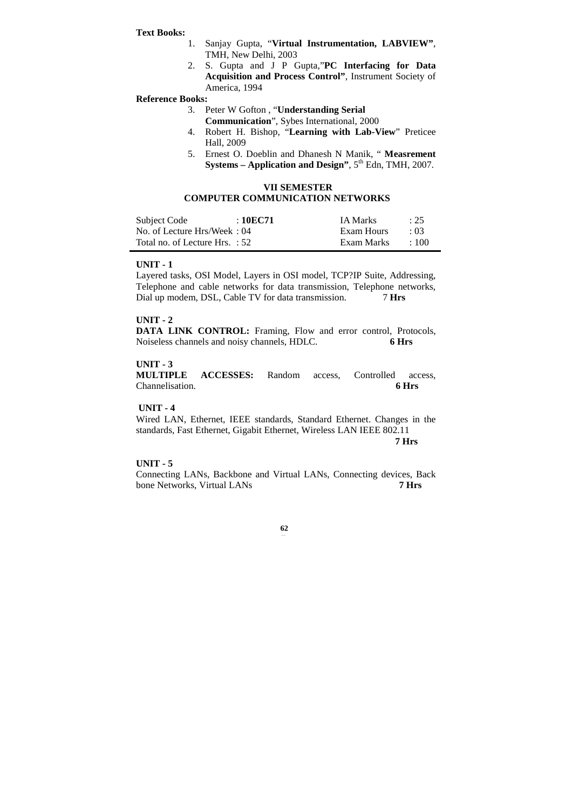#### **Text Books:**

- 1. Sanjay Gupta, "**Virtual Instrumentation, LABVIEW"**, TMH, New Delhi, 2003
- 2. S. Gupta and J P Gupta,"**PC Interfacing for Data Acquisition and Process Control"**, Instrument Society of America, 1994

#### **Reference Books:**

- 3. Peter W Gofton , "**Understanding Serial** 
	- **Communication**", Sybes International, 2000
- 4. Robert H. Bishop, "**Learning with Lab-View**" Preticee Hall, 2009
- 5. Ernest O. Doeblin and Dhanesh N Manik, " **Measrement Systems – Application and Design"**,  $5<sup>th</sup>$  Edn, TMH, 2007.

# **VII SEMESTER**

# **COMPUTER COMMUNICATION NETWORKS**

| Subject Code                   | $\pm 10 \mathrm{EC}71$ | <b>IA Marks</b> | : 25        |
|--------------------------------|------------------------|-----------------|-------------|
| No. of Lecture Hrs/Week: 04    |                        | Exam Hours      | $\cdot$ 03  |
| Total no. of Lecture Hrs. : 52 |                        | Exam Marks      | $\cdot$ 100 |

#### **UNIT - 1**

Layered tasks, OSI Model, Layers in OSI model, TCP?IP Suite, Addressing, Telephone and cable networks for data transmission, Telephone networks, Dial up modem, DSL, Cable TV for data transmission. 7 **Hrs** 

### **UNIT - 2**

**DATA LINK CONTROL:** Framing, Flow and error control, Protocols, Noiseless channels and noisy channels, HDLC. **6 Hrs** 

# **UNIT - 3**

**MULTIPLE ACCESSES:** Random access, Controlled access, Channelisation. **6 Hrs** 

### **UNIT - 4**

Wired LAN, Ethernet, IEEE standards, Standard Ethernet. Changes in the standards, Fast Ethernet, Gigabit Ethernet, Wireless LAN IEEE 802.11  **7 Hrs** 

#### **UNIT - 5**

Connecting LANs, Backbone and Virtual LANs, Connecting devices, Back bone Networks, Virtual LANs **7 Hrs**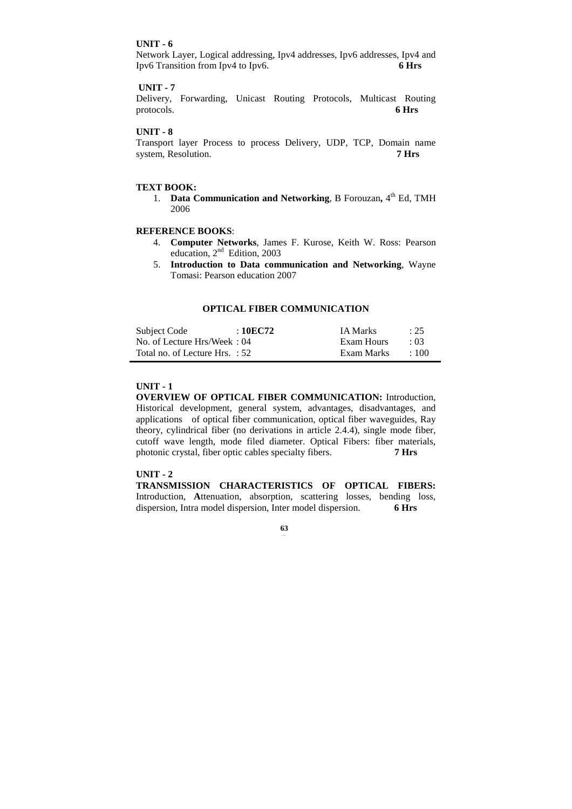### **UNIT - 6**

Network Layer, Logical addressing, Ipv4 addresses, Ipv6 addresses, Ipv4 and Ipv6 Transition from Ipv4 to Ipv6. **6 Hrs** 

### **UNIT - 7**

Delivery, Forwarding, Unicast Routing Protocols, Multicast Routing protocols. **6 Hrs** 

# **UNIT - 8**

Transport layer Process to process Delivery, UDP, TCP, Domain name system, Resolution. **7 Hrs** 

### **TEXT BOOK:**

1. Data Communication and Networking, B Forouzan, 4<sup>th</sup> Ed, TMH 2006

# **REFERENCE BOOKS**:

- 4. **Computer Networks**, James F. Kurose, Keith W. Ross: Pearson education,  $2<sup>nd</sup>$  Edition, 2003
- 5. **Introduction to Data communication and Networking**, Wayne Tomasi: Pearson education 2007

# **OPTICAL FIBER COMMUNICATION**

| Subject Code                   | : 10EC72 | <b>IA Marks</b> | : 25       |
|--------------------------------|----------|-----------------|------------|
| No. of Lecture Hrs/Week: 04    |          | Exam Hours      | $\cdot$ 03 |
| Total no. of Lecture Hrs. : 52 |          | Exam Marks      | $\pm 100$  |

# **UNIT - 1**

**OVERVIEW OF OPTICAL FIBER COMMUNICATION:** Introduction, Historical development, general system, advantages, disadvantages, and applications of optical fiber communication, optical fiber waveguides, Ray theory, cylindrical fiber (no derivations in article 2.4.4), single mode fiber, cutoff wave length, mode filed diameter. Optical Fibers: fiber materials, photonic crystal, fiber optic cables specialty fibers. **7 Hrs** 

### **UNIT - 2**

**TRANSMISSION CHARACTERISTICS OF OPTICAL FIBERS:**  Introduction, **A**ttenuation, absorption, scattering losses, bending loss, dispersion, Intra model dispersion, Inter model dispersion. **6 Hrs**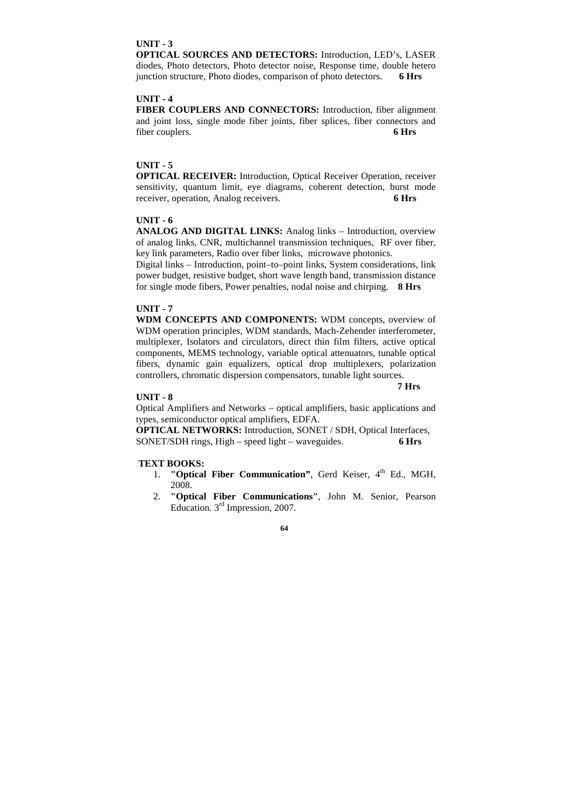# **UNIT - 3**

**OPTICAL SOURCES AND DETECTORS:** Introduction, LED's, LASER diodes, Photo detectors, Photo detector noise, Response time, double hetero junction structure, Photo diodes, comparison of photo detectors. **6 Hrs** 

# **UNIT - 4**

**FIBER COUPLERS AND CONNECTORS:** Introduction, fiber alignment and joint loss, single mode fiber joints, fiber splices, fiber connectors and fiber couplers. **6 Hrs** 

# **UNIT - 5**

**OPTICAL RECEIVER:** Introduction, Optical Receiver Operation, receiver sensitivity, quantum limit, eye diagrams, coherent detection, burst mode receiver, operation, Analog receivers. **6 Hrs** 

### **UNIT - 6**

**ANALOG AND DIGITAL LINKS:** Analog links – Introduction, overview of analog links, CNR, multichannel transmission techniques, RF over fiber, key link parameters, Radio over fiber links, microwave photonics.

Digital links – Introduction, point–to–point links, System considerations, link power budget, resistive budget, short wave length band, transmission distance for single mode fibers, Power penalties, nodal noise and chirping. **8 Hrs** 

# **UNIT - 7**

**WDM CONCEPTS AND COMPONENTS:** WDM concepts, overview of WDM operation principles, WDM standards, Mach-Zehender interferometer, multiplexer, Isolators and circulators, direct thin film filters, active optical components, MEMS technology, variable optical attenuators, tunable optical fibers, dynamic gain equalizers, optical drop multiplexers, polarization controllers, chromatic dispersion compensators, tunable light sources.

# **UNIT - 8**

 **7 Hrs** 

Optical Amplifiers and Networks – optical amplifiers, basic applications and types, semiconductor optical amplifiers, EDFA.

**OPTICAL NETWORKS:** Introduction, SONET / SDH, Optical Interfaces, SONET/SDH rings, High – speed light – waveguides. **6 Hrs**

#### **TEXT BOOKS:**

- 1. **"Optical Fiber Communication"**, Gerd Keiser, 4<sup>th</sup> Ed., MGH, 2008.
- 2. **"Optical Fiber Communications"**, John M. Senior, Pearson Education. 3rd Impression, 2007.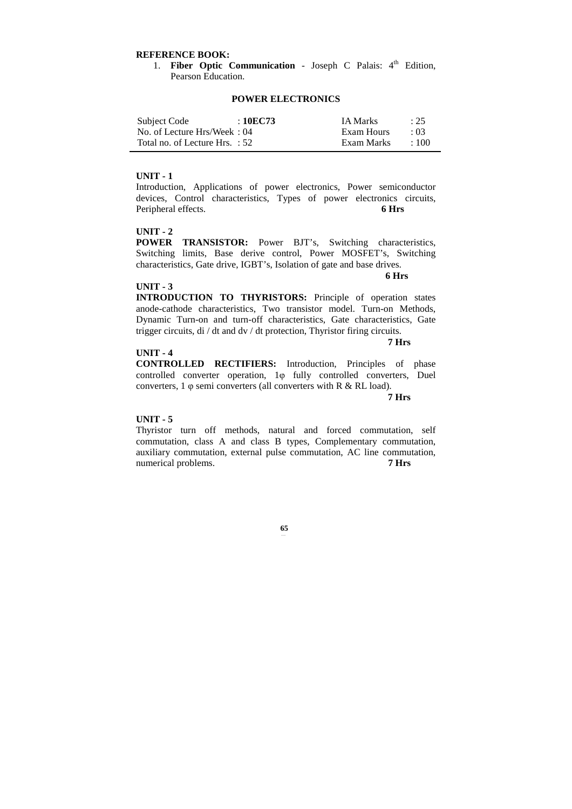### **REFERENCE BOOK:**

1. **Fiber Optic Communication** - Joseph C Palais: 4<sup>th</sup> Edition, Pearson Education.

# **POWER ELECTRONICS**

| Subject Code                     | : 10EC73 | <b>IA Marks</b> | : 25       |
|----------------------------------|----------|-----------------|------------|
| No. of Lecture Hrs/Week: 04      |          | Exam Hours      | $\cdot$ 03 |
| Total no. of Lecture Hrs. $: 52$ |          | Exam Marks      | $\pm 100$  |

### **UNIT - 1**

Introduction, Applications of power electronics, Power semiconductor devices, Control characteristics, Types of power electronics circuits, Peripheral effects. **6 Hrs** 

# **UNIT - 2**

**POWER TRANSISTOR:** Power BJT's, Switching characteristics, Switching limits, Base derive control, Power MOSFET's, Switching characteristics, Gate drive, IGBT's, Isolation of gate and base drives.

 **6 Hrs** 

 **7 Hrs** 

#### **UNIT - 3**

**INTRODUCTION TO THYRISTORS:** Principle of operation states anode-cathode characteristics, Two transistor model. Turn-on Methods, Dynamic Turn-on and turn-off characteristics, Gate characteristics, Gate trigger circuits, di / dt and dv / dt protection, Thyristor firing circuits.

#### **UNIT - 4**

**CONTROLLED RECTIFIERS:** Introduction, Principles of phase controlled converter operation, 1<sub>0</sub> fully controlled converters, Duel converters, 1 φ semi converters (all converters with R & RL load).

 **7 Hrs** 

### **UNIT - 5**

Thyristor turn off methods, natural and forced commutation, self commutation, class A and class B types, Complementary commutation, auxiliary commutation, external pulse commutation, AC line commutation, numerical problems. **7 Hrs**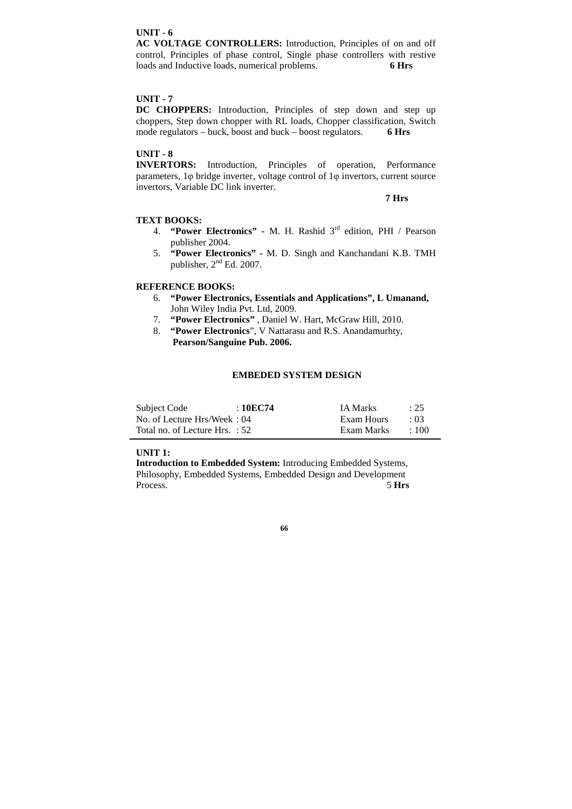# **UNIT - 6**

**AC VOLTAGE CONTROLLERS:** Introduction, Principles of on and off control, Principles of phase control, Single phase controllers with restive loads and Inductive loads, numerical problems. **6 Hrs** 

# **UNIT - 7**

**DC CHOPPERS:** Introduction, Principles of step down and step up choppers, Step down chopper with RL loads, Chopper classification, Switch mode regulators – buck, boost and buck – boost regulators. **6 Hrs** 

# **UNIT - 8**

**INVERTORS:** Introduction, Principles of operation, Performance parameters, 1φ bridge inverter, voltage control of 1φ invertors, current source invertors, Variable DC link inverter.

 **7 Hrs** 

# **TEXT BOOKS:**

- 4. **"Power Electronics"** M. H. Rashid 3rd edition, PHI / Pearson publisher 2004.
- 5. **"Power Electronics"** M. D. Singh and Kanchandani K.B. TMH publisher,  $2<sup>nd</sup>$  Ed. 2007.

# **REFERENCE BOOKS:**

- 6. **"Power Electronics, Essentials and Applications", L Umanand,**  John Wiley India Pvt. Ltd, 2009.
- 7. **"Power Electronics"** , Daniel W. Hart, McGraw Hill, 2010.
- 8. **"Power Electronics**", V Nattarasu and R.S. Anandamurhty,  **Pearson/Sanguine Pub. 2006.**

# **EMBEDED SYSTEM DESIGN**

| Subject Code                   | : 10EC74 | <b>IA Marks</b> | : 25       |
|--------------------------------|----------|-----------------|------------|
| No. of Lecture Hrs/Week: 04    |          | Exam Hours      | $\cdot$ 03 |
| Total no. of Lecture Hrs. : 52 |          | Exam Marks      | $\pm 100$  |

### **UNIT 1:**

**Introduction to Embedded System:** Introducing Embedded Systems, Philosophy, Embedded Systems, Embedded Design and Development Process. 5 **Hrs**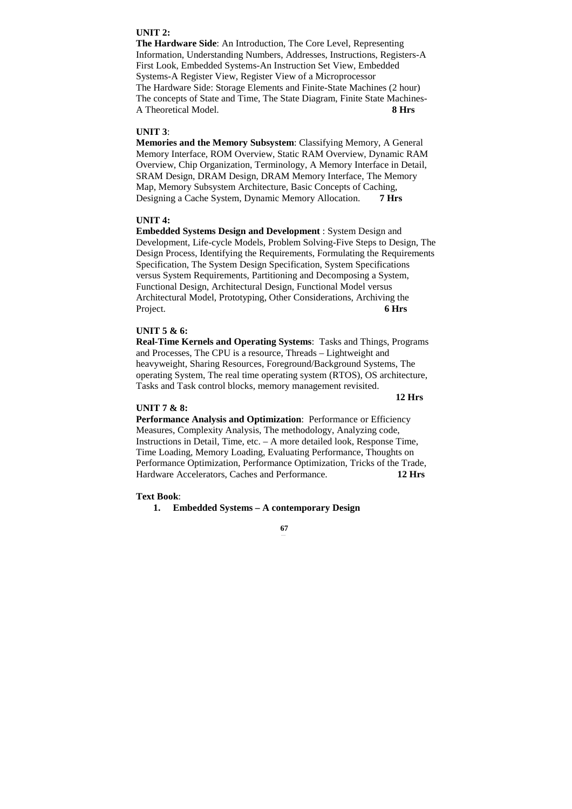# **UNIT 2:**

**The Hardware Side**: An Introduction, The Core Level, Representing Information, Understanding Numbers, Addresses, Instructions, Registers-A First Look, Embedded Systems-An Instruction Set View, Embedded Systems-A Register View, Register View of a Microprocessor The Hardware Side: Storage Elements and Finite-State Machines (2 hour) The concepts of State and Time, The State Diagram, Finite State Machines-A Theoretical Model. **8 Hrs** 

### **UNIT 3**:

**Memories and the Memory Subsystem**: Classifying Memory, A General Memory Interface, ROM Overview, Static RAM Overview, Dynamic RAM Overview, Chip Organization, Terminology, A Memory Interface in Detail, SRAM Design, DRAM Design, DRAM Memory Interface, The Memory Map, Memory Subsystem Architecture, Basic Concepts of Caching, Designing a Cache System, Dynamic Memory Allocation. **7 Hrs** 

# **UNIT 4:**

**Embedded Systems Design and Development** : System Design and Development, Life-cycle Models, Problem Solving-Five Steps to Design, The Design Process, Identifying the Requirements, Formulating the Requirements Specification, The System Design Specification, System Specifications versus System Requirements, Partitioning and Decomposing a System, Functional Design, Architectural Design, Functional Model versus Architectural Model, Prototyping, Other Considerations, Archiving the Project. **6 Hrs** 

### **UNIT 5 & 6:**

**Real-Time Kernels and Operating Systems**: Tasks and Things, Programs and Processes, The CPU is a resource, Threads – Lightweight and heavyweight, Sharing Resources, Foreground/Background Systems, The operating System, The real time operating system (RTOS), OS architecture, Tasks and Task control blocks, memory management revisited.

### **12 Hrs**

# **UNIT 7 & 8:**

**Performance Analysis and Optimization**: Performance or Efficiency Measures, Complexity Analysis, The methodology, Analyzing code, Instructions in Detail, Time, etc. – A more detailed look, Response Time, Time Loading, Memory Loading, Evaluating Performance, Thoughts on Performance Optimization, Performance Optimization, Tricks of the Trade, Hardware Accelerators, Caches and Performance. **12 Hrs** 

#### **Text Book**:

### **1. Embedded Systems – A contemporary Design**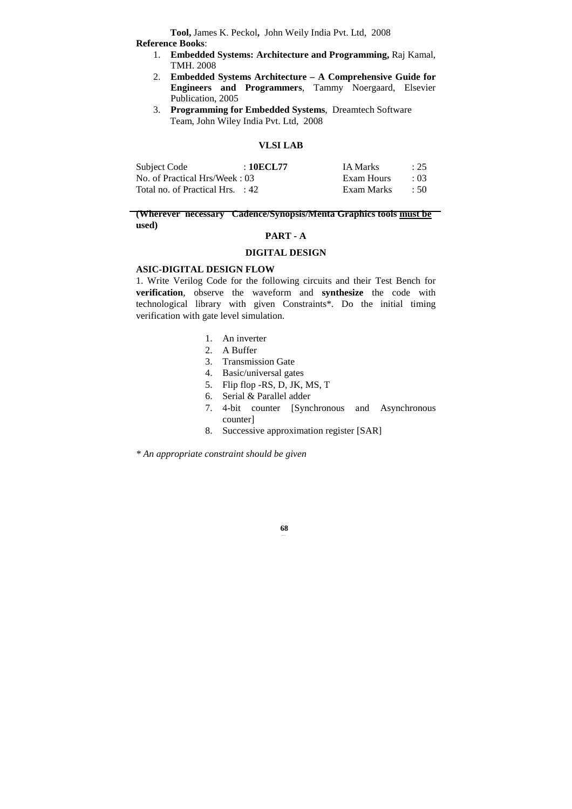**Tool,** James K. Peckol**,** John Weily India Pvt. Ltd, 2008 **Reference Books**:

- 1. **Embedded Systems: Architecture and Programming,** Raj Kamal, TMH. 2008
- 2. **Embedded Systems Architecture A Comprehensive Guide for Engineers and Programmers**, Tammy Noergaard, Elsevier Publication, 2005
- 3. **Programming for Embedded Systems**, Dreamtech Software Team, John Wiley India Pvt. Ltd, 2008

# **VLSI LAB**

| Subject Code                                | : 10ECL77 | <b>IA Marks</b> | : 25       |
|---------------------------------------------|-----------|-----------------|------------|
| No. of Practical Hrs/Week: 03               |           | Exam Hours      | $\cdot$ 03 |
| Total no. of Practical Hrs. $\therefore$ 42 |           | Exam Marks      | $\div$ 50  |

# **(Wherever necessary Cadence/Synopsis/Menta Graphics tools must be used)**

# **PART - A**

# **DIGITAL DESIGN**

# **ASIC-DIGITAL DESIGN FLOW**

1. Write Verilog Code for the following circuits and their Test Bench for **verification**, observe the waveform and **synthesize** the code with technological library with given Constraints\*. Do the initial timing verification with gate level simulation.

- 1. An inverter
- 2. A Buffer
- 3. Transmission Gate
- 4. Basic/universal gates
- 5. Flip flop -RS, D, JK, MS, T
- 6. Serial & Parallel adder
- 7. 4-bit counter [Synchronous and Asynchronous counter]
- 8. Successive approximation register [SAR]

*\* An appropriate constraint should be given*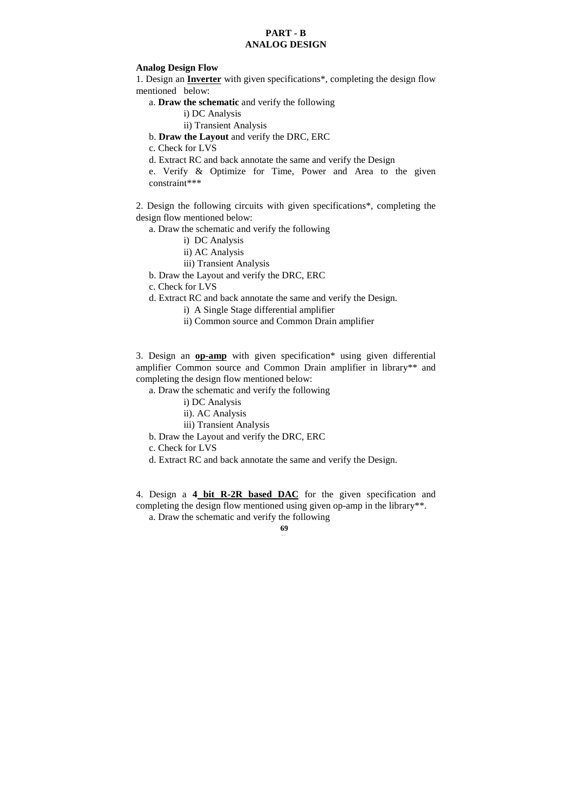# **PART - B ANALOG DESIGN**

# **Analog Design Flow**

1. Design an **Inverter** with given specifications\*, completing the design flow mentioned below:

# a. **Draw the schematic** and verify the following

i) DC Analysis

- ii) Transient Analysis
- b. **Draw the Layout** and verify the DRC, ERC

c. Check for LVS

d. Extract RC and back annotate the same and verify the Design

e. Verify & Optimize for Time, Power and Area to the given constraint\*\*\*

2. Design the following circuits with given specifications\*, completing the design flow mentioned below:

- a. Draw the schematic and verify the following
	- i) DC Analysis
	- ii) AC Analysis
	- iii) Transient Analysis
- b. Draw the Layout and verify the DRC, ERC
- c. Check for LVS
- d. Extract RC and back annotate the same and verify the Design.
	- i) A Single Stage differential amplifier
	- ii) Common source and Common Drain amplifier

3. Design an **op-amp** with given specification\* using given differential amplifier Common source and Common Drain amplifier in library\*\* and completing the design flow mentioned below:

- a. Draw the schematic and verify the following
	- i) DC Analysis
	- ii). AC Analysis

iii) Transient Analysis

b. Draw the Layout and verify the DRC, ERC

c. Check for LVS

d. Extract RC and back annotate the same and verify the Design.

4. Design a **4 bit R-2R based DAC** for the given specification and completing the design flow mentioned using given op-amp in the library\*\*. a. Draw the schematic and verify the following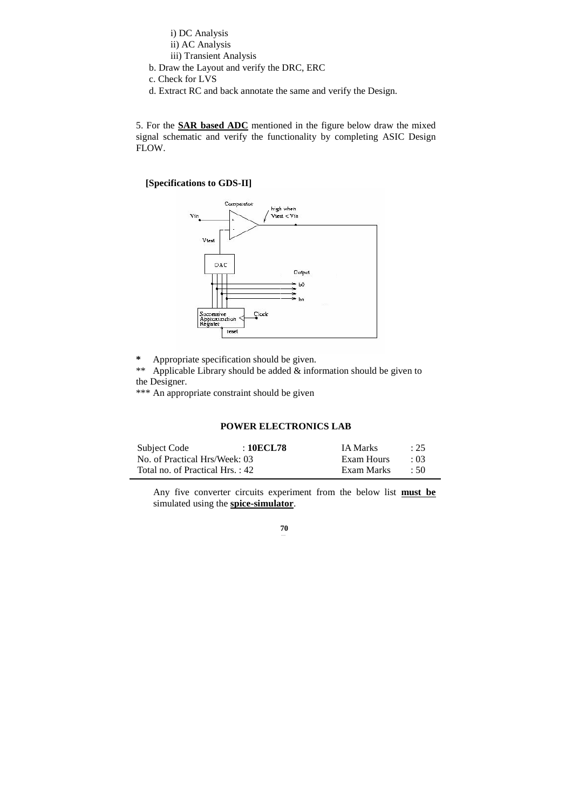i) DC Analysis

- ii) AC Analysis
- iii) Transient Analysis
- b. Draw the Layout and verify the DRC, ERC
- c. Check for LVS
- d. Extract RC and back annotate the same and verify the Design.

5. For the **SAR based ADC** mentioned in the figure below draw the mixed signal schematic and verify the functionality by completing ASIC Design FLOW.

# **[Specifications to GDS-II]**



**\*** Appropriate specification should be given.

\*\* Applicable Library should be added  $\&$  information should be given to the Designer.

\*\*\* An appropriate constraint should be given

# **POWER ELECTRONICS LAB**

| Subject Code                    | :10ECL78 | <b>IA Marks</b> | $\div 25$  |
|---------------------------------|----------|-----------------|------------|
| No. of Practical Hrs/Week: 03   |          | Exam Hours      | $\cdot$ 03 |
| Total no. of Practical Hrs.: 42 |          | Exam Marks      | $\div$ 50  |

Any five converter circuits experiment from the below list **must be** simulated using the **spice-simulator**.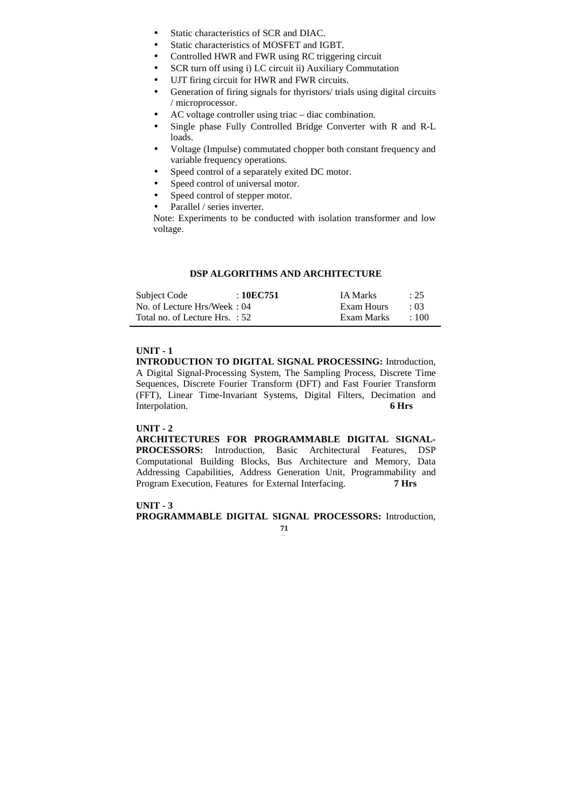- Static characteristics of SCR and DIAC.
- Static characteristics of MOSFET and IGBT.
- Controlled HWR and FWR using RC triggering circuit
- SCR turn off using i) LC circuit ii) Auxiliary Commutation
- UJT firing circuit for HWR and FWR circuits.
- Generation of firing signals for thyristors/ trials using digital circuits / microprocessor.
- AC voltage controller using triac diac combination.
- Single phase Fully Controlled Bridge Converter with R and R-L loads.
- Voltage (Impulse) commutated chopper both constant frequency and variable frequency operations.
- Speed control of a separately exited DC motor.
- Speed control of universal motor.
- Speed control of stepper motor.
- Parallel / series inverter.

Note: Experiments to be conducted with isolation transformer and low voltage.

# **DSP ALGORITHMS AND ARCHITECTURE**

| Subject Code                   | :10EC751 | <b>IA Marks</b> | : 25       |
|--------------------------------|----------|-----------------|------------|
| No. of Lecture Hrs/Week: 04    |          | Exam Hours      | $\cdot$ 03 |
| Total no. of Lecture Hrs. : 52 |          | Exam Marks      | $\div 100$ |

# **UNIT - 1**

**INTRODUCTION TO DIGITAL SIGNAL PROCESSING:** Introduction, A Digital Signal-Processing System, The Sampling Process, Discrete Time Sequences, Discrete Fourier Transform (DFT) and Fast Fourier Transform (FFT), Linear Time-Invariant Systems, Digital Filters, Decimation and Interpolation. **6 Hrs** 

### **UNIT - 2**

**ARCHITECTURES FOR PROGRAMMABLE DIGITAL SIGNAL-PROCESSORS:** Introduction, Basic Architectural Features, DSP Computational Building Blocks, Bus Architecture and Memory, Data Addressing Capabilities, Address Generation Unit, Programmability and Program Execution, Features for External Interfacing. **7 Hrs** 

# **UNIT - 3**

**PROGRAMMABLE DIGITAL SIGNAL PROCESSORS:** Introduction,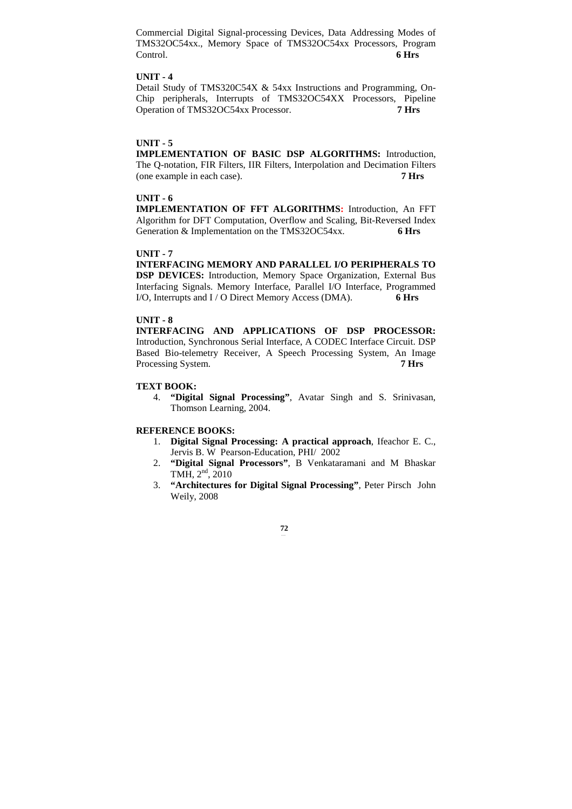Commercial Digital Signal-processing Devices, Data Addressing Modes of TMS32OC54xx., Memory Space of TMS32OC54xx Processors, Program Control. **6 Hrs** 

# **UNIT - 4**

Detail Study of TMS320C54X & 54xx Instructions and Programming, On-Chip peripherals, Interrupts of TMS32OC54XX Processors, Pipeline Operation of TMS32OC54xx Processor. **7 Hrs** 

### **UNIT - 5**

**IMPLEMENTATION OF BASIC DSP ALGORITHMS:** Introduction, The Q-notation, FIR Filters, IIR Filters, Interpolation and Decimation Filters (one example in each case). **7 Hrs** 

# **UNIT - 6**

**IMPLEMENTATION OF FFT ALGORITHMS:** Introduction, An FFT Algorithm for DFT Computation, Overflow and Scaling, Bit-Reversed Index Generation & Implementation on the TMS32OC54xx. 6 Hrs

#### **UNIT - 7**

**INTERFACING MEMORY AND PARALLEL I/O PERIPHERALS TO DSP DEVICES:** Introduction, Memory Space Organization, External Bus Interfacing Signals. Memory Interface, Parallel I/O Interface, Programmed I/O, Interrupts and I / O Direct Memory Access (DMA). **6 Hrs** 

### **UNIT - 8**

**INTERFACING AND APPLICATIONS OF DSP PROCESSOR:**  Introduction, Synchronous Serial Interface, A CODEC Interface Circuit. DSP Based Bio-telemetry Receiver, A Speech Processing System, An Image Processing System. **7 Hrs** 

# **TEXT BOOK:**

4. **"Digital Signal Processing"**, Avatar Singh and S. Srinivasan, Thomson Learning, 2004.

#### **REFERENCE BOOKS:**

- 1. **Digital Signal Processing: A practical approach**, Ifeachor E. C., Jervis B. W Pearson-Education, PHI/ 2002
- 2. **"Digital Signal Processors"**, B Venkataramani and M Bhaskar TMH, 2nd, 2010
- 3. **"Architectures for Digital Signal Processing"**, Peter Pirsch John Weily, 2008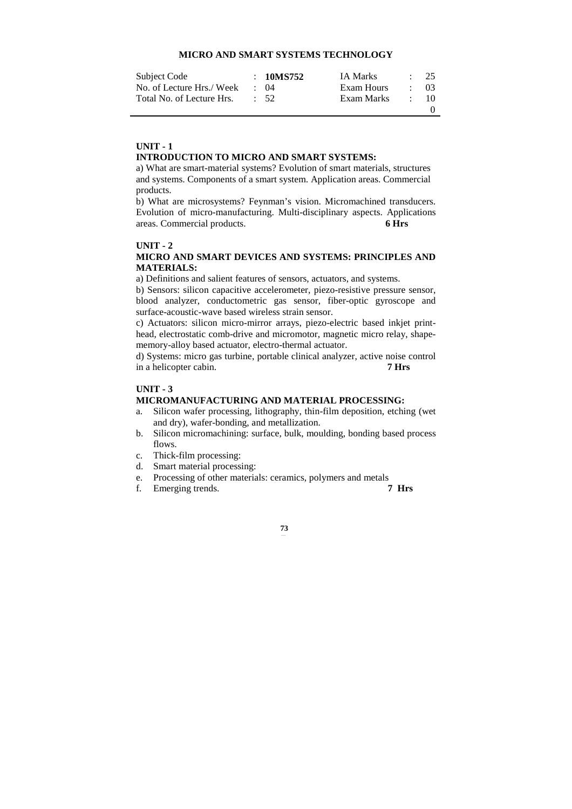# **MICRO AND SMART SYSTEMS TECHNOLOGY**

| Subject Code              | : 10MS752       | <b>IA Marks</b> |                 | $\therefore$ 2.5 |
|---------------------------|-----------------|-----------------|-----------------|------------------|
| No. of Lecture Hrs./ Week | $\cdot$ 04      | Exam Hours      |                 | $\cdot$ 03       |
| Total No. of Lecture Hrs. | $\therefore$ 52 | Exam Marks      | <b>Contract</b> | - 10             |
|                           |                 |                 |                 |                  |

### **UNIT - 1**

# **INTRODUCTION TO MICRO AND SMART SYSTEMS:**

a) What are smart-material systems? Evolution of smart materials, structures and systems. Components of a smart system. Application areas. Commercial products.

b) What are microsystems? Feynman's vision. Micromachined transducers. Evolution of micro-manufacturing. Multi-disciplinary aspects. Applications areas. Commercial products. **6 Hrs** 

# **UNIT - 2**

# **MICRO AND SMART DEVICES AND SYSTEMS: PRINCIPLES AND MATERIALS:**

a) Definitions and salient features of sensors, actuators, and systems.

b) Sensors: silicon capacitive accelerometer, piezo-resistive pressure sensor, blood analyzer, conductometric gas sensor, fiber-optic gyroscope and surface-acoustic-wave based wireless strain sensor.

c) Actuators: silicon micro-mirror arrays, piezo-electric based inkjet printhead, electrostatic comb-drive and micromotor, magnetic micro relay, shapememory-alloy based actuator, electro-thermal actuator.

d) Systems: micro gas turbine, portable clinical analyzer, active noise control in a helicopter cabin. **7 Hrs** 

# **UNIT - 3**

# **MICROMANUFACTURING AND MATERIAL PROCESSING:**

- a. Silicon wafer processing, lithography, thin-film deposition, etching (wet and dry), wafer-bonding, and metallization.
- b. Silicon micromachining: surface, bulk, moulding, bonding based process flows.
- c. Thick-film processing:
- d. Smart material processing:
- e. Processing of other materials: ceramics, polymers and metals
- f. Emerging trends. **7 Hrs**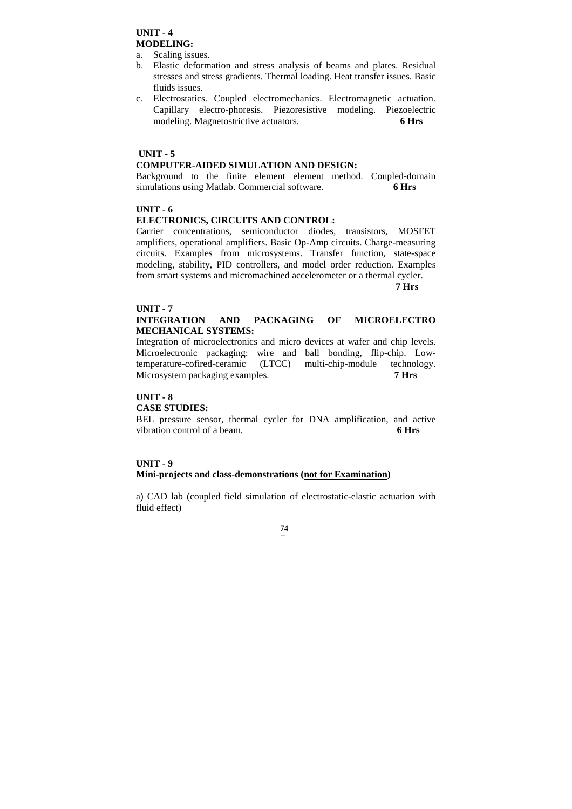# **UNIT - 4 MODELING:**

- a. Scaling issues.
- b. Elastic deformation and stress analysis of beams and plates. Residual stresses and stress gradients. Thermal loading. Heat transfer issues. Basic fluids issues.
- c. Electrostatics. Coupled electromechanics. Electromagnetic actuation. Capillary electro-phoresis. Piezoresistive modeling. Piezoelectric modeling. Magnetostrictive actuators. **6 Hrs**

# **UNIT - 5**

# **COMPUTER-AIDED SIMULATION AND DESIGN:**

Background to the finite element element method. Coupled-domain simulations using Matlab. Commercial software. **6 Hrs** 

# **UNIT - 6**

# **ELECTRONICS, CIRCUITS AND CONTROL:**

Carrier concentrations, semiconductor diodes, transistors, MOSFET amplifiers, operational amplifiers. Basic Op-Amp circuits. Charge-measuring circuits. Examples from microsystems. Transfer function, state-space modeling, stability, PID controllers, and model order reduction. Examples from smart systems and micromachined accelerometer or a thermal cycler.

#### **7 Hrs**

# **UNIT - 7**

# **INTEGRATION AND PACKAGING OF MICROELECTRO MECHANICAL SYSTEMS:**

Integration of microelectronics and micro devices at wafer and chip levels. Microelectronic packaging: wire and ball bonding, flip-chip. Lowtemperature-cofired-ceramic (LTCC) multi-chip-module technology. Microsystem packaging examples. **7 Hrs** 

### **UNIT - 8**

### **CASE STUDIES:**

BEL pressure sensor, thermal cycler for DNA amplification, and active vibration control of a beam. **6 Hrs** 

# **UNIT - 9 Mini-projects and class-demonstrations (not for Examination)**

a) CAD lab (coupled field simulation of electrostatic-elastic actuation with fluid effect)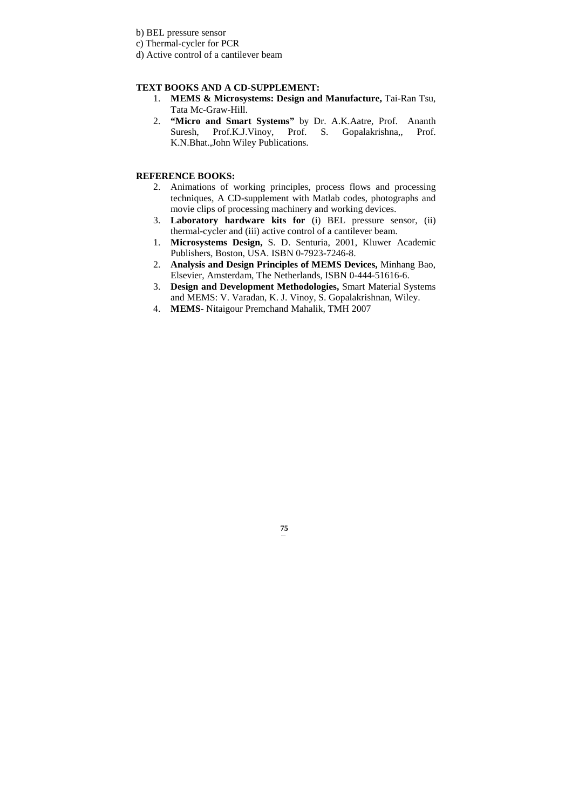b) BEL pressure sensor

c) Thermal-cycler for PCR

d) Active control of a cantilever beam

# **TEXT BOOKS AND A CD-SUPPLEMENT:**

- 1. **MEMS & Microsystems: Design and Manufacture,** Tai-Ran Tsu, Tata Mc-Graw-Hill.
- 2. **"Micro and Smart Systems"** by Dr. A.K.Aatre, Prof. Ananth Suresh, Prof.K.J.Vinoy, Prof. S. Gopalakrishna,, Prof. K.N.Bhat.,John Wiley Publications.

# **REFERENCE BOOKS:**

- 2. Animations of working principles, process flows and processing techniques, A CD-supplement with Matlab codes, photographs and movie clips of processing machinery and working devices.
- 3. **Laboratory hardware kits for** (i) BEL pressure sensor, (ii) thermal-cycler and (iii) active control of a cantilever beam.
- 1. **Microsystems Design,** S. D. Senturia, 2001, Kluwer Academic Publishers, Boston, USA. ISBN 0-7923-7246-8.
- 2. **Analysis and Design Principles of MEMS Devices,** Minhang Bao, Elsevier, Amsterdam, The Netherlands, ISBN 0-444-51616-6.
- 3. **Design and Development Methodologies,** Smart Material Systems and MEMS: V. Varadan, K. J. Vinoy, S. Gopalakrishnan, Wiley.
- 4. **MEMS-** Nitaigour Premchand Mahalik, TMH 2007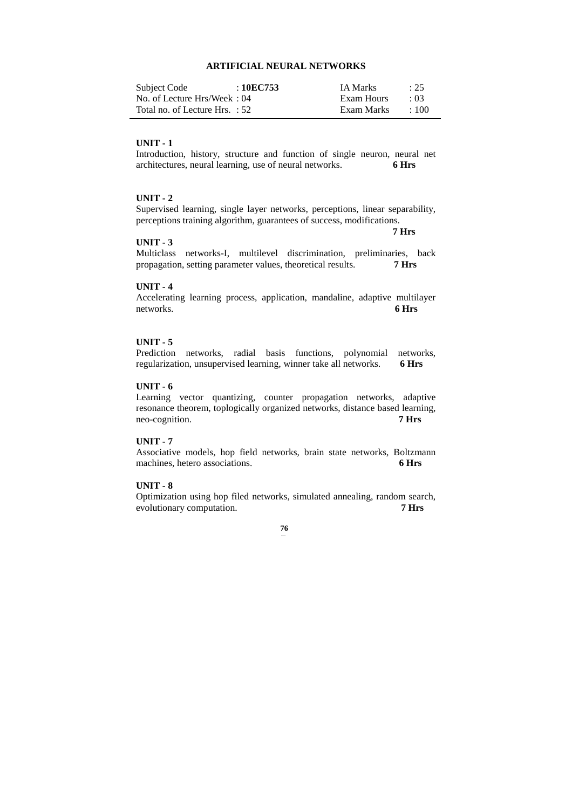# **ARTIFICIAL NEURAL NETWORKS**

| Subject Code                   | :10EC753 | <b>IA Marks</b> | : 25       |
|--------------------------------|----------|-----------------|------------|
| No. of Lecture Hrs/Week: 04    |          | Exam Hours      | $\cdot$ 03 |
| Total no. of Lecture Hrs. : 52 |          | Exam Marks      | $+100$     |

# **UNIT - 1**

Introduction, history, structure and function of single neuron, neural net architectures, neural learning, use of neural networks. **6 Hrs** 

# **UNIT - 2**

Supervised learning, single layer networks, perceptions, linear separability, perceptions training algorithm, guarantees of success, modifications.

 **7 Hrs** 

### **UNIT - 3**

Multiclass networks-I, multilevel discrimination, preliminaries, back propagation, setting parameter values, theoretical results. **7 Hrs** 

#### **UNIT - 4**

Accelerating learning process, application, mandaline, adaptive multilayer networks. **6 Hrs** 

# **UNIT - 5**

Prediction networks, radial basis functions, polynomial networks, regularization, unsupervised learning, winner take all networks. **6 Hrs** 

# **UNIT - 6**

Learning vector quantizing, counter propagation networks, adaptive resonance theorem, toplogically organized networks, distance based learning, neo-cognition. **7 Hrs** 

# **UNIT - 7**

Associative models, hop field networks, brain state networks, Boltzmann machines, hetero associations. **6 Hrs** 

### **UNIT - 8**

Optimization using hop filed networks, simulated annealing, random search, evolutionary computation. **7 Hrs**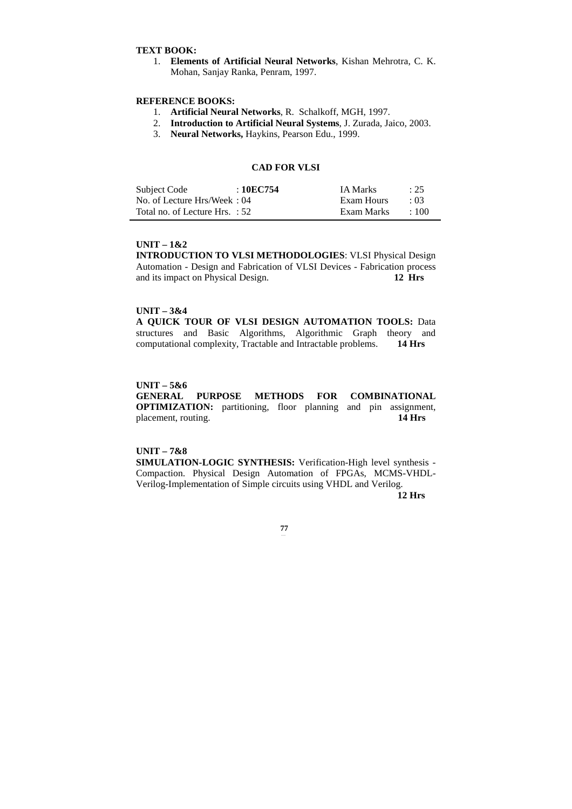# **TEXT BOOK:**

1. **Elements of Artificial Neural Networks**, Kishan Mehrotra, C. K. Mohan, Sanjay Ranka, Penram, 1997.

# **REFERENCE BOOKS:**

- 1. **Artificial Neural Networks**, R. Schalkoff, MGH, 1997.
- 2. **Introduction to Artificial Neural Systems**, J. Zurada, Jaico, 2003.
- 3. **Neural Networks,** Haykins, Pearson Edu., 1999.

# **CAD FOR VLSI**

| Subject Code                   | : 10EC754 | <b>IA Marks</b> | : 25       |
|--------------------------------|-----------|-----------------|------------|
| No. of Lecture Hrs/Week: 04    |           | Exam Hours      | $\cdot$ 03 |
| Total no. of Lecture Hrs. : 52 |           | Exam Marks      | $\div 100$ |

#### **UNIT – 1&2**

**INTRODUCTION TO VLSI METHODOLOGIES**: VLSI Physical Design Automation - Design and Fabrication of VLSI Devices - Fabrication process and its impact on Physical Design. **12 Hrs** 

#### **UNIT – 3&4**

**A QUICK TOUR OF VLSI DESIGN AUTOMATION TOOLS:** Data structures and Basic Algorithms, Algorithmic Graph theory and computational complexity, Tractable and Intractable problems. **14 Hrs** 

#### **UNIT – 5&6**

# **GENERAL PURPOSE METHODS FOR COMBINATIONAL OPTIMIZATION:** partitioning, floor planning and pin assignment, placement, routing. **14 Hrs**

# **UNIT – 7&8**

**SIMULATION-LOGIC SYNTHESIS:** Verification-High level synthesis - Compaction. Physical Design Automation of FPGAs, MCMS-VHDL-Verilog-Implementation of Simple circuits using VHDL and Verilog.

 **12 Hrs**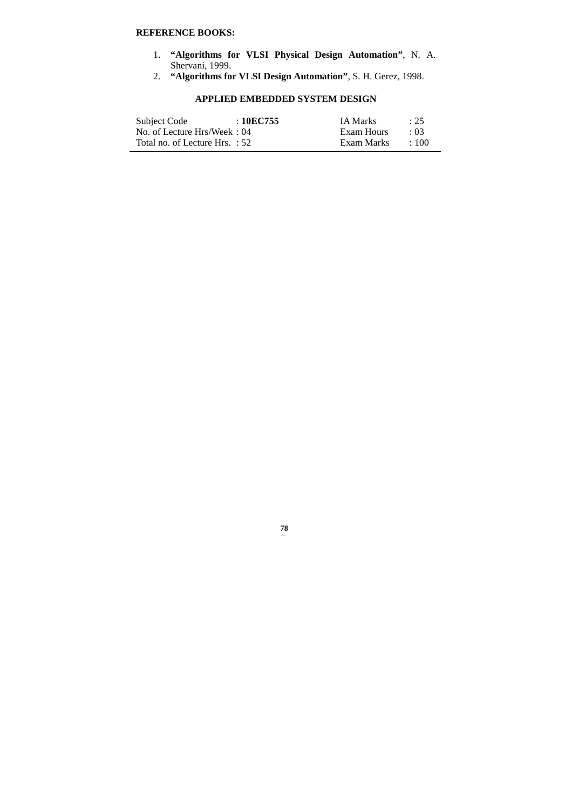# **REFERENCE BOOKS:**

- 1. **"Algorithms for VLSI Physical Design Automation"**, N. A. Shervani, 1999.
- 2. **"Algorithms for VLSI Design Automation"**, S. H. Gerez, 1998.

# **APPLIED EMBEDDED SYSTEM DESIGN**

| Subject Code                   | : 10EC755 | <b>IA Marks</b> | : 25       |
|--------------------------------|-----------|-----------------|------------|
| No. of Lecture Hrs/Week: 04    |           | Exam Hours      | $\cdot$ 03 |
| Total no. of Lecture Hrs. : 52 |           | Exam Marks      | $\pm 100$  |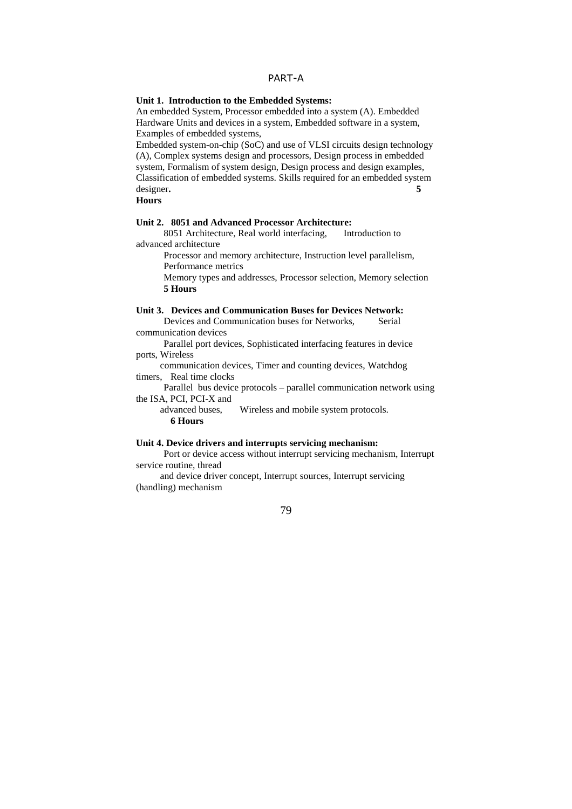# PART-A

# **Unit 1. Introduction to the Embedded Systems:**

An embedded System, Processor embedded into a system (A). Embedded Hardware Units and devices in a system, Embedded software in a system, Examples of embedded systems,

Embedded system-on-chip (SoC) and use of VLSI circuits design technology (A), Complex systems design and processors, Design process in embedded system, Formalism of system design, Design process and design examples, Classification of embedded systems. Skills required for an embedded system designer**. 5** 

**Hours** 

## **Unit 2. 8051 and Advanced Processor Architecture:**

 8051 Architecture, Real world interfacing, Introduction to advanced architecture

 Processor and memory architecture, Instruction level parallelism, Performance metrics

 Memory types and addresses, Processor selection, Memory selection **5 Hours** 

# **Unit 3. Devices and Communication Buses for Devices Network:**

Devices and Communication buses for Networks, Serial communication devices

 Parallel port devices, Sophisticated interfacing features in device ports, Wireless

 communication devices, Timer and counting devices, Watchdog timers, Real time clocks

 Parallel bus device protocols – parallel communication network using the ISA, PCI, PCI-X and

 advanced buses, Wireless and mobile system protocols. **6 Hours** 

#### **Unit 4. Device drivers and interrupts servicing mechanism:**

 Port or device access without interrupt servicing mechanism, Interrupt service routine, thread

 and device driver concept, Interrupt sources, Interrupt servicing (handling) mechanism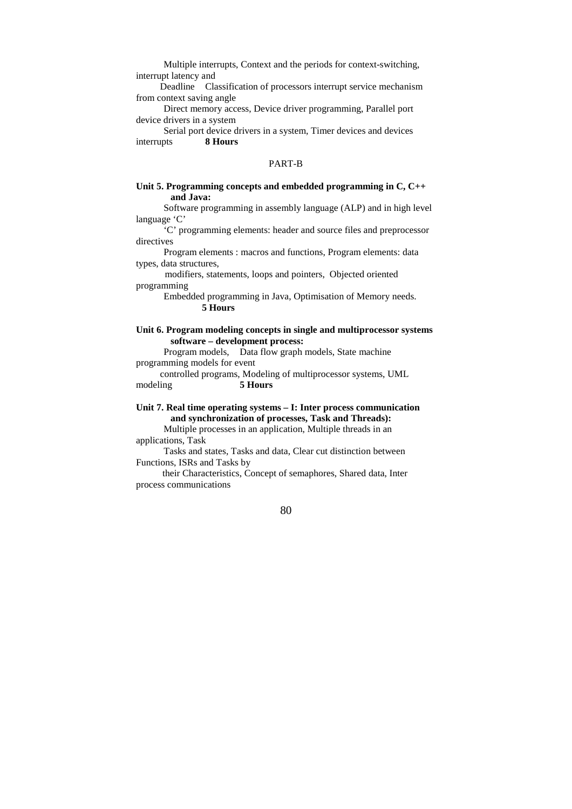Multiple interrupts, Context and the periods for context-switching, interrupt latency and

 Deadline Classification of processors interrupt service mechanism from context saving angle

 Direct memory access, Device driver programming, Parallel port device drivers in a system

 Serial port device drivers in a system, Timer devices and devices interrupts **8 Hours** 

#### PART-B

# **Unit 5. Programming concepts and embedded programming in C, C++ and Java:**

 Software programming in assembly language (ALP) and in high level language 'C'

 'C' programming elements: header and source files and preprocessor directives

 Program elements : macros and functions, Program elements: data types, data structures,

 modifiers, statements, loops and pointers, Objected oriented programming

> Embedded programming in Java, Optimisation of Memory needs. **5 Hours**

## **Unit 6. Program modeling concepts in single and multiprocessor systems software – development process:**

 Program models, Data flow graph models, State machine programming models for event

 controlled programs, Modeling of multiprocessor systems, UML modeling **5 Hours** 

# **Unit 7. Real time operating systems – I: Inter process communication and synchronization of processes, Task and Threads):**

 Multiple processes in an application, Multiple threads in an applications, Task

 Tasks and states, Tasks and data, Clear cut distinction between Functions, ISRs and Tasks by

 their Characteristics, Concept of semaphores, Shared data, Inter process communications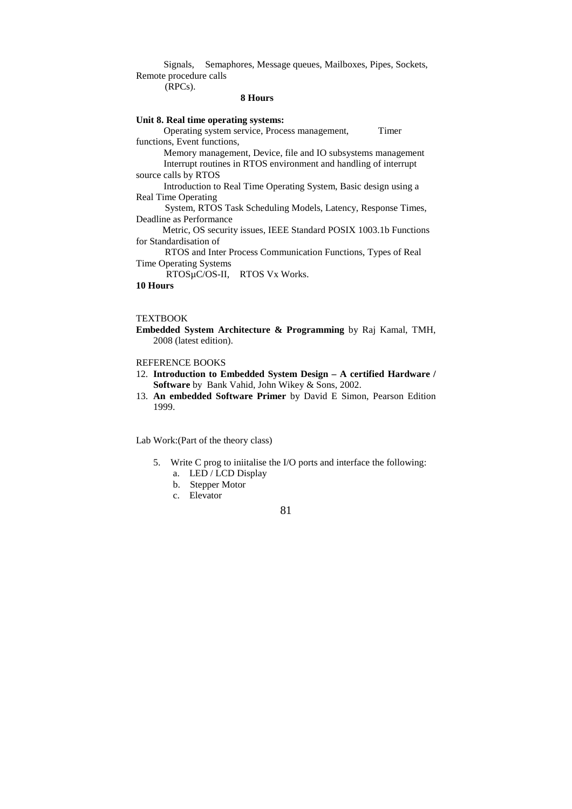Signals, Semaphores, Message queues, Mailboxes, Pipes, Sockets, Remote procedure calls

(RPCs).

## **8 Hours**

# **Unit 8. Real time operating systems:**

 Operating system service, Process management, Timer functions, Event functions, Memory management, Device, file and IO subsystems management Interrupt routines in RTOS environment and handling of interrupt source calls by RTOS Introduction to Real Time Operating System, Basic design using a Real Time Operating System, RTOS Task Scheduling Models, Latency, Response Times, Deadline as Performance Metric, OS security issues, IEEE Standard POSIX 1003.1b Functions for Standardisation of RTOS and Inter Process Communication Functions, Types of Real Time Operating Systems RTOSµC/OS-II, RTOS Vx Works. **10 Hours** 

#### **TEXTBOOK**

**Embedded System Architecture & Programming** by Raj Kamal, TMH, 2008 (latest edition).

## REFERENCE BOOKS

- 12. **Introduction to Embedded System Design A certified Hardware / Software** by Bank Vahid, John Wikey & Sons, 2002.
- 13. **An embedded Software Primer** by David E Simon, Pearson Edition 1999.

Lab Work:(Part of the theory class)

- 5. Write C prog to iniitalise the I/O ports and interface the following:
	- a. LED / LCD Display
	- b. Stepper Motor
	- c. Elevator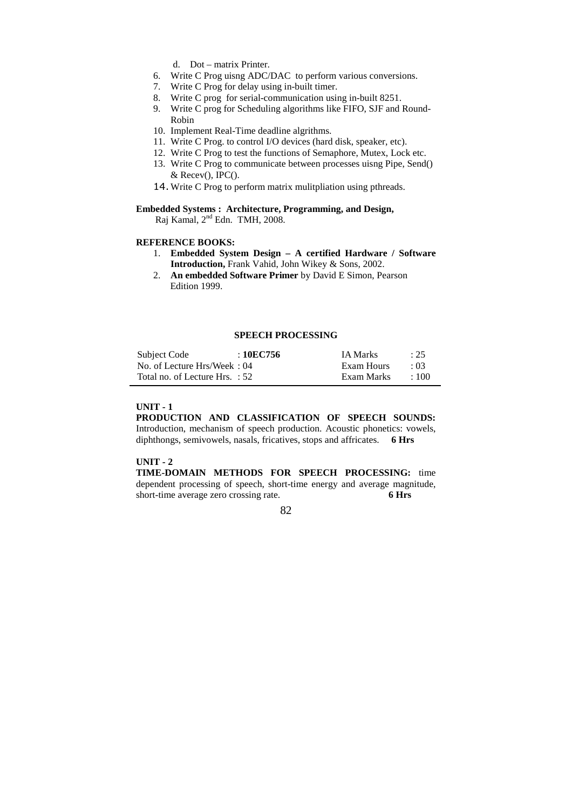- d. Dot matrix Printer.
- 6. Write C Prog uisng ADC/DAC to perform various conversions.
- 7. Write C Prog for delay using in-built timer.
- 8. Write C prog for serial-communication using in-built 8251.
- 9. Write C prog for Scheduling algorithms like FIFO, SJF and Round-Robin
- 10. Implement Real-Time deadline algrithms.
- 11. Write C Prog. to control I/O devices (hard disk, speaker, etc).
- 12. Write C Prog to test the functions of Semaphore, Mutex, Lock etc.
- 13. Write C Prog to communicate between processes uisng Pipe, Send() & Recev(), IPC().
- 14. Write C Prog to perform matrix mulitpliation using pthreads.
- **Embedded Systems : Architecture, Programming, and Design,**  Raj Kamal, 2nd Edn. TMH, 2008.

#### **REFERENCE BOOKS:**

- 1. **Embedded System Design A certified Hardware / Software Introduction,** Frank Vahid, John Wikey & Sons, 2002.
- 2. **An embedded Software Primer** by David E Simon, Pearson Edition 1999.

#### **SPEECH PROCESSING**

| Subject Code                     | : 10EC756 | <b>IA Marks</b> | : 25       |
|----------------------------------|-----------|-----------------|------------|
| No. of Lecture Hrs/Week: 04      |           | Exam Hours      | $\cdot$ 03 |
| Total no. of Lecture Hrs. $: 52$ |           | Exam Marks      | $\pm 100$  |

#### **UNIT - 1**

**PRODUCTION AND CLASSIFICATION OF SPEECH SOUNDS:**  Introduction, mechanism of speech production. Acoustic phonetics: vowels, diphthongs, semivowels, nasals, fricatives, stops and affricates. **6 Hrs** 

#### **UNIT - 2**

**TIME-DOMAIN METHODS FOR SPEECH PROCESSING:** time dependent processing of speech, short-time energy and average magnitude, short-time average zero crossing rate. **6 Hrs** 

<u>82</u>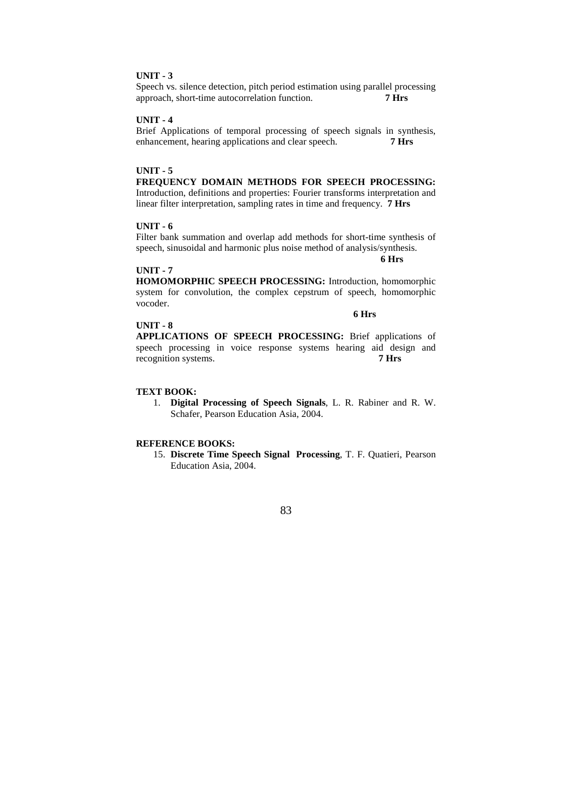Speech vs. silence detection, pitch period estimation using parallel processing approach, short-time autocorrelation function. **7 Hrs** 

## **UNIT - 4**

Brief Applications of temporal processing of speech signals in synthesis, enhancement, hearing applications and clear speech. **7 Hrs** 

#### **UNIT - 5**

**FREQUENCY DOMAIN METHODS FOR SPEECH PROCESSING:** Introduction, definitions and properties: Fourier transforms interpretation and linear filter interpretation, sampling rates in time and frequency. **7 Hrs** 

# **UNIT - 6**

Filter bank summation and overlap add methods for short-time synthesis of speech, sinusoidal and harmonic plus noise method of analysis/synthesis.

 **6 Hrs** 

# **UNIT - 7**

**HOMOMORPHIC SPEECH PROCESSING:** Introduction, homomorphic system for convolution, the complex cepstrum of speech, homomorphic vocoder.

#### **6 Hrs**

**UNIT - 8 APPLICATIONS OF SPEECH PROCESSING:** Brief applications of speech processing in voice response systems hearing aid design and recognition systems. **7 Hrs** 

#### **TEXT BOOK:**

1. **Digital Processing of Speech Signals**, L. R. Rabiner and R. W. Schafer, Pearson Education Asia, 2004.

## **REFERENCE BOOKS:**

15. **Discrete Time Speech Signal Processing**, T. F. Quatieri, Pearson Education Asia, 2004.

# <u>83</u>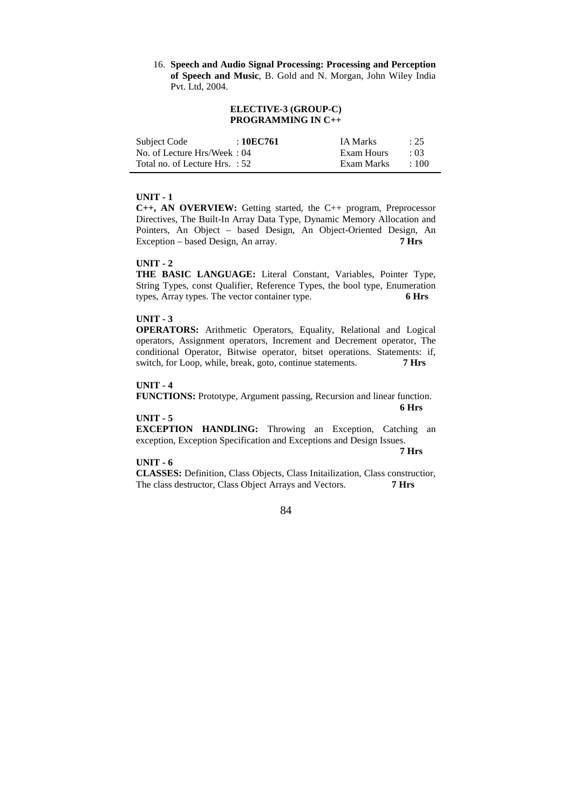16. **Speech and Audio Signal Processing: Processing and Perception of Speech and Music**, B. Gold and N. Morgan, John Wiley India Pvt. Ltd, 2004.

## **ELECTIVE-3 (GROUP-C) PROGRAMMING IN C++**

| Subject Code                   | : 10EC761 | <b>IA Marks</b> | : 25       |
|--------------------------------|-----------|-----------------|------------|
| No. of Lecture Hrs/Week: 04    |           | Exam Hours      | $\cdot$ 03 |
| Total no. of Lecture Hrs. : 52 |           | Exam Marks      | $\pm 100$  |

#### **UNIT - 1**

**C++, AN OVERVIEW:** Getting started, the C++ program, Preprocessor Directives, The Built-In Array Data Type, Dynamic Memory Allocation and Pointers, An Object – based Design, An Object-Oriented Design, An Exception – based Design, An array. **7 Hrs** 

#### **UNIT - 2**

**THE BASIC LANGUAGE:** Literal Constant, Variables, Pointer Type, String Types, const Qualifier, Reference Types, the bool type, Enumeration types, Array types. The vector container type. **6 Hrs** 

#### **UNIT - 3**

**OPERATORS:** Arithmetic Operators, Equality, Relational and Logical operators, Assignment operators, Increment and Decrement operator, The conditional Operator, Bitwise operator, bitset operations. Statements: if, switch, for Loop, while, break, goto, continue statements. **7 Hrs** 

#### **UNIT - 4**

**FUNCTIONS:** Prototype, Argument passing, Recursion and linear function.  **6 Hrs** 

#### **UNIT - 5**

**EXCEPTION HANDLING:** Throwing an Exception, Catching an exception, Exception Specification and Exceptions and Design Issues.

#### **UNIT - 6**

 **7 Hrs** 

**CLASSES:** Definition, Class Objects, Class Initailization, Class constructior, The class destructor, Class Object Arrays and Vectors. **7 Hrs** 

# <u>84 and 2012</u>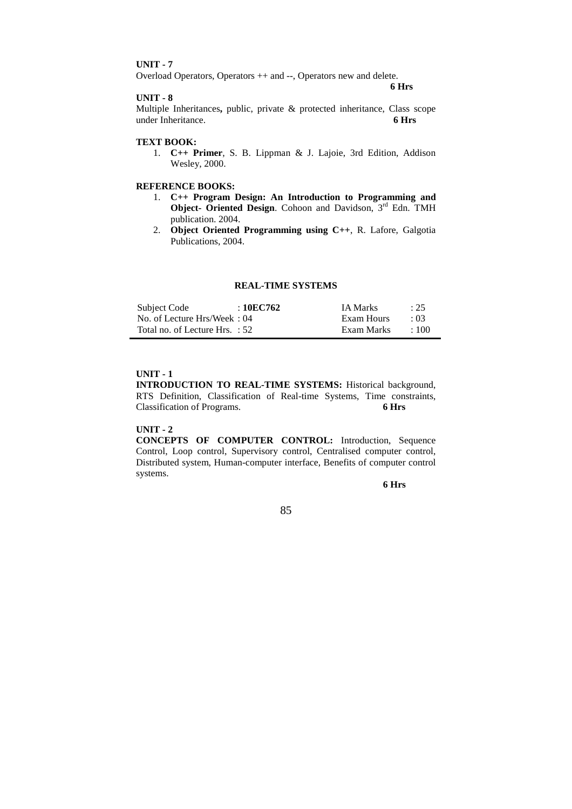Overload Operators, Operators ++ and --, Operators new and delete.

#### **UNIT - 8**

 **6 Hrs** 

Multiple Inheritances**,** public, private & protected inheritance, Class scope under Inheritance. **6 Hrs** 

# **TEXT BOOK:**

1. **C++ Primer**, S. B. Lippman & J. Lajoie, 3rd Edition, Addison Wesley, 2000.

# **REFERENCE BOOKS:**

- 1. **C++ Program Design: An Introduction to Programming and Object- Oriented Design.** Cohoon and Davidson, 3<sup>rd</sup> Edn. TMH publication. 2004.
- 2. **Object Oriented Programming using C++**, R. Lafore, Galgotia Publications, 2004.

#### **REAL-TIME SYSTEMS**

| Subject Code                   | : 10EC762 | <b>IA Marks</b> | : 25       |
|--------------------------------|-----------|-----------------|------------|
| No. of Lecture Hrs/Week: 04    |           | Exam Hours      | $\cdot$ 03 |
| Total no. of Lecture Hrs. : 52 |           | Exam Marks      | $\div 100$ |

# **UNIT - 1**

**INTRODUCTION TO REAL-TIME SYSTEMS:** Historical background, RTS Definition, Classification of Real-time Systems, Time constraints, Classification of Programs. **6 Hrs** 

#### **UNIT - 2**

**CONCEPTS OF COMPUTER CONTROL:** Introduction, Sequence Control, Loop control, Supervisory control, Centralised computer control, Distributed system, Human-computer interface, Benefits of computer control systems.

 **6 Hrs** 

<u>85</u>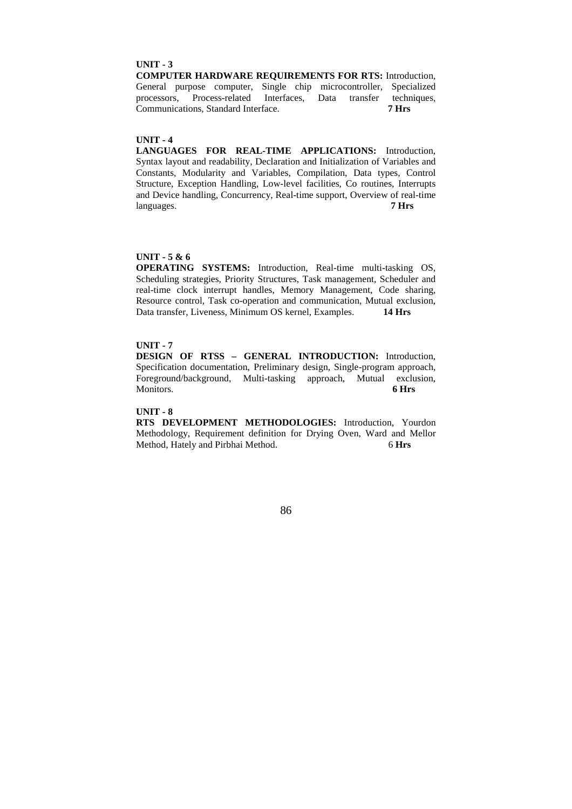**COMPUTER HARDWARE REQUIREMENTS FOR RTS:** Introduction, General purpose computer, Single chip microcontroller, Specialized processors, Process-related Interfaces, Data transfer techniques, Communications, Standard Interface. **7 Hrs** 

#### **UNIT - 4**

**LANGUAGES FOR REAL-TIME APPLICATIONS:** Introduction, Syntax layout and readability, Declaration and Initialization of Variables and Constants, Modularity and Variables, Compilation, Data types, Control Structure, Exception Handling, Low-level facilities, Co routines, Interrupts and Device handling, Concurrency, Real-time support, Overview of real-time languages. **7 Hrs** 

# **UNIT - 5 & 6**

**OPERATING SYSTEMS:** Introduction, Real-time multi-tasking OS, Scheduling strategies, Priority Structures, Task management, Scheduler and real-time clock interrupt handles, Memory Management, Code sharing, Resource control, Task co-operation and communication, Mutual exclusion, Data transfer, Liveness, Minimum OS kernel, Examples. **14 Hrs** 

# **UNIT - 7**

**DESIGN OF RTSS – GENERAL INTRODUCTION:** Introduction, Specification documentation, Preliminary design, Single-program approach, Foreground/background, Multi-tasking approach, Mutual exclusion, Monitors. **6 Hrs** 

#### **UNIT - 8**

**RTS DEVELOPMENT METHODOLOGIES:** Introduction, Yourdon Methodology, Requirement definition for Drying Oven, Ward and Mellor Method, Hately and Pirbhai Method. 6 **Hrs** 

<u>86 and 30 and 30 and 30 and 30 and 30 and 30 and 30 and 30 and 30 and 30 and 30 and 30 and 30 and 30 and 30 and 30 and 30 and 30 and 30 and 30 and 30 and 30 and 30 and 30 and 30 and 30 and 30 and 30 and 30 and 30 and 30 a</u>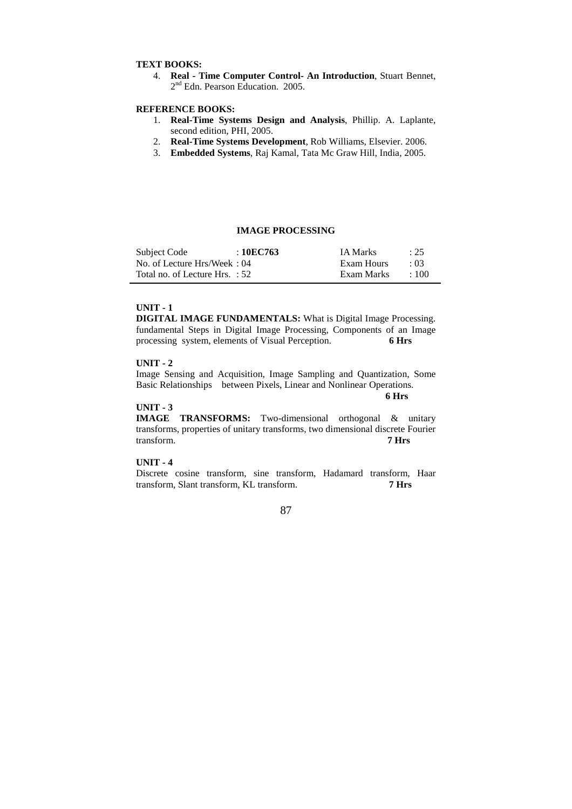#### **TEXT BOOKS:**

4. **Real - Time Computer Control- An Introduction**, Stuart Bennet, 2<sup>nd</sup> Edn. Pearson Education. 2005.

## **REFERENCE BOOKS:**

- 1. **Real-Time Systems Design and Analysis**, Phillip. A. Laplante, second edition, PHI, 2005.
- 2. **Real-Time Systems Development**, Rob Williams, Elsevier. 2006.
- 3. **Embedded Systems**, Raj Kamal, Tata Mc Graw Hill, India, 2005.

# **IMAGE PROCESSING**

| Subject Code                   | :10EC763 | <b>IA Marks</b> | $\therefore$ 25 |
|--------------------------------|----------|-----------------|-----------------|
| No. of Lecture Hrs/Week: 04    |          | Exam Hours      | $\cdot$ 03      |
| Total no. of Lecture Hrs. : 52 |          | Exam Marks      | $\cdot$ 100     |

# **UNIT - 1**

**DIGITAL IMAGE FUNDAMENTALS:** What is Digital Image Processing. fundamental Steps in Digital Image Processing, Components of an Image processing system, elements of Visual Perception. **6 Hrs** 

#### **UNIT - 2**

Image Sensing and Acquisition, Image Sampling and Quantization, Some Basic Relationships between Pixels, Linear and Nonlinear Operations.

 **6 Hrs** 

# **UNIT - 3**

**IMAGE TRANSFORMS:** Two-dimensional orthogonal & unitary transforms, properties of unitary transforms, two dimensional discrete Fourier transform. **7 Hrs** 

# **UNIT - 4**

Discrete cosine transform, sine transform, Hadamard transform, Haar transform, Slant transform, KL transform. **7 Hrs**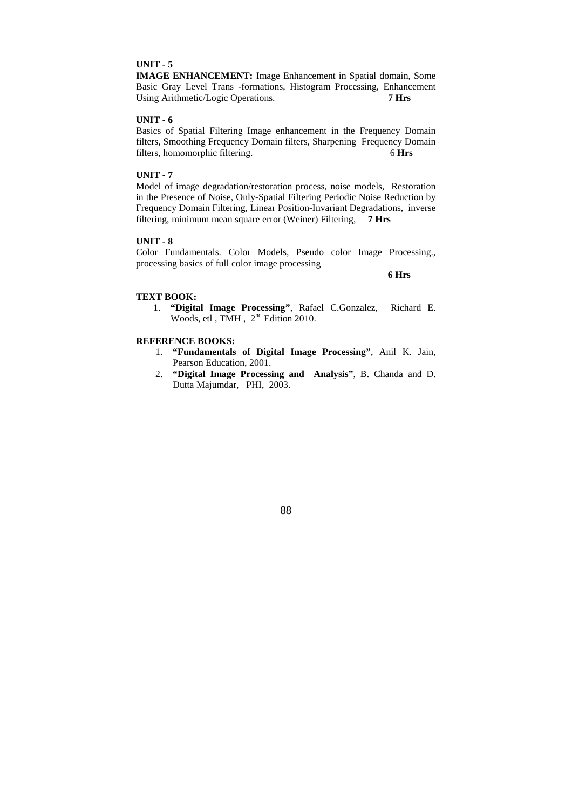**IMAGE ENHANCEMENT:** Image Enhancement in Spatial domain, Some Basic Gray Level Trans -formations, Histogram Processing, Enhancement Using Arithmetic/Logic Operations. **7 Hrs** 

# **UNIT - 6**

Basics of Spatial Filtering Image enhancement in the Frequency Domain filters, Smoothing Frequency Domain filters, Sharpening Frequency Domain filters, homomorphic filtering. 6 **Hrs** 

# **UNIT - 7**

Model of image degradation/restoration process, noise models, Restoration in the Presence of Noise, Only-Spatial Filtering Periodic Noise Reduction by Frequency Domain Filtering, Linear Position-Invariant Degradations, inverse filtering, minimum mean square error (Weiner) Filtering, **7 Hrs** 

# **UNIT - 8**

Color Fundamentals. Color Models, Pseudo color Image Processing., processing basics of full color image processing

 **6 Hrs** 

#### **TEXT BOOK:**

1. **"Digital Image Processing"**, Rafael C.Gonzalez, Richard E. Woods, etl , TMH,  $2<sup>nd</sup>$  Edition 2010.

# **REFERENCE BOOKS:**

- 1. **"Fundamentals of Digital Image Processing"**, Anil K. Jain, Pearson Education, 2001.
- 2. **"Digital Image Processing and Analysis"**, B. Chanda and D. Dutta Majumdar, PHI, 2003.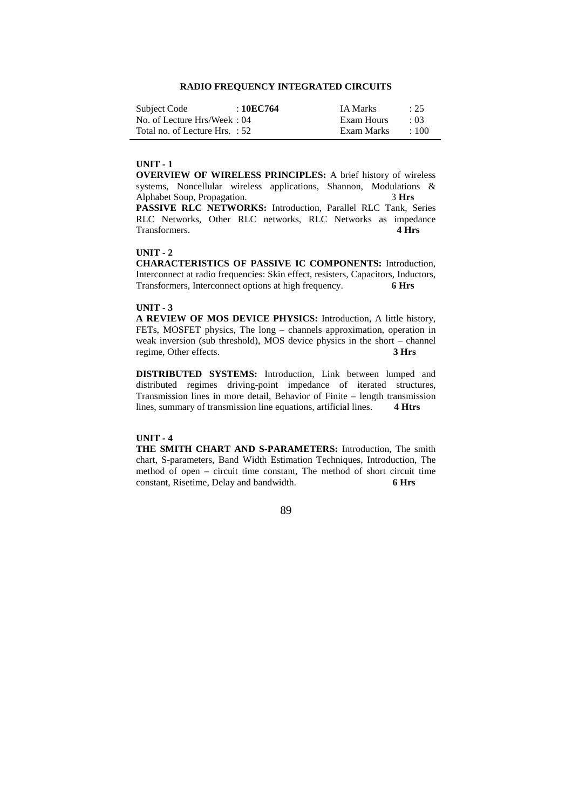# **RADIO FREQUENCY INTEGRATED CIRCUITS**

| Subject Code                   | :10EC764 | <b>IA Marks</b> | : 25       |
|--------------------------------|----------|-----------------|------------|
| No. of Lecture Hrs/Week: 04    |          | Exam Hours      | $\cdot$ 03 |
| Total no. of Lecture Hrs. : 52 |          | Exam Marks      | $\pm 100$  |

#### **UNIT - 1**

**OVERVIEW OF WIRELESS PRINCIPLES:** A brief history of wireless systems, Noncellular wireless applications, Shannon, Modulations & Alphabet Soup, Propagation. 3 Hrs **PASSIVE RLC NETWORKS:** Introduction, Parallel RLC Tank, Series RLC Networks, Other RLC networks, RLC Networks as impedance Transformers. **4 Hrs** 

# **UNIT - 2**

**CHARACTERISTICS OF PASSIVE IC COMPONENTS:** Introduction, Interconnect at radio frequencies: Skin effect, resisters, Capacitors, Inductors, Transformers, Interconnect options at high frequency. **6 Hrs** 

#### **UNIT - 3**

**A REVIEW OF MOS DEVICE PHYSICS:** Introduction, A little history, FETs, MOSFET physics, The long – channels approximation, operation in weak inversion (sub threshold), MOS device physics in the short – channel regime, Other effects. **3 Hrs** 

**DISTRIBUTED SYSTEMS:** Introduction, Link between lumped and distributed regimes driving-point impedance of iterated structures, Transmission lines in more detail, Behavior of Finite – length transmission lines, summary of transmission line equations, artificial lines. **4 Htrs** 

# **UNIT - 4**

**THE SMITH CHART AND S-PARAMETERS:** Introduction, The smith chart, S-parameters, Band Width Estimation Techniques, Introduction, The method of open – circuit time constant, The method of short circuit time constant, Risetime, Delay and bandwidth. **6 Hrs** 

<u>89 and 2012 and 2014 and 2014 and 2014 and 2014 and 2014 and 2014 and 2014 and 2014 and 2014 and 2014 and 201</u>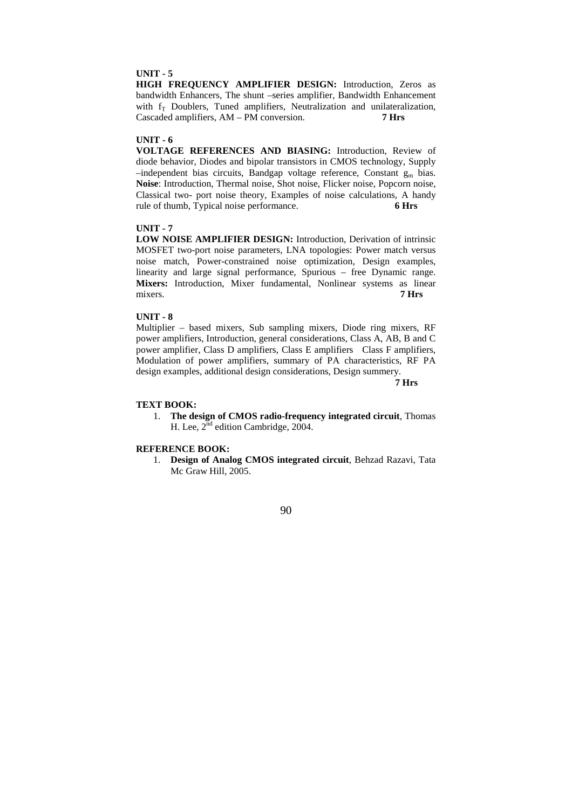**HIGH FREQUENCY AMPLIFIER DESIGN:** Introduction, Zeros as bandwidth Enhancers, The shunt –series amplifier, Bandwidth Enhancement with  $f_T$  Doublers, Tuned amplifiers, Neutralization and unilateralization, Cascaded amplifiers, AM – PM conversion. **7 Hrs** 

#### **UNIT - 6**

**VOLTAGE REFERENCES AND BIASING:** Introduction, Review of diode behavior, Diodes and bipolar transistors in CMOS technology, Supply  $-$ independent bias circuits, Bandgap voltage reference, Constant  $g_m$  bias. **Noise**: Introduction, Thermal noise, Shot noise, Flicker noise, Popcorn noise, Classical two- port noise theory, Examples of noise calculations, A handy rule of thumb, Typical noise performance. **6 Hrs** 

# **UNIT - 7**

**LOW NOISE AMPLIFIER DESIGN:** Introduction, Derivation of intrinsic MOSFET two-port noise parameters, LNA topologies: Power match versus noise match, Power-constrained noise optimization, Design examples, linearity and large signal performance, Spurious – free Dynamic range. **Mixers:** Introduction, Mixer fundamental, Nonlinear systems as linear mixers. **7 Hrs** 

# **UNIT - 8**

Multiplier – based mixers, Sub sampling mixers, Diode ring mixers, RF power amplifiers, Introduction, general considerations, Class A, AB, B and C power amplifier, Class D amplifiers, Class E amplifiers Class F amplifiers, Modulation of power amplifiers, summary of PA characteristics, RF PA design examples, additional design considerations, Design summery.

 **7 Hrs** 

#### **TEXT BOOK:**

1. **The design of CMOS radio-frequency integrated circuit**, Thomas H. Lee,  $2^{nd}$  edition Cambridge,  $2004$ .

#### **REFERENCE BOOK:**

1. **Design of Analog CMOS integrated circuit**, Behzad Razavi, Tata Mc Graw Hill, 2005.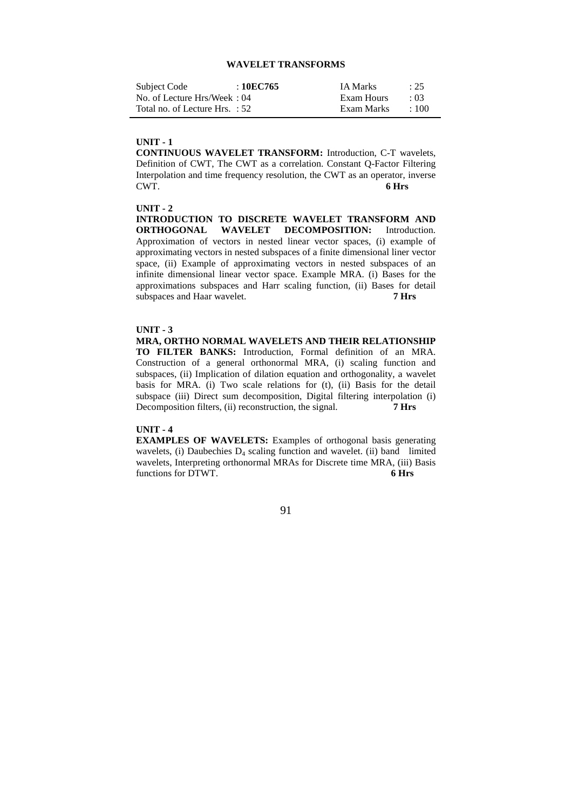#### **WAVELET TRANSFORMS**

| Subject Code                   | :10EC765 | <b>IA Marks</b> | : 25       |
|--------------------------------|----------|-----------------|------------|
| No. of Lecture Hrs/Week: 04    |          | Exam Hours      | $\cdot$ 03 |
| Total no. of Lecture Hrs. : 52 |          | Exam Marks      | $\div 100$ |

#### **UNIT - 1**

**CONTINUOUS WAVELET TRANSFORM:** Introduction, C-T wavelets, Definition of CWT, The CWT as a correlation. Constant Q-Factor Filtering Interpolation and time frequency resolution, the CWT as an operator, inverse CWT. **6 Hrs** 

## **UNIT - 2**

**INTRODUCTION TO DISCRETE WAVELET TRANSFORM AND ORTHOGONAL WAVELET DECOMPOSITION:** Introduction. **WAVELET DECOMPOSITION:** Introduction. Approximation of vectors in nested linear vector spaces, (i) example of approximating vectors in nested subspaces of a finite dimensional liner vector space, (ii) Example of approximating vectors in nested subspaces of an infinite dimensional linear vector space. Example MRA. (i) Bases for the approximations subspaces and Harr scaling function, (ii) Bases for detail subspaces and Haar wavelet. **7 Hrs** 

#### **UNIT - 3**

**MRA, ORTHO NORMAL WAVELETS AND THEIR RELATIONSHIP TO FILTER BANKS:** Introduction, Formal definition of an MRA. Construction of a general orthonormal MRA, (i) scaling function and subspaces, (ii) Implication of dilation equation and orthogonality, a wavelet basis for MRA. (i) Two scale relations for (t), (ii) Basis for the detail subspace (iii) Direct sum decomposition, Digital filtering interpolation (i) Decomposition filters, (ii) reconstruction, the signal. **7 Hrs** 

#### **UNIT - 4**

**EXAMPLES OF WAVELETS:** Examples of orthogonal basis generating wavelets, (i) Daubechies  $D_4$  scaling function and wavelet. (ii) band limited wavelets, Interpreting orthonormal MRAs for Discrete time MRA, (iii) Basis<br>functions for DTWT<br>6 Hrs functions for DTWT.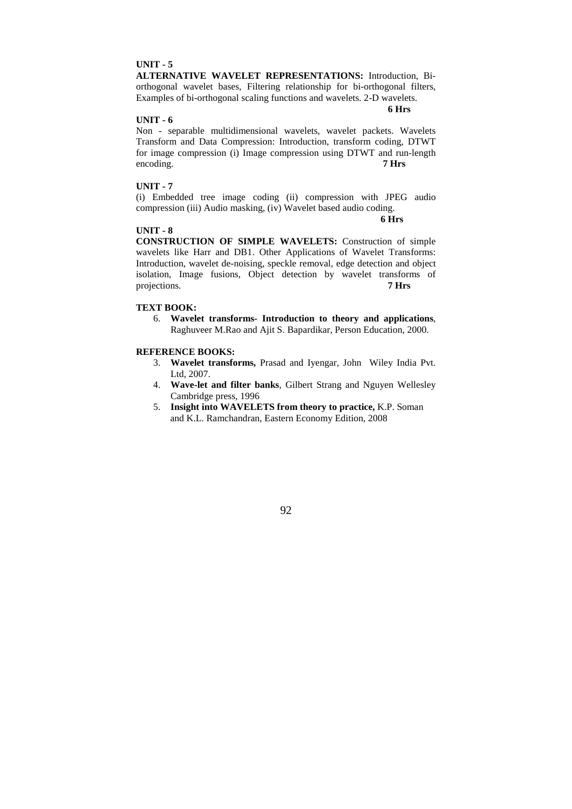**ALTERNATIVE WAVELET REPRESENTATIONS:** Introduction, Biorthogonal wavelet bases, Filtering relationship for bi-orthogonal filters, Examples of bi-orthogonal scaling functions and wavelets. 2-D wavelets.

#### **6 Hrs**

# **UNIT - 6**

Non - separable multidimensional wavelets, wavelet packets. Wavelets Transform and Data Compression: Introduction, transform coding, DTWT for image compression (i) Image compression using DTWT and run-length encoding. **7 Hrs** 

#### **UNIT - 7**

(i) Embedded tree image coding (ii) compression with JPEG audio compression (iii) Audio masking, (iv) Wavelet based audio coding.

 **6 Hrs** 

#### **UNIT - 8**

**CONSTRUCTION OF SIMPLE WAVELETS:** Construction of simple wavelets like Harr and DB1. Other Applications of Wavelet Transforms: Introduction, wavelet de-noising, speckle removal, edge detection and object isolation, Image fusions, Object detection by wavelet transforms of projections. **7 Hrs** 

#### **TEXT BOOK:**

6. **Wavelet transforms- Introduction to theory and applications**, Raghuveer M.Rao and Ajit S. Bapardikar, Person Education, 2000.

#### **REFERENCE BOOKS:**

- 3. **Wavelet transforms,** Prasad and Iyengar, John Wiley India Pvt. Ltd, 2007.
- 4. **Wave-let and filter banks**, Gilbert Strang and Nguyen Wellesley Cambridge press, 1996
- 5. **Insight into WAVELETS from theory to practice,** K.P. Soman and K.L. Ramchandran, Eastern Economy Edition, 2008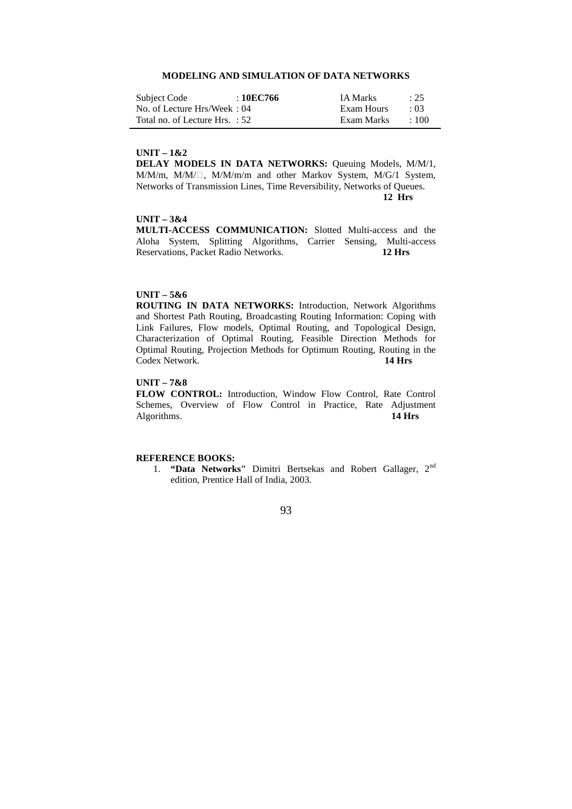## **MODELING AND SIMULATION OF DATA NETWORKS**

| Subject Code                   | : 10EC766 | <b>IA Marks</b> | : 25       |
|--------------------------------|-----------|-----------------|------------|
| No. of Lecture Hrs/Week: 04    |           | Exam Hours      | $\cdot$ 03 |
| Total no. of Lecture Hrs. : 52 |           | Exam Marks      | $\pm 100$  |

#### **UNIT – 1&2**

**DELAY MODELS IN DATA NETWORKS:** Queuing Models, M/M/1, M/M/m, M/M/ $\Box$ , M/M/m/m and other Markov System, M/G/1 System, Networks of Transmission Lines, Time Reversibility, Networks of Queues.  **12 Hrs** 

#### **UNIT – 3&4**

**MULTI-ACCESS COMMUNICATION:** Slotted Multi-access and the Aloha System, Splitting Algorithms, Carrier Sensing, Multi-access Reservations, Packet Radio Networks. **12 Hrs** 

# **UNIT – 5&6**

**ROUTING IN DATA NETWORKS:** Introduction, Network Algorithms and Shortest Path Routing, Broadcasting Routing Information: Coping with Link Failures, Flow models, Optimal Routing, and Topological Design, Characterization of Optimal Routing, Feasible Direction Methods for Optimal Routing, Projection Methods for Optimum Routing, Routing in the Codex Network. **14 Hrs** 

# **UNIT – 7&8**

**FLOW CONTROL:** Introduction, Window Flow Control, Rate Control Schemes, Overview of Flow Control in Practice, Rate Adjustment Algorithms. **14 Hrs** Algorithms.

# **REFERENCE BOOKS:**

1. **"Data Networks"** Dimitri Bertsekas and Robert Gallager, 2nd edition, Prentice Hall of India, 2003.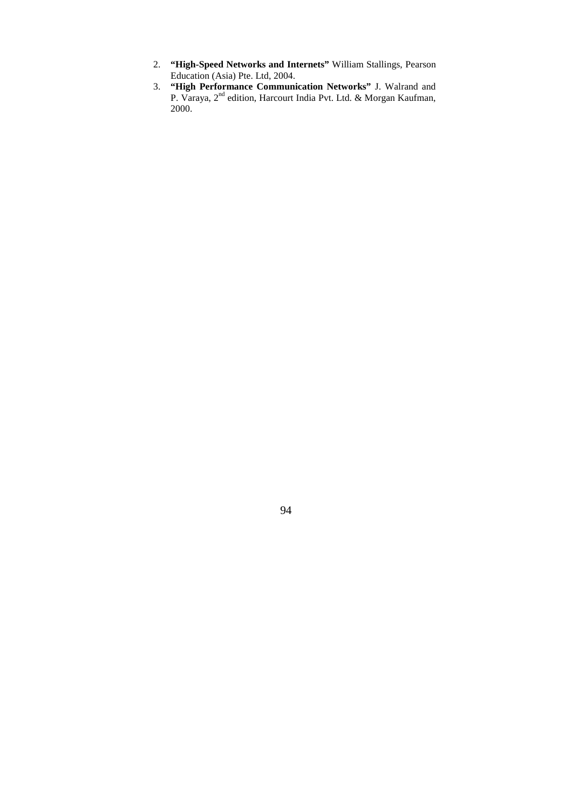- 2. **"High-Speed Networks and Internets"** William Stallings, Pearson Education (Asia) Pte. Ltd, 2004.
- 3. **"High Performance Communication Networks"** J. Walrand and P. Varaya, 2<sup>nd</sup> edition, Harcourt India Pvt. Ltd. & Morgan Kaufman, 2000.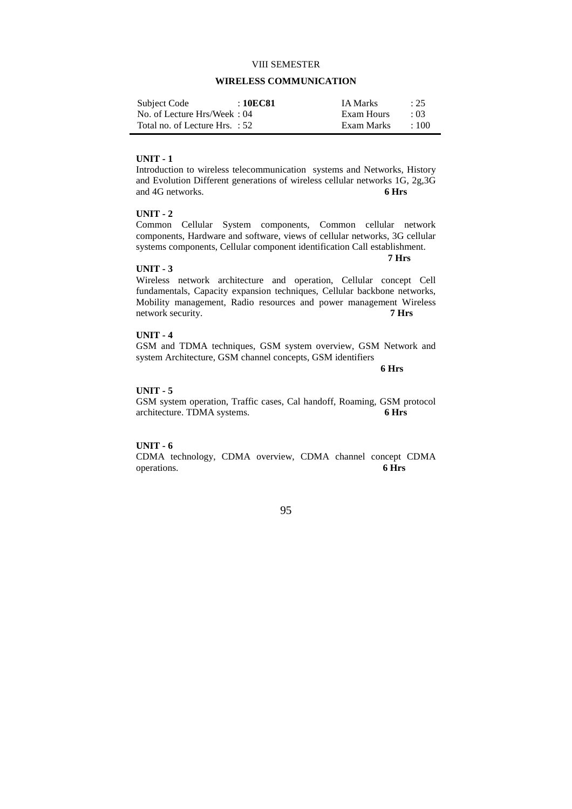#### VIII SEMESTER

## **WIRELESS COMMUNICATION**

| Subject Code                   | : 10EC81 | <b>IA Marks</b> | : 25       |
|--------------------------------|----------|-----------------|------------|
| No. of Lecture Hrs/Week: 04    |          | Exam Hours      | $\cdot$ 03 |
| Total no. of Lecture Hrs. : 52 |          | Exam Marks      | $\div 100$ |

#### **UNIT - 1**

Introduction to wireless telecommunication systems and Networks, History and Evolution Different generations of wireless cellular networks 1G, 2g,3G and 4G networks. **6 Hrs** 

## **UNIT - 2**

Common Cellular System components, Common cellular network components, Hardware and software, views of cellular networks, 3G cellular systems components, Cellular component identification Call establishment.

#### **UNIT - 3**

**7 Hrs** 

Wireless network architecture and operation, Cellular concept Cell fundamentals, Capacity expansion techniques, Cellular backbone networks, Mobility management, Radio resources and power management Wireless network security. **7 Hrs 7** 

## **UNIT - 4**

GSM and TDMA techniques, GSM system overview, GSM Network and system Architecture, GSM channel concepts, GSM identifiers

**6 Hrs** 

#### **UNIT - 5**

GSM system operation, Traffic cases, Cal handoff, Roaming, GSM protocol architecture. TDMA systems. **6 Hrs** 

#### **UNIT - 6**

CDMA technology, CDMA overview, CDMA channel concept CDMA operations. **6 Hrs**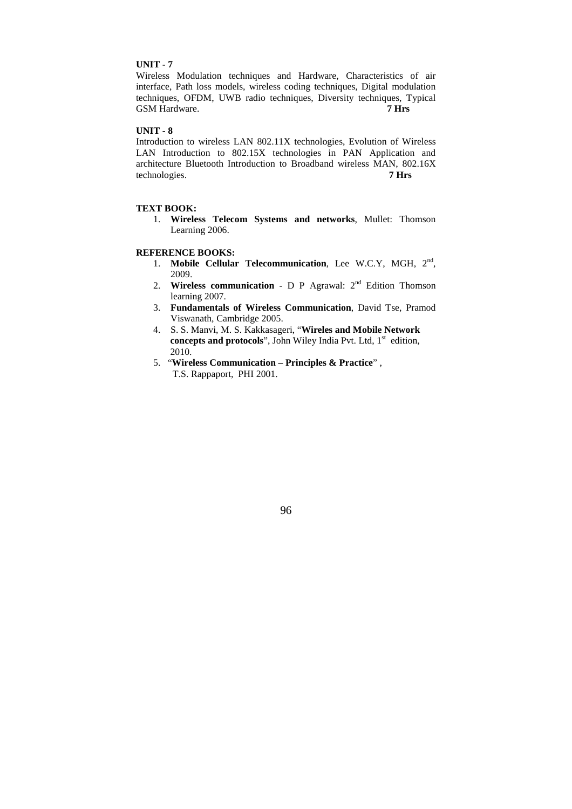Wireless Modulation techniques and Hardware, Characteristics of air interface, Path loss models, wireless coding techniques, Digital modulation techniques, OFDM, UWB radio techniques, Diversity techniques, Typical GSM Hardware. **7 Hrs** 

# **UNIT - 8**

Introduction to wireless LAN 802.11X technologies, Evolution of Wireless LAN Introduction to 802.15X technologies in PAN Application and architecture Bluetooth Introduction to Broadband wireless MAN, 802.16X technologies. **7 Hrs** 

#### **TEXT BOOK:**

1. **Wireless Telecom Systems and networks**, Mullet: Thomson Learning 2006.

# **REFERENCE BOOKS:**

- 1. Mobile Cellular Telecommunication, Lee W.C.Y, MGH, 2<sup>nd</sup>, 2009.
- 2. **Wireless communication** D P Agrawal: 2nd Edition Thomson learning 2007.
- 3. **Fundamentals of Wireless Communication**, David Tse, Pramod Viswanath, Cambridge 2005.
- 4. S. S. Manvi, M. S. Kakkasageri, "**Wireles and Mobile Network**  concepts and protocols", John Wiley India Pvt. Ltd, 1<sup>st</sup> edition, 2010.
- 5. "**Wireless Communication Principles & Practice**" , T.S. Rappaport, PHI 2001.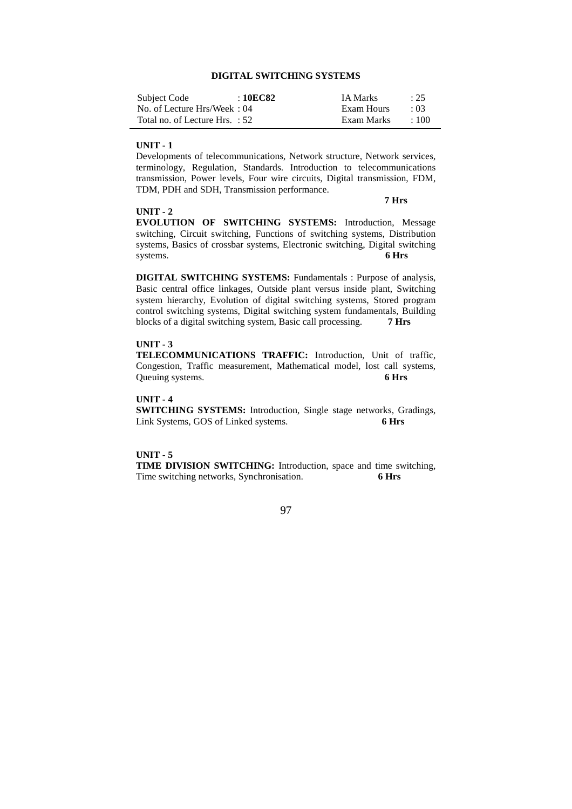# **DIGITAL SWITCHING SYSTEMS**

| Subject Code                   | : 10EC82 | <b>IA Marks</b> | : 25       |
|--------------------------------|----------|-----------------|------------|
| No. of Lecture Hrs/Week: 04    |          | Exam Hours      | $\cdot$ 03 |
| Total no. of Lecture Hrs. : 52 |          | Exam Marks      | $+100$     |

#### **UNIT - 1**

Developments of telecommunications, Network structure, Network services, terminology, Regulation, Standards. Introduction to telecommunications transmission, Power levels, Four wire circuits, Digital transmission, FDM, TDM, PDH and SDH, Transmission performance.

# **UNIT - 2**

#### **7 Hrs**

**EVOLUTION OF SWITCHING SYSTEMS:** Introduction, Message switching, Circuit switching, Functions of switching systems, Distribution systems, Basics of crossbar systems, Electronic switching, Digital switching systems. **6 Hrs** 

**DIGITAL SWITCHING SYSTEMS:** Fundamentals : Purpose of analysis, Basic central office linkages, Outside plant versus inside plant, Switching system hierarchy, Evolution of digital switching systems, Stored program control switching systems, Digital switching system fundamentals, Building blocks of a digital switching system, Basic call processing. **7 Hrs** 

# **UNIT - 3**

**TELECOMMUNICATIONS TRAFFIC:** Introduction, Unit of traffic, Congestion, Traffic measurement, Mathematical model, lost call systems, Queuing systems. **6 Hrs** 

#### **UNIT - 4**

**SWITCHING SYSTEMS:** Introduction, Single stage networks, Gradings, Link Systems, GOS of Linked systems. **6 Hrs** 

#### **UNIT - 5**

**TIME DIVISION SWITCHING:** Introduction, space and time switching, Time switching networks, Synchronisation. **6 Hrs**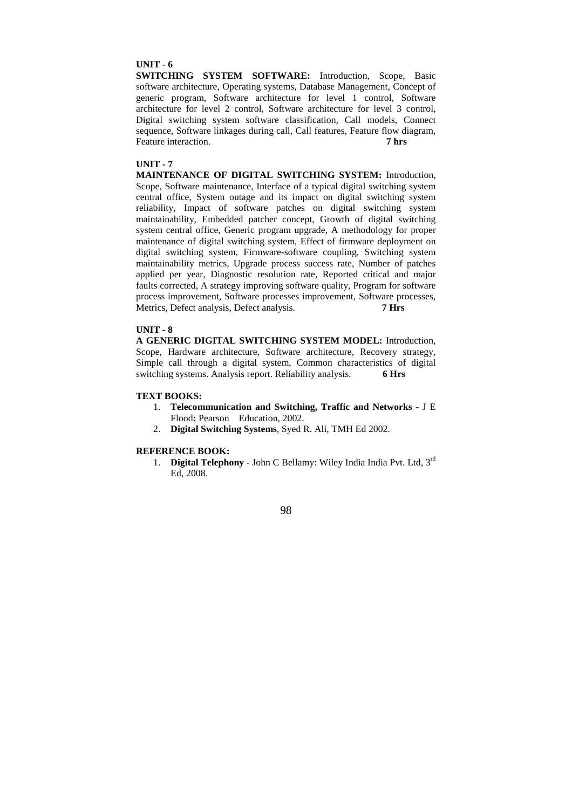**SWITCHING SYSTEM SOFTWARE:** Introduction, Scope, Basic software architecture, Operating systems, Database Management, Concept of generic program, Software architecture for level 1 control, Software architecture for level 2 control, Software architecture for level 3 control, Digital switching system software classification, Call models, Connect sequence, Software linkages during call, Call features, Feature flow diagram, Feature interaction. **7 hrs 7** 

## **UNIT - 7**

**MAINTENANCE OF DIGITAL SWITCHING SYSTEM:** Introduction, Scope, Software maintenance, Interface of a typical digital switching system central office, System outage and its impact on digital switching system reliability, Impact of software patches on digital switching system maintainability, Embedded patcher concept, Growth of digital switching system central office, Generic program upgrade, A methodology for proper maintenance of digital switching system, Effect of firmware deployment on digital switching system, Firmware-software coupling, Switching system maintainability metrics, Upgrade process success rate, Number of patches applied per year, Diagnostic resolution rate, Reported critical and major faults corrected, A strategy improving software quality, Program for software process improvement, Software processes improvement, Software processes, Metrics, Defect analysis, Defect analysis. **7 Hrs** 

# **UNIT - 8**

**A GENERIC DIGITAL SWITCHING SYSTEM MODEL:** Introduction, Scope, Hardware architecture, Software architecture, Recovery strategy, Simple call through a digital system, Common characteristics of digital switching systems. Analysis report. Reliability analysis. **6 Hrs** 

#### **TEXT BOOKS:**

- 1. **Telecommunication and Switching, Traffic and Networks** J E Flood**:** Pearson Education, 2002.
- 2. **Digital Switching Systems**, Syed R. Ali, TMH Ed 2002.

# **REFERENCE BOOK:**

1. **Digital Telephony** - John C Bellamy: Wiley India India Pvt. Ltd, 3rd Ed, 2008.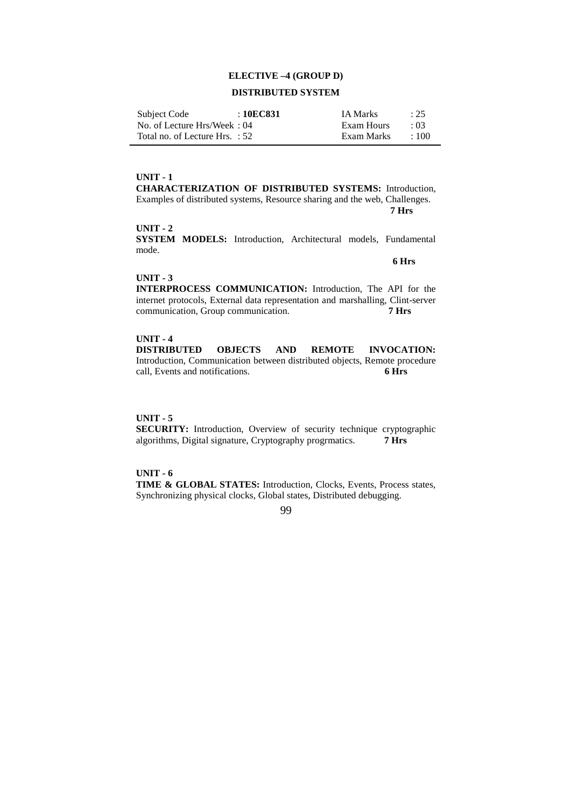## **ELECTIVE –4 (GROUP D)**

# **DISTRIBUTED SYSTEM**

| Subject Code                     | : 10EC831 | <b>IA Marks</b> | : 25       |
|----------------------------------|-----------|-----------------|------------|
| No. of Lecture Hrs/Week: 04      |           | Exam Hours      | $\cdot$ 03 |
| Total no. of Lecture Hrs. $: 52$ |           | Exam Marks      | $\pm 100$  |

#### **UNIT - 1**

**CHARACTERIZATION OF DISTRIBUTED SYSTEMS:** Introduction, Examples of distributed systems, Resource sharing and the web, Challenges.  **7 Hrs** 

# **UNIT - 2**

**SYSTEM MODELS:** Introduction, Architectural models, Fundamental mode.

#### **6 Hrs**

#### **UNIT - 3**

**INTERPROCESS COMMUNICATION:** Introduction, The API for the internet protocols, External data representation and marshalling, Clint-server communication, Group communication. **7 Hrs** 

# **UNIT - 4**

**DISTRIBUTED OBJECTS AND REMOTE INVOCATION:**  Introduction, Communication between distributed objects, Remote procedure call, Events and notifications. **6 Hrs** 

#### **UNIT - 5**

**SECURITY:** Introduction, Overview of security technique cryptographic algorithms, Digital signature, Cryptography progrmatics. **7 Hrs** 

## **UNIT - 6**

**TIME & GLOBAL STATES:** Introduction, Clocks, Events, Process states, Synchronizing physical clocks, Global states, Distributed debugging.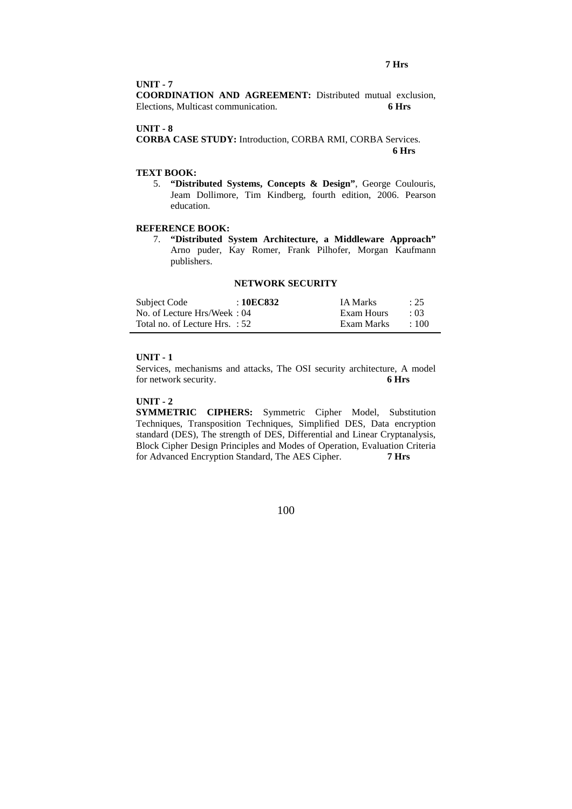#### **7 Hrs**

#### **UNIT - 7**

**COORDINATION AND AGREEMENT:** Distributed mutual exclusion, Elections, Multicast communication. **6 Hrs** 

#### **UNIT - 8**

**CORBA CASE STUDY:** Introduction, CORBA RMI, CORBA Services.  **6 Hrs** 

# **TEXT BOOK:**

5. **"Distributed Systems, Concepts & Design"**, George Coulouris, Jeam Dollimore, Tim Kindberg, fourth edition, 2006. Pearson education.

# **REFERENCE BOOK:**

7. **"Distributed System Architecture, a Middleware Approach"** Arno puder, Kay Romer, Frank Pilhofer, Morgan Kaufmann publishers.

#### **NETWORK SECURITY**

| Subject Code                   | : 10EC832 | <b>IA Marks</b> | : 25        |
|--------------------------------|-----------|-----------------|-------------|
| No. of Lecture Hrs/Week: 04    |           | Exam Hours      | $\cdot$ 03  |
| Total no. of Lecture Hrs. : 52 |           | Exam Marks      | $\cdot$ 100 |

# **UNIT - 1**

Services, mechanisms and attacks, The OSI security architecture, A model for network security. **6 Hrs** 

#### **UNIT - 2**

**SYMMETRIC CIPHERS:** Symmetric Cipher Model, Substitution Techniques, Transposition Techniques, Simplified DES, Data encryption standard (DES), The strength of DES, Differential and Linear Cryptanalysis, Block Cipher Design Principles and Modes of Operation, Evaluation Criteria for Advanced Encryption Standard, The AES Cipher. **7 Hrs**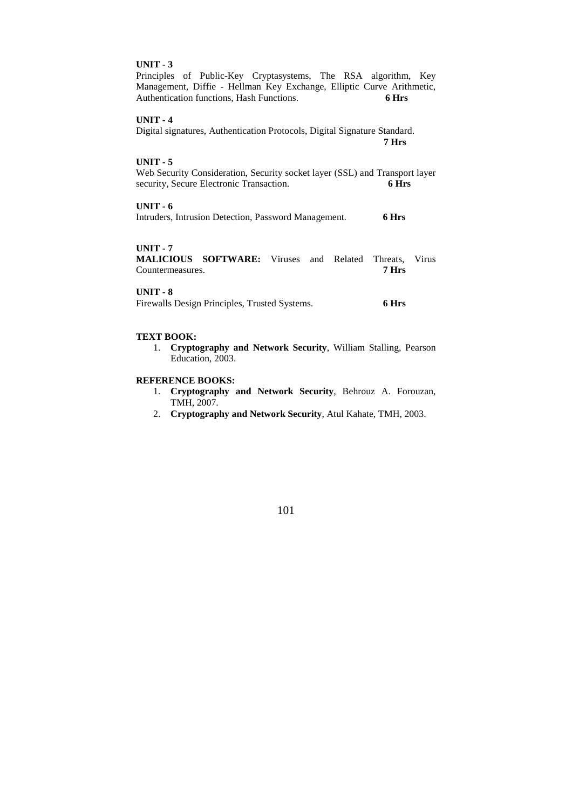Principles of Public-Key Cryptasystems, The RSA algorithm, Key Management, Diffie - Hellman Key Exchange, Elliptic Curve Arithmetic, Authentication functions, Hash Functions. **6 Hrs** 

# **UNIT - 4**

Digital signatures, Authentication Protocols, Digital Signature Standard.  **7 Hrs** 

#### **UNIT - 5**

Web Security Consideration, Security socket layer (SSL) and Transport layer security, Secure Electronic Transaction. **6 Hrs** 

# **UNIT - 6**

Intruders, Intrusion Detection, Password Management. **6 Hrs** 

# **UNIT - 7**

**MALICIOUS SOFTWARE:** Viruses and Related Threats, Virus Countermeasures. **7 Hrs** 

# **UNIT - 8**

| Firewalls Design Principles, Trusted Systems. |  | 6 Hrs |
|-----------------------------------------------|--|-------|
|                                               |  |       |

#### **TEXT BOOK:**

1. **Cryptography and Network Security**, William Stalling, Pearson Education, 2003.

#### **REFERENCE BOOKS:**

- 1. **Cryptography and Network Security**, Behrouz A. Forouzan, TMH, 2007.
- 2. **Cryptography and Network Security**, Atul Kahate, TMH, 2003.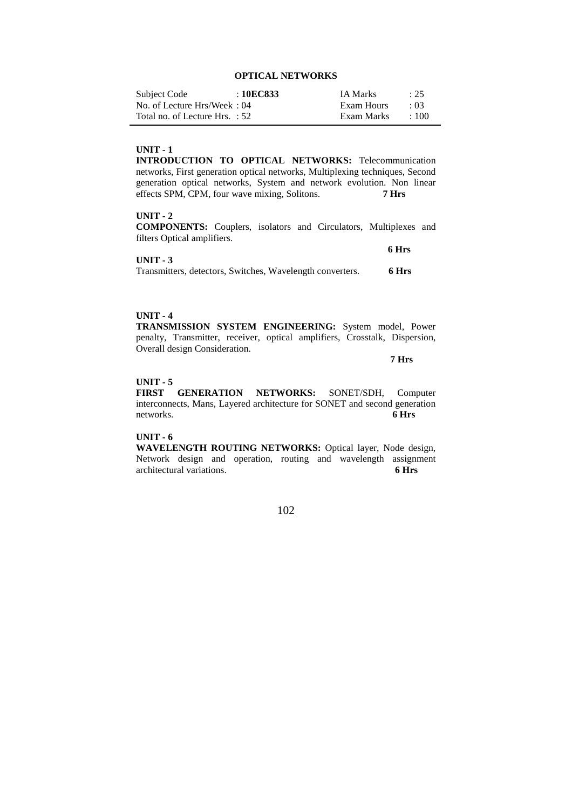# **OPTICAL NETWORKS**

| Subject Code                   | : 10EC833 | <b>IA Marks</b> | : 25       |
|--------------------------------|-----------|-----------------|------------|
| No. of Lecture Hrs/Week: 04    |           | Exam Hours      | $\cdot$ 03 |
| Total no. of Lecture Hrs. : 52 |           | Exam Marks      | $\pm 100$  |

# **UNIT - 1**

**INTRODUCTION TO OPTICAL NETWORKS:** Telecommunication networks, First generation optical networks, Multiplexing techniques, Second generation optical networks, System and network evolution. Non linear effects SPM, CPM, four wave mixing, Solitons. **7 Hrs** 

## **UNIT - 2**

**COMPONENTS:** Couplers, isolators and Circulators, Multiplexes and filters Optical amplifiers.

|                                                           | 6 Hrs |
|-----------------------------------------------------------|-------|
| $UNIT - 3$                                                |       |
| Transmitters, detectors, Switches, Wavelength converters. | 6 Hrs |

#### **UNIT - 4**

**TRANSMISSION SYSTEM ENGINEERING:** System model, Power penalty, Transmitter, receiver, optical amplifiers, Crosstalk, Dispersion, Overall design Consideration.

 **7 Hrs** 

## **UNIT - 5**

**FIRST GENERATION NETWORKS:** SONET/SDH, Computer interconnects, Mans, Layered architecture for SONET and second generation networks. **6 Hrs** 

# **UNIT - 6**

**WAVELENGTH ROUTING NETWORKS:** Optical layer, Node design, Network design and operation, routing and wavelength assignment architectural variations architectural variations.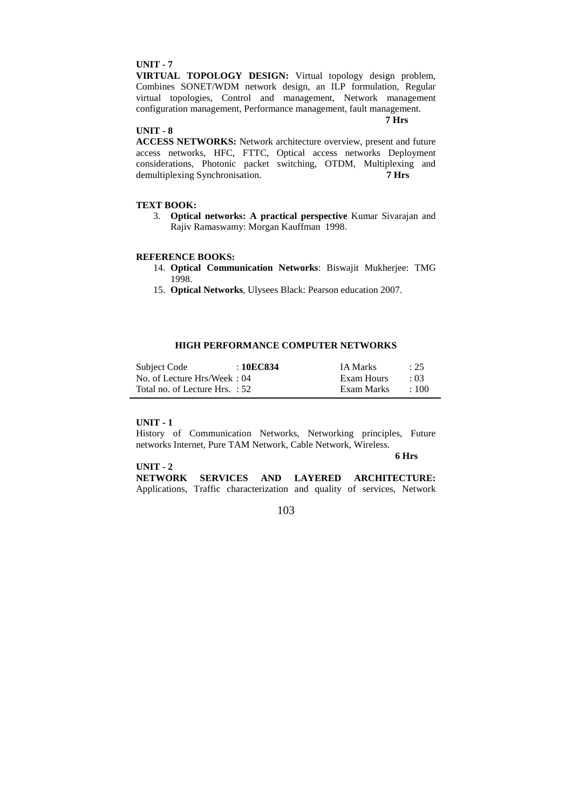**VIRTUAL TOPOLOGY DESIGN:** Virtual topology design problem, Combines SONET/WDM network design, an ILP formulation, Regular virtual topologies, Control and management, Network management configuration management, Performance management, fault management.

# **UNIT - 8**

#### **7 Hrs**

**ACCESS NETWORKS:** Network architecture overview, present and future access networks, HFC, FTTC, Optical access networks Deployment considerations, Photonic packet switching, OTDM, Multiplexing and demultiplexing Synchronisation. **7 Hrs** 

# **TEXT BOOK:**

3. **Optical networks: A practical perspective** Kumar Sivarajan and Rajiv Ramaswamy: Morgan Kauffman 1998.

# **REFERENCE BOOKS:**

- 14. **Optical Communication Networks**: Biswajit Mukherjee: TMG 1998.
- 15. **Optical Networks**, Ulysees Black: Pearson education 2007.

# **HIGH PERFORMANCE COMPUTER NETWORKS**

| Subject Code                   | : 10EC834 | <b>IA Marks</b> | : 25       |
|--------------------------------|-----------|-----------------|------------|
| No. of Lecture Hrs/Week: 04    |           | Exam Hours      | $\cdot$ 03 |
| Total no. of Lecture Hrs. : 52 |           | Exam Marks      | $\pm 100$  |

#### **UNIT - 1**

History of Communication Networks, Networking principles, Future networks Internet, Pure TAM Network, Cable Network, Wireless.

**6 Hrs** 

#### **UNIT - 2**

**NETWORK SERVICES AND LAYERED ARCHITECTURE:** Applications, Traffic characterization and quality of services, Network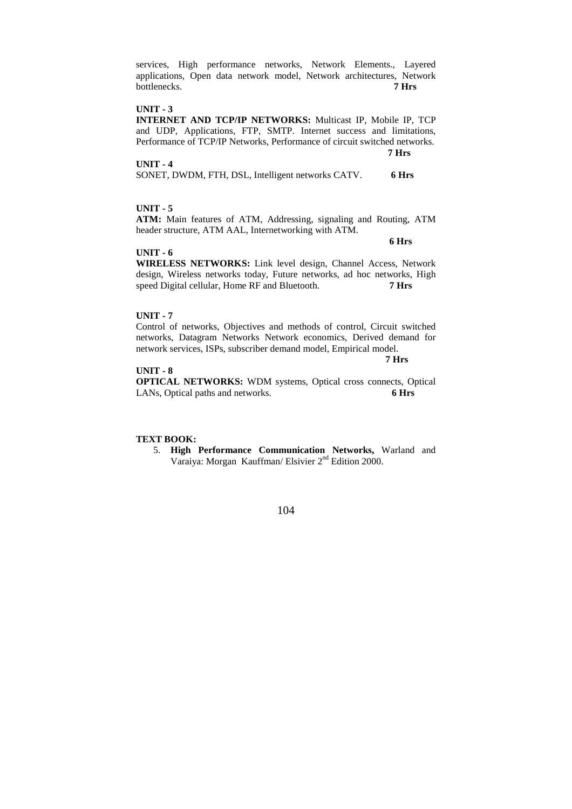services, High performance networks, Network Elements., Layered applications, Open data network model, Network architectures, Network bottlenecks. **7 Hrs** 

#### **UNIT - 3**

**INTERNET AND TCP/IP NETWORKS:** Multicast IP, Mobile IP, TCP and UDP, Applications, FTP, SMTP. Internet success and limitations, Performance of TCP/IP Networks, Performance of circuit switched networks.

**UNIT - 4** 

| SONET, DWDM, FTH, DSL, Intelligent networks CATV. |  |  |  |  |  | 6 Hrs |
|---------------------------------------------------|--|--|--|--|--|-------|
|---------------------------------------------------|--|--|--|--|--|-------|

 **7 Hrs** 

# **UNIT - 5**

**ATM:** Main features of ATM, Addressing, signaling and Routing, ATM header structure, ATM AAL, Internetworking with ATM.

 **6 Hrs** 

#### **UNIT - 6**

**WIRELESS NETWORKS:** Link level design, Channel Access, Network design, Wireless networks today, Future networks, ad hoc networks, High speed Digital cellular, Home RF and Bluetooth. **7 Hrs** 

#### **UNIT - 7**

Control of networks, Objectives and methods of control, Circuit switched networks, Datagram Networks Network economics, Derived demand for network services, ISPs, subscriber demand model, Empirical model.

 **7 Hrs** 

#### **UNIT - 8**

**OPTICAL NETWORKS:** WDM systems, Optical cross connects, Optical LANs, Optical paths and networks. **6 Hrs** 

#### **TEXT BOOK:**

5. **High Performance Communication Networks,** Warland and Varaiya: Morgan Kauffman/ Elsivier 2nd Edition 2000.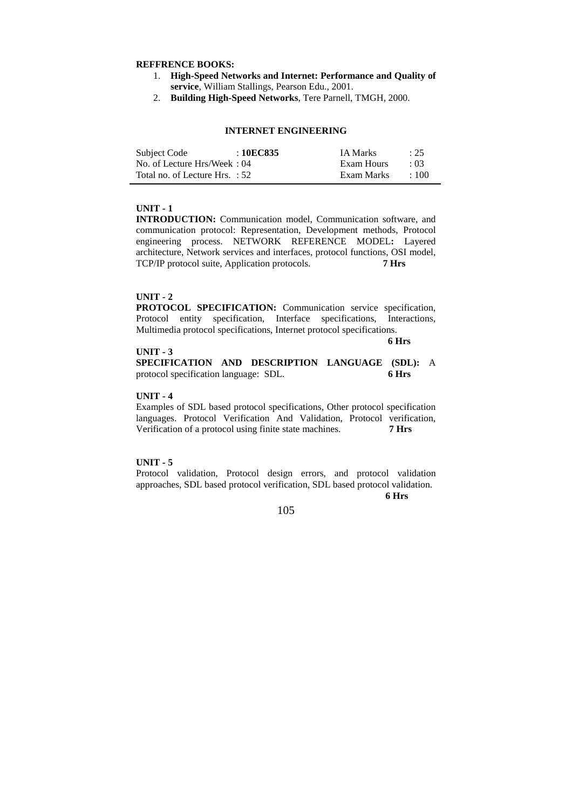#### **REFFRENCE BOOKS:**

- 1. **High-Speed Networks and Internet: Performance and Quality of service**, William Stallings, Pearson Edu., 2001.
- 2. **Building High-Speed Networks**, Tere Parnell, TMGH, 2000.

## **INTERNET ENGINEERING**

| Subject Code                   | : 10EC835 | <b>IA</b> Marks | : 25       |
|--------------------------------|-----------|-----------------|------------|
| No. of Lecture Hrs/Week: 04    |           | Exam Hours      | $\cdot$ 03 |
| Total no. of Lecture Hrs. : 52 |           | Exam Marks      | $\div 100$ |

# **UNIT - 1**

**INTRODUCTION:** Communication model, Communication software, and communication protocol: Representation, Development methods, Protocol engineering process. NETWORK REFERENCE MODEL**:** Layered architecture, Network services and interfaces, protocol functions, OSI model, TCP/IP protocol suite, Application protocols. **7 Hrs** 

#### **UNIT - 2**

**PROTOCOL SPECIFICATION:** Communication service specification, Protocol entity specification, Interface specifications, Interactions, Multimedia protocol specifications, Internet protocol specifications.

#### **UNIT - 3**

 **6 Hrs** 

**SPECIFICATION AND DESCRIPTION LANGUAGE (SDL):** A protocol specification language: SDL. **6 Hrs** 

#### **UNIT - 4**

Examples of SDL based protocol specifications, Other protocol specification languages. Protocol Verification And Validation, Protocol verification, Verification of a protocol using finite state machines. **7 Hrs** 

#### **UNIT - 5**

Protocol validation, Protocol design errors, and protocol validation approaches, SDL based protocol verification, SDL based protocol validation. **6 Hrs**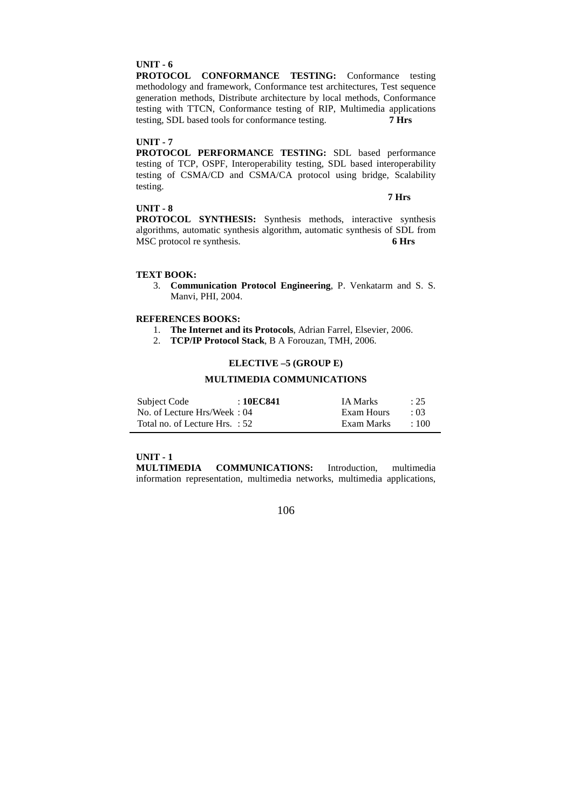**PROTOCOL CONFORMANCE TESTING:** Conformance testing methodology and framework, Conformance test architectures, Test sequence generation methods, Distribute architecture by local methods, Conformance testing with TTCN, Conformance testing of RIP, Multimedia applications testing, SDL based tools for conformance testing. **7 Hrs** 

#### **UNIT - 7**

**PROTOCOL PERFORMANCE TESTING:** SDL based performance testing of TCP, OSPF, Interoperability testing, SDL based interoperability testing of CSMA/CD and CSMA/CA protocol using bridge, Scalability testing.

## **UNIT - 8**

 **7 Hrs** 

**PROTOCOL SYNTHESIS:** Synthesis methods, interactive synthesis algorithms, automatic synthesis algorithm, automatic synthesis of SDL from MSC protocol re synthesis. **6 Hrs** 

#### **TEXT BOOK:**

3. **Communication Protocol Engineering**, P. Venkatarm and S. S. Manvi, PHI, 2004.

# **REFERENCES BOOKS:**

- 1. **The Internet and its Protocols**, Adrian Farrel, Elsevier, 2006.
- 2. **TCP/IP Protocol Stack**, B A Forouzan, TMH, 2006.

# **ELECTIVE –5 (GROUP E)**

#### **MULTIMEDIA COMMUNICATIONS**

| Subject Code                   | : 10EC841 | <b>IA Marks</b> | : 25       |
|--------------------------------|-----------|-----------------|------------|
| No. of Lecture Hrs/Week: 04    |           | Exam Hours      | $\cdot$ 03 |
| Total no. of Lecture Hrs. : 52 |           | Exam Marks      | $\pm 100$  |

# **UNIT - 1**

**MULTIMEDIA COMMUNICATIONS:** Introduction, multimedia information representation, multimedia networks, multimedia applications,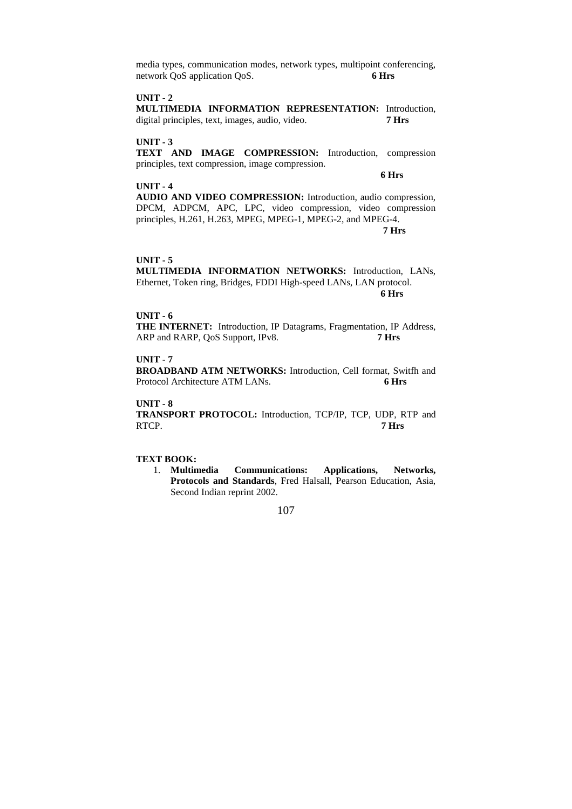media types, communication modes, network types, multipoint conferencing, network QoS application QoS. **6 Hrs** 

# **UNIT - 2**

**MULTIMEDIA INFORMATION REPRESENTATION:** Introduction, digital principles, text, images, audio, video. **7 Hrs** 

# **UNIT - 3**

**TEXT AND IMAGE COMPRESSION:** Introduction, compression principles, text compression, image compression.

 **6 Hrs** 

#### **UNIT - 4**

**AUDIO AND VIDEO COMPRESSION:** Introduction, audio compression, DPCM, ADPCM, APC, LPC, video compression, video compression principles, H.261, H.263, MPEG, MPEG-1, MPEG-2, and MPEG-4.  **7 Hrs** 

#### **UNIT - 5**

**MULTIMEDIA INFORMATION NETWORKS:** Introduction, LANs, Ethernet, Token ring, Bridges, FDDI High-speed LANs, LAN protocol.  **6 Hrs** 

#### **UNIT - 6**

**THE INTERNET:** Introduction, IP Datagrams, Fragmentation, IP Address, ARP and RARP, QoS Support, IPv8. **7 Hrs** 

# **UNIT - 7**

**BROADBAND ATM NETWORKS:** Introduction, Cell format, Switfh and Protocol Architecture ATM LANs. **6 Hrs** 

## **UNIT - 8**

**TRANSPORT PROTOCOL:** Introduction, TCP/IP, TCP, UDP, RTP and RTCP. **7 Hrs** 

# **TEXT BOOK:**

1. **Multimedia Communications: Applications, Networks, Protocols and Standards**, Fred Halsall, Pearson Education, Asia, Second Indian reprint 2002.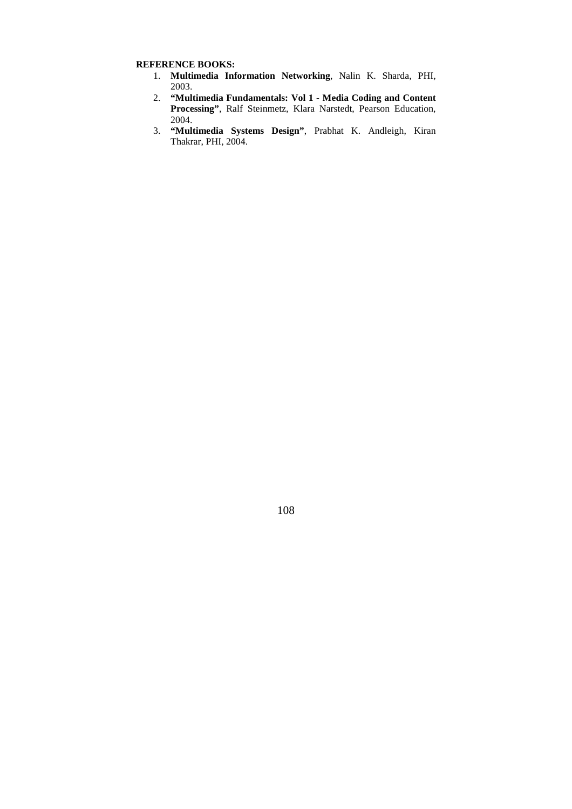# **REFERENCE BOOKS:**

- 1. **Multimedia Information Networking**, Nalin K. Sharda, PHI, 2003.
- 2. **"Multimedia Fundamentals: Vol 1 Media Coding and Content Processing"**, Ralf Steinmetz, Klara Narstedt, Pearson Education, 2004.
- 3. **"Multimedia Systems Design"**, Prabhat K. Andleigh, Kiran Thakrar, PHI, 2004.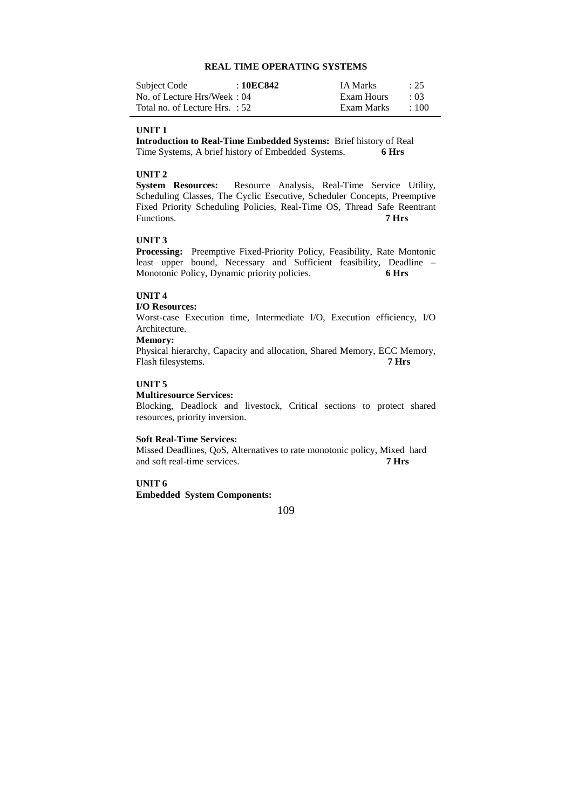#### **REAL TIME OPERATING SYSTEMS**

| Subject Code                   | : 10EC842 | <b>IA Marks</b> | : 25        |
|--------------------------------|-----------|-----------------|-------------|
| No. of Lecture Hrs/Week: 04    |           | Exam Hours      | $\cdot$ 03  |
| Total no. of Lecture Hrs. : 52 |           | Exam Marks      | $\cdot$ 100 |

#### **UNIT 1**

**Introduction to Real-Time Embedded Systems:** Brief history of Real Time Systems, A brief history of Embedded Systems. **6 Hrs** 

**UNIT 2**<br>System Resources: Resource Analysis, Real-Time Service Utility, Scheduling Classes, The Cyclic Esecutive, Scheduler Concepts, Preemptive Fixed Priority Scheduling Policies, Real-Time OS, Thread Safe Reentrant Functions. **7 Hrs** 

## **UNIT 3**

**Processing:** Preemptive Fixed-Priority Policy, Feasibility, Rate Montonic least upper bound, Necessary and Sufficient feasibility, Deadline – Monotonic Policy, Dynamic priority policies. **6 Hrs** 

#### **UNIT 4**

#### **I/O Resources:**

Worst-case Execution time, Intermediate I/O, Execution efficiency, I/O Architecture.

## **Memory:**

Physical hierarchy, Capacity and allocation, Shared Memory, ECC Memory, Flash filesystems. **7 Hrs** 

# **UNIT 5**

#### **Multiresource Services:**

Blocking, Deadlock and livestock, Critical sections to protect shared resources, priority inversion.

#### **Soft Real-Time Services:**

Missed Deadlines, QoS, Alternatives to rate monotonic policy, Mixed hard and soft real-time services. **7 Hrs** 

# **UNIT 6**

**Embedded System Components:**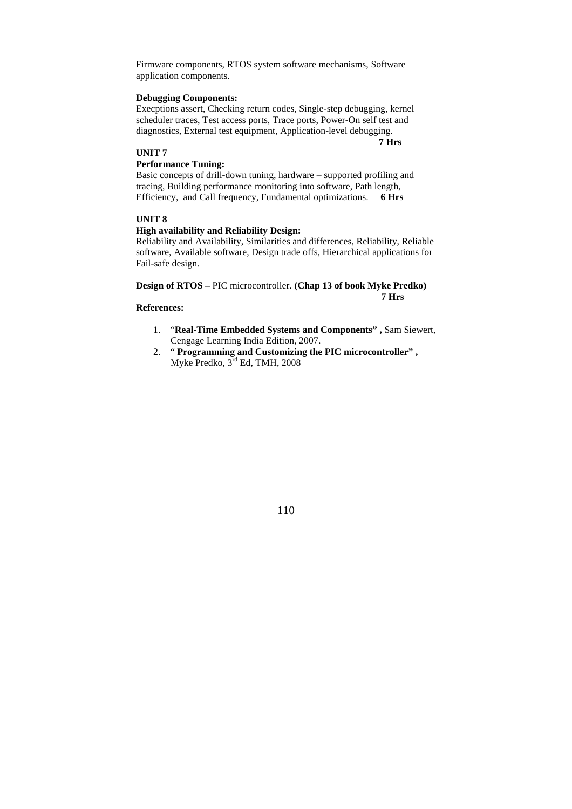Firmware components, RTOS system software mechanisms, Software application components.

## **Debugging Components:**

Execptions assert, Checking return codes, Single-step debugging, kernel scheduler traces, Test access ports, Trace ports, Power-On self test and diagnostics, External test equipment, Application-level debugging.

**7 Hrs** 

## **UNIT 7**

# **Performance Tuning:**

Basic concepts of drill-down tuning, hardware – supported profiling and tracing, Building performance monitoring into software, Path length, Efficiency, and Call frequency, Fundamental optimizations. **6 Hrs** 

## **UNIT 8**

## **High availability and Reliability Design:**

Reliability and Availability, Similarities and differences, Reliability, Reliable software, Available software, Design trade offs, Hierarchical applications for Fail-safe design.

**Design of RTOS –** PIC microcontroller. **(Chap 13 of book Myke Predko) 7 Hrs** 

# **References:**

- 1. "**Real-Time Embedded Systems and Components" ,** Sam Siewert, Cengage Learning India Edition, 2007.
- 2. " **Programming and Customizing the PIC microcontroller" ,**  Myke Predko, 3rd Ed, TMH, 2008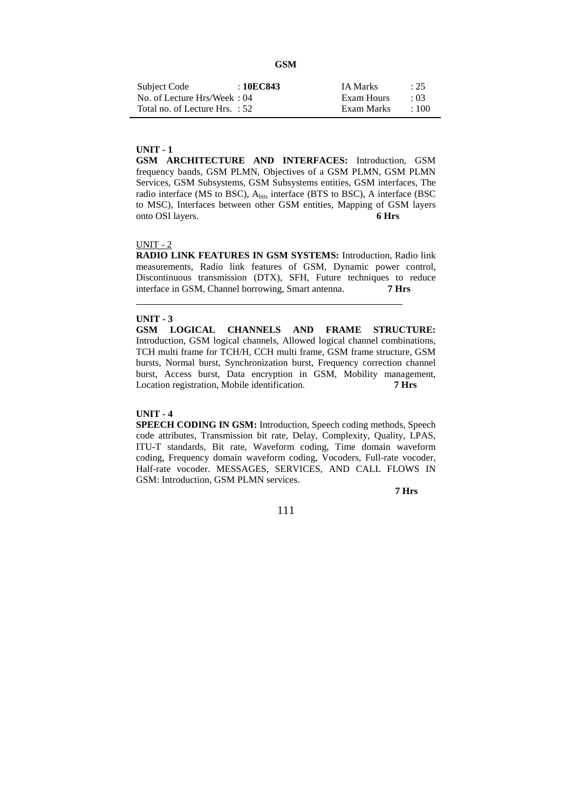| Subject Code                   | : 10EC843 | <b>IA Marks</b> | : 25       |
|--------------------------------|-----------|-----------------|------------|
| No. of Lecture Hrs/Week: 04    |           | Exam Hours      | $\cdot$ 03 |
| Total no. of Lecture Hrs. : 52 |           | Exam Marks      | $\div 100$ |

**GSM ARCHITECTURE AND INTERFACES:** Introduction, GSM frequency bands, GSM PLMN, Objectives of a GSM PLMN, GSM PLMN Services, GSM Subsystems, GSM Subsystems entities, GSM interfaces, The radio interface (MS to BSC), Abits interface (BTS to BSC), A interface (BSC to MSC), Interfaces between other GSM entities, Mapping of GSM layers onto OSI layers. **6 Hrs** 

#### UNIT - 2

**RADIO LINK FEATURES IN GSM SYSTEMS:** Introduction, Radio link measurements, Radio link features of GSM, Dynamic power control, Discontinuous transmission (DTX), SFH, Future techniques to reduce interface in GSM, Channel borrowing, Smart antenna. **7 Hrs** 

#### **UNIT - 3**

l

**GSM LOGICAL CHANNELS AND FRAME STRUCTURE:** Introduction, GSM logical channels, Allowed logical channel combinations, TCH multi frame for TCH/H, CCH multi frame, GSM frame structure, GSM bursts, Normal burst, Synchronization burst, Frequency correction channel burst, Access burst, Data encryption in GSM, Mobility management, Location registration, Mobile identification. **7 Hrs** 

#### **UNIT - 4**

**SPEECH CODING IN GSM:** Introduction, Speech coding methods, Speech code attributes, Transmission bit rate, Delay, Complexity, Quality, LPAS, ITU-T standards, Bit rate, Waveform coding, Time domain waveform coding, Frequency domain waveform coding, Vocoders, Full-rate vocoder, Half-rate vocoder. MESSAGES, SERVICES, AND CALL FLOWS IN GSM: Introduction, GSM PLMN services.

 **7 Hrs**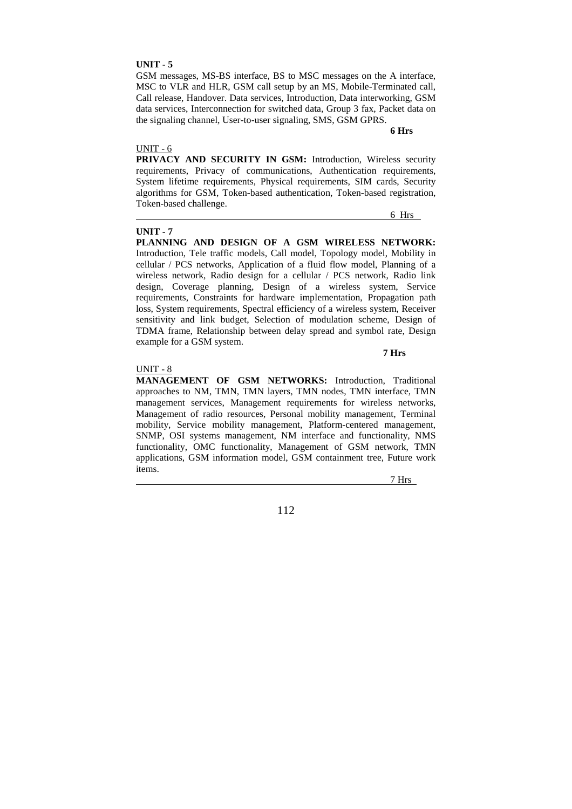GSM messages, MS-BS interface, BS to MSC messages on the A interface, MSC to VLR and HLR, GSM call setup by an MS, Mobile-Terminated call, Call release, Handover. Data services, Introduction, Data interworking, GSM data services, Interconnection for switched data, Group 3 fax, Packet data on the signaling channel, User-to-user signaling, SMS, GSM GPRS.

#### **6 Hrs**

#### UNIT - 6

**PRIVACY AND SECURITY IN GSM:** Introduction, Wireless security requirements, Privacy of communications, Authentication requirements, System lifetime requirements, Physical requirements, SIM cards, Security algorithms for GSM, Token-based authentication, Token-based registration, Token-based challenge.

#### **UNIT - 7**

6 Hrs

**PLANNING AND DESIGN OF A GSM WIRELESS NETWORK:** Introduction, Tele traffic models, Call model, Topology model, Mobility in cellular / PCS networks, Application of a fluid flow model, Planning of a wireless network, Radio design for a cellular / PCS network, Radio link design, Coverage planning, Design of a wireless system, Service requirements, Constraints for hardware implementation, Propagation path loss, System requirements, Spectral efficiency of a wireless system, Receiver sensitivity and link budget, Selection of modulation scheme, Design of TDMA frame, Relationship between delay spread and symbol rate, Design example for a GSM system.

 **7 Hrs** 

# UNIT - 8

**MANAGEMENT OF GSM NETWORKS:** Introduction, Traditional approaches to NM, TMN, TMN layers, TMN nodes, TMN interface, TMN management services, Management requirements for wireless networks, Management of radio resources, Personal mobility management, Terminal mobility, Service mobility management, Platform-centered management, SNMP, OSI systems management, NM interface and functionality, NMS functionality, OMC functionality, Management of GSM network, TMN applications, GSM information model, GSM containment tree, Future work items.

7 Hrs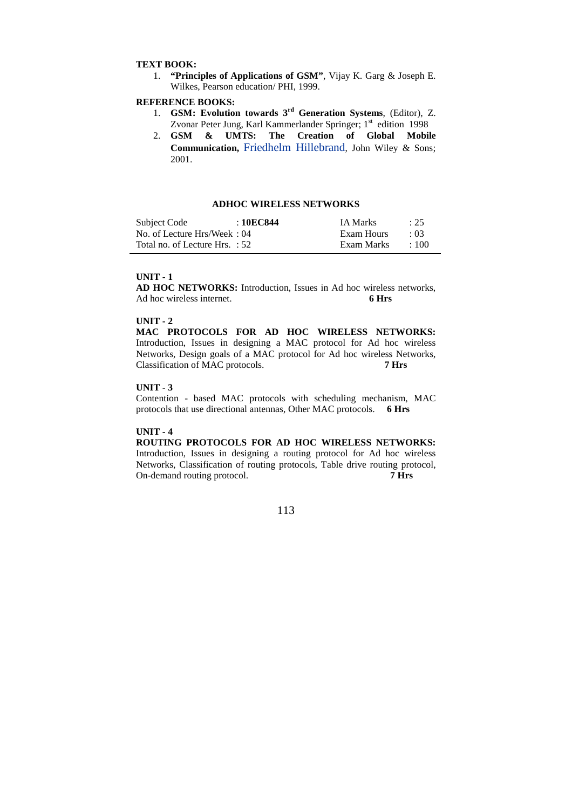## **TEXT BOOK:**

1. **"Principles of Applications of GSM"**, Vijay K. Garg & Joseph E. Wilkes, Pearson education/ PHI, 1999.

# **REFERENCE BOOKS:**

- 1. **GSM: Evolution towards 3rd Generation Systems**, (Editor), Z. Zvonar Peter Jung, Karl Kammerlander Springer; 1<sup>st</sup> edition 1998
- 2. **GSM & UMTS: The Creation of Global Mobile Communication,** Friedhelm Hillebrand, John Wiley & Sons; 2001.

## **ADHOC WIRELESS NETWORKS**

| Subject Code                   | : 10EC844 | <b>IA Marks</b> | : 25       |
|--------------------------------|-----------|-----------------|------------|
| No. of Lecture Hrs/Week: 04    |           | Exam Hours      | $\cdot$ 03 |
| Total no. of Lecture Hrs. : 52 |           | Exam Marks      | $\pm 100$  |

#### **UNIT - 1**

**AD HOC NETWORKS:** Introduction, Issues in Ad hoc wireless networks, Ad hoc wireless internet. **6 Hrs** 

## **UNIT - 2**

**MAC PROTOCOLS FOR AD HOC WIRELESS NETWORKS:** Introduction, Issues in designing a MAC protocol for Ad hoc wireless Networks, Design goals of a MAC protocol for Ad hoc wireless Networks, Classification of MAC protocols. **7 Hrs** 

#### **UNIT - 3**

Contention - based MAC protocols with scheduling mechanism, MAC protocols that use directional antennas, Other MAC protocols. **6 Hrs** 

#### **UNIT - 4**

# **ROUTING PROTOCOLS FOR AD HOC WIRELESS NETWORKS:**

Introduction, Issues in designing a routing protocol for Ad hoc wireless Networks, Classification of routing protocols, Table drive routing protocol, On-demand routing protocol. **7 Hrs** 

113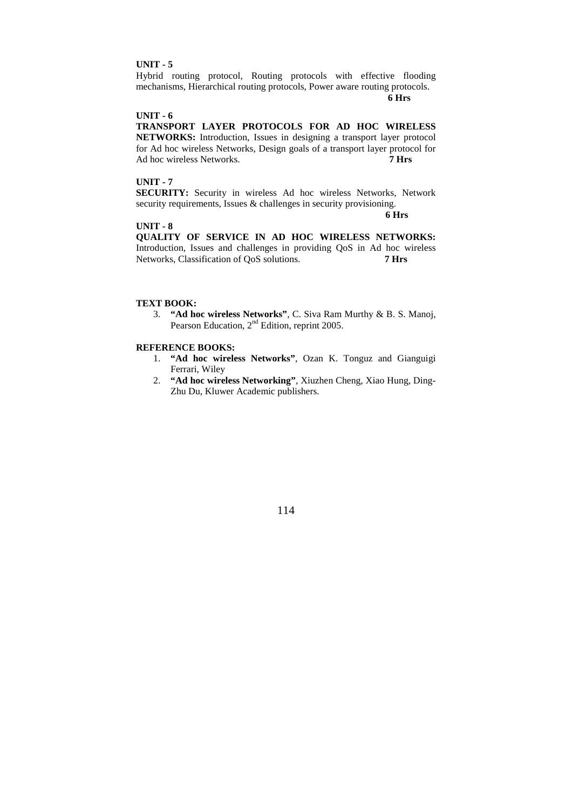#### **UNIT - 5**

Hybrid routing protocol, Routing protocols with effective flooding mechanisms, Hierarchical routing protocols, Power aware routing protocols.

 **6 Hrs** 

#### **UNIT - 6**

**TRANSPORT LAYER PROTOCOLS FOR AD HOC WIRELESS NETWORKS:** Introduction, Issues in designing a transport layer protocol for Ad hoc wireless Networks, Design goals of a transport layer protocol for Ad hoc wireless Networks. **7 Hrs** 

## **UNIT - 7**

**SECURITY:** Security in wireless Ad hoc wireless Networks, Network security requirements, Issues & challenges in security provisioning.

#### **6 Hrs**

# **UNIT - 8**

**QUALITY OF SERVICE IN AD HOC WIRELESS NETWORKS:** Introduction, Issues and challenges in providing QoS in Ad hoc wireless Networks, Classification of QoS solutions. **7 Hrs** 

## **TEXT BOOK:**

3. **"Ad hoc wireless Networks"**, C. Siva Ram Murthy & B. S. Manoj, Pearson Education, 2nd Edition, reprint 2005.

## **REFERENCE BOOKS:**

- 1. **"Ad hoc wireless Networks"**, Ozan K. Tonguz and Gianguigi Ferrari, Wiley
- 2. **"Ad hoc wireless Networking"**, Xiuzhen Cheng, Xiao Hung, Ding-Zhu Du, Kluwer Academic publishers.

114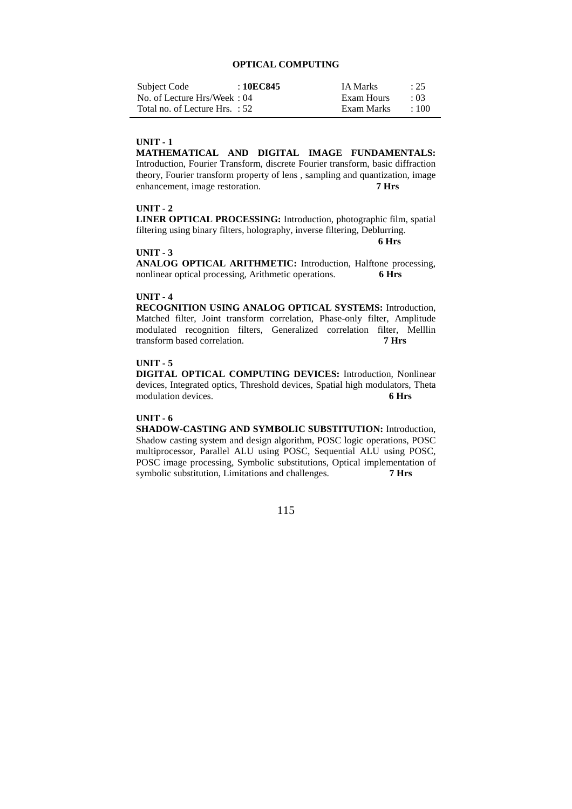## **OPTICAL COMPUTING**

| Subject Code                   | : 10EC845 | <b>IA Marks</b> | : 25        |
|--------------------------------|-----------|-----------------|-------------|
| No. of Lecture Hrs/Week: 04    |           | Exam Hours      | $\cdot$ 03  |
| Total no. of Lecture Hrs. : 52 |           | Exam Marks      | $\cdot$ 100 |

# **UNIT - 1**

**MATHEMATICAL AND DIGITAL IMAGE FUNDAMENTALS:**  Introduction, Fourier Transform, discrete Fourier transform, basic diffraction theory, Fourier transform property of lens , sampling and quantization, image enhancement, image restoration. **7 Hrs** 

# **UNIT - 2**

**LINER OPTICAL PROCESSING:** Introduction, photographic film, spatial filtering using binary filters, holography, inverse filtering, Deblurring.

 **6 Hrs** 

#### **UNIT - 3**

**ANALOG OPTICAL ARITHMETIC:** Introduction, Halftone processing, nonlinear optical processing, Arithmetic operations. **6 Hrs** 

#### **UNIT - 4**

**RECOGNITION USING ANALOG OPTICAL SYSTEMS:** Introduction, Matched filter, Joint transform correlation, Phase-only filter, Amplitude modulated recognition filters, Generalized correlation filter, Melllin transform based correlation. **7 Hrs** 

# **UNIT - 5**

**DIGITAL OPTICAL COMPUTING DEVICES:** Introduction, Nonlinear devices, Integrated optics, Threshold devices, Spatial high modulators, Theta modulation devices. **6 Hrs** 

# **UNIT - 6**

**SHADOW-CASTING AND SYMBOLIC SUBSTITUTION:** Introduction, Shadow casting system and design algorithm, POSC logic operations, POSC multiprocessor, Parallel ALU using POSC, Sequential ALU using POSC, POSC image processing, Symbolic substitutions, Optical implementation of symbolic substitution, Limitations and challenges. **7 Hrs** 

115